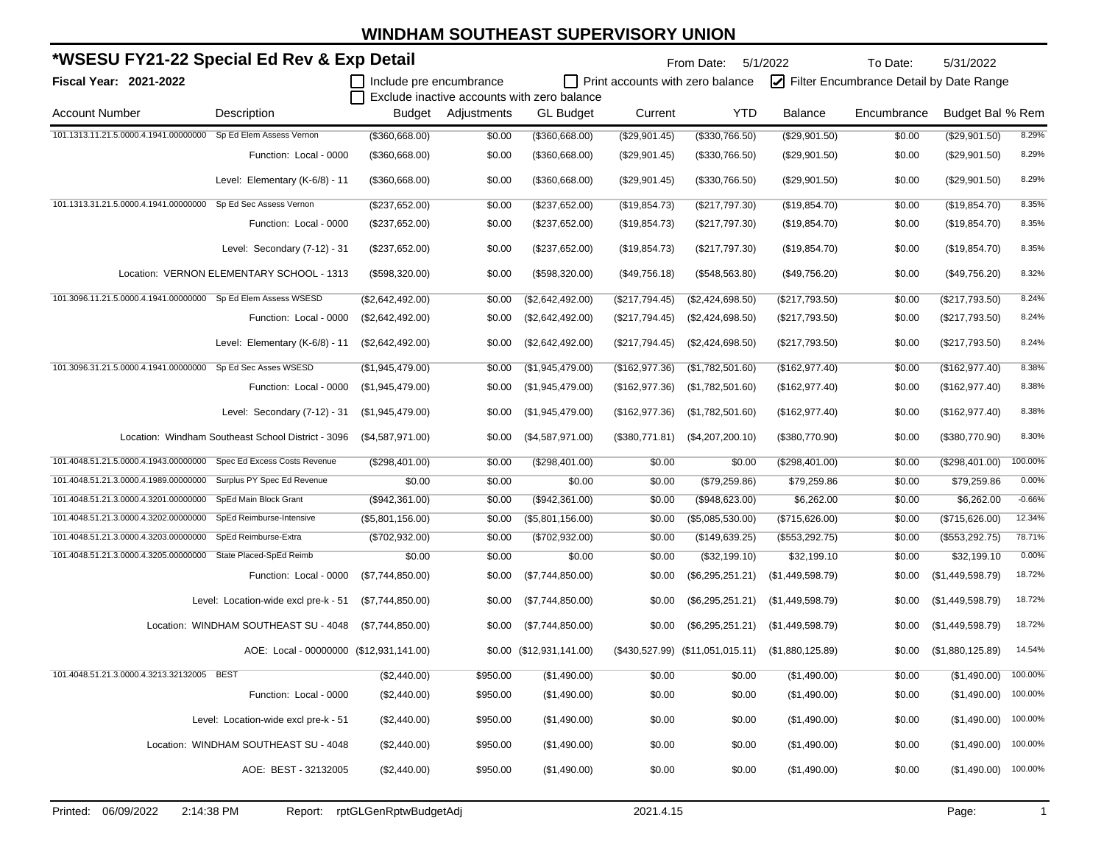| *WSESU FY21-22 Special Ed Rev & Exp Detail                       |                                                    |                         |                    |                                             |                  | From Date: 5/1/2022                  |                  | To Date:                                | 5/31/2022             |          |
|------------------------------------------------------------------|----------------------------------------------------|-------------------------|--------------------|---------------------------------------------|------------------|--------------------------------------|------------------|-----------------------------------------|-----------------------|----------|
| Fiscal Year: 2021-2022                                           |                                                    | Include pre encumbrance |                    | Exclude inactive accounts with zero balance |                  | Print accounts with zero balance     |                  | Filter Encumbrance Detail by Date Range |                       |          |
| <b>Account Number</b>                                            | Description                                        |                         | Budget Adjustments | <b>GL Budget</b>                            | Current          | <b>YTD</b>                           | <b>Balance</b>   | Encumbrance                             | Budget Bal % Rem      |          |
| 101.1313.11.21.5.0000.4.1941.00000000                            | Sp Ed Elem Assess Vernon                           | (\$360,668.00)          | \$0.00             | (\$360,668.00)                              | (\$29,901.45)    | (\$330,766.50)                       | (\$29,901.50)    | \$0.00                                  | (\$29,901.50)         | 8.29%    |
|                                                                  | Function: Local - 0000                             | (\$360,668.00)          | \$0.00             | (\$360,668.00)                              | (\$29,901.45)    | (\$330,766.50)                       | (\$29,901.50)    | \$0.00                                  | (\$29,901.50)         | 8.29%    |
|                                                                  | Level: Elementary (K-6/8) - 11                     | (\$360,668.00)          | \$0.00             | (\$360,668.00)                              | (\$29,901.45)    | (\$330,766.50)                       | (\$29,901.50)    | \$0.00                                  | (\$29,901.50)         | 8.29%    |
| 101.1313.31.21.5.0000.4.1941.00000000 Sp Ed Sec Assess Vernon    |                                                    | (\$237,652.00)          | \$0.00             | (\$237,652.00)                              | (\$19,854.73)    | (\$217,797.30)                       | (\$19,854.70)    | \$0.00                                  | (\$19,854.70)         | 8.35%    |
|                                                                  | Function: Local - 0000                             | (\$237,652.00)          | \$0.00             | (\$237,652.00)                              | (\$19,854.73)    | $(\$217,797.30)$                     | (\$19,854.70)    | \$0.00                                  | (\$19,854.70)         | 8.35%    |
|                                                                  | Level: Secondary (7-12) - 31                       | (\$237,652.00)          | \$0.00             | (\$237,652.00)                              | (\$19,854.73)    | $(\$217,797.30)$                     | (\$19,854.70)    | \$0.00                                  | (\$19,854.70)         | 8.35%    |
|                                                                  | Location: VERNON ELEMENTARY SCHOOL - 1313          | (\$598,320.00)          | \$0.00             | (\$598,320.00)                              | (\$49,756.18)    | $($ \$548,563.80)                    | (\$49,756.20)    | \$0.00                                  | (\$49,756.20)         | 8.32%    |
| 101.3096.11.21.5.0000.4.1941.00000000 Sp Ed Elem Assess WSESD    |                                                    | (\$2,642,492.00)        | \$0.00             | (\$2,642,492.00)                            | (\$217,794.45)   | (\$2,424,698.50)                     | (\$217,793.50)   | \$0.00                                  | (\$217,793.50)        | 8.24%    |
|                                                                  | Function: Local - 0000                             | (\$2,642,492.00)        | \$0.00             | (\$2,642,492.00)                            | $(\$217,794.45)$ | (\$2,424,698.50)                     | (\$217,793.50)   | \$0.00                                  | (\$217,793.50)        | 8.24%    |
|                                                                  | Level: Elementary (K-6/8) - 11                     | (\$2,642,492.00)        | \$0.00             | (\$2,642,492.00)                            | (\$217,794.45)   | (\$2,424,698.50)                     | (\$217,793.50)   | \$0.00                                  | (\$217,793.50)        | 8.24%    |
| 101.3096.31.21.5.0000.4.1941.00000000 Sp Ed Sec Asses WSESD      |                                                    | (\$1,945,479.00)        | \$0.00             | (\$1,945,479.00)                            | (\$162,977.36)   | (\$1,782,501.60)                     | (\$162,977.40)   | \$0.00                                  | (\$162,977.40)        | 8.38%    |
|                                                                  | Function: Local - 0000                             | (\$1,945,479.00)        | \$0.00             | (\$1,945,479.00)                            | (\$162,977.36)   | (\$1,782,501.60)                     | (\$162,977.40)   | \$0.00                                  | (\$162,977.40)        | 8.38%    |
|                                                                  | Level: Secondary (7-12) - 31                       | (\$1,945,479.00)        | \$0.00             | (\$1,945,479.00)                            | (\$162,977.36)   | (\$1,782,501.60)                     | (\$162,977.40)   | \$0.00                                  | (\$162,977.40)        | 8.38%    |
|                                                                  | Location: Windham Southeast School District - 3096 | (\$4,587,971.00)        | \$0.00             | (\$4,587,971.00)                            | (\$380,771.81)   | (\$4,207,200.10)                     | (\$380,770.90)   | \$0.00                                  | (\$380,770.90)        | 8.30%    |
| 101.4048.51.21.5.0000.4.1943.00000000                            | Spec Ed Excess Costs Revenue                       | (\$298,401.00)          | \$0.00             | (\$298,401.00)                              | \$0.00           | \$0.00                               | (\$298,401.00)   | \$0.00                                  | (\$298,401.00)        | 100.00%  |
| 101.4048.51.21.3.0000.4.1989.00000000 Surplus PY Spec Ed Revenue |                                                    | \$0.00                  | \$0.00             | \$0.00                                      | \$0.00           | (\$79,259.86)                        | \$79,259.86      | \$0.00                                  | \$79,259.86           | 0.00%    |
| 101.4048.51.21.3.0000.4.3201.00000000                            | SpEd Main Block Grant                              | (\$942,361.00)          | \$0.00             | (\$942,361.00)                              | \$0.00           | (\$948,623.00)                       | \$6,262.00       | \$0.00                                  | \$6,262.00            | $-0.66%$ |
| 101.4048.51.21.3.0000.4.3202.00000000                            | SpEd Reimburse-Intensive                           | (\$5,801,156.00)        | \$0.00             | (\$5,801,156.00)                            | \$0.00           | (\$5,085,530.00)                     | (\$715,626.00)   | \$0.00                                  | (\$715,626.00)        | 12.34%   |
| 101.4048.51.21.3.0000.4.3203.00000000                            | SpEd Reimburse-Extra                               | (\$702,932.00)          | \$0.00             | (\$702,932.00)                              | \$0.00           | (\$149,639.25)                       | (\$553,292.75)   | \$0.00                                  | (\$553,292.75)        | 78.71%   |
| 101.4048.51.21.3.0000.4.3205.00000000 State Placed-SpEd Reimb    |                                                    | \$0.00                  | \$0.00             | \$0.00                                      | \$0.00           | (\$32,199.10)                        | \$32,199.10      | \$0.00                                  | \$32,199.10           | 0.00%    |
|                                                                  | Function: Local - 0000                             | (\$7,744,850.00)        | \$0.00             | (\$7,744,850.00)                            | \$0.00           | $(\$6,295,251.21)$                   | (\$1,449,598.79) | \$0.00                                  | (\$1,449,598.79)      | 18.72%   |
|                                                                  | Level: Location-wide excl pre-k - 51               | (\$7,744,850.00)        | \$0.00             | (\$7,744,850.00)                            | \$0.00           | $(\$6,295,251.21)$                   | (\$1,449,598.79) | \$0.00                                  | (\$1,449,598.79)      | 18.72%   |
|                                                                  | Location: WINDHAM SOUTHEAST SU - 4048              | (\$7,744,850.00)        | \$0.00             | (\$7,744,850.00)                            | \$0.00           | (\$6,295,251.21)                     | (\$1,449,598.79) | \$0.00                                  | (\$1,449,598.79)      | 18.72%   |
|                                                                  | AOE: Local - 00000000 (\$12,931,141.00)            |                         | \$0.00             | (\$12,931,141.00)                           |                  | $(\$430,527.99)$ $(\$11,051,015.11)$ | (\$1,880,125.89) | \$0.00                                  | (\$1,880,125.89)      | 14.54%   |
| 101.4048.51.21.3.0000.4.3213.32132005 BEST                       |                                                    | (\$2,440.00)            | \$950.00           | (\$1,490.00)                                | \$0.00           | \$0.00                               | (\$1,490.00)     | \$0.00                                  | $($1,490.00)$ 100.00% |          |
|                                                                  | Function: Local - 0000                             | (\$2,440.00)            | \$950.00           | (\$1,490.00)                                | \$0.00           | \$0.00                               | (\$1,490.00)     | \$0.00                                  | (\$1,490.00)          | 100.00%  |
|                                                                  | Level: Location-wide excl pre-k - 51               | (\$2,440.00)            | \$950.00           | (\$1,490.00)                                | \$0.00           | \$0.00                               | (\$1,490.00)     | \$0.00                                  | (\$1,490.00)          | 100.00%  |
|                                                                  | Location: WINDHAM SOUTHEAST SU - 4048              | (\$2,440.00)            | \$950.00           | (\$1,490.00)                                | \$0.00           | \$0.00                               | (\$1,490.00)     | \$0.00                                  | (\$1,490.00)          | 100.00%  |
|                                                                  | AOE: BEST - 32132005                               | (\$2,440.00)            | \$950.00           | (\$1,490.00)                                | \$0.00           | \$0.00                               | (\$1,490.00)     | \$0.00                                  | $($1,490.00)$ 100.00% |          |
|                                                                  |                                                    |                         |                    |                                             |                  |                                      |                  |                                         |                       |          |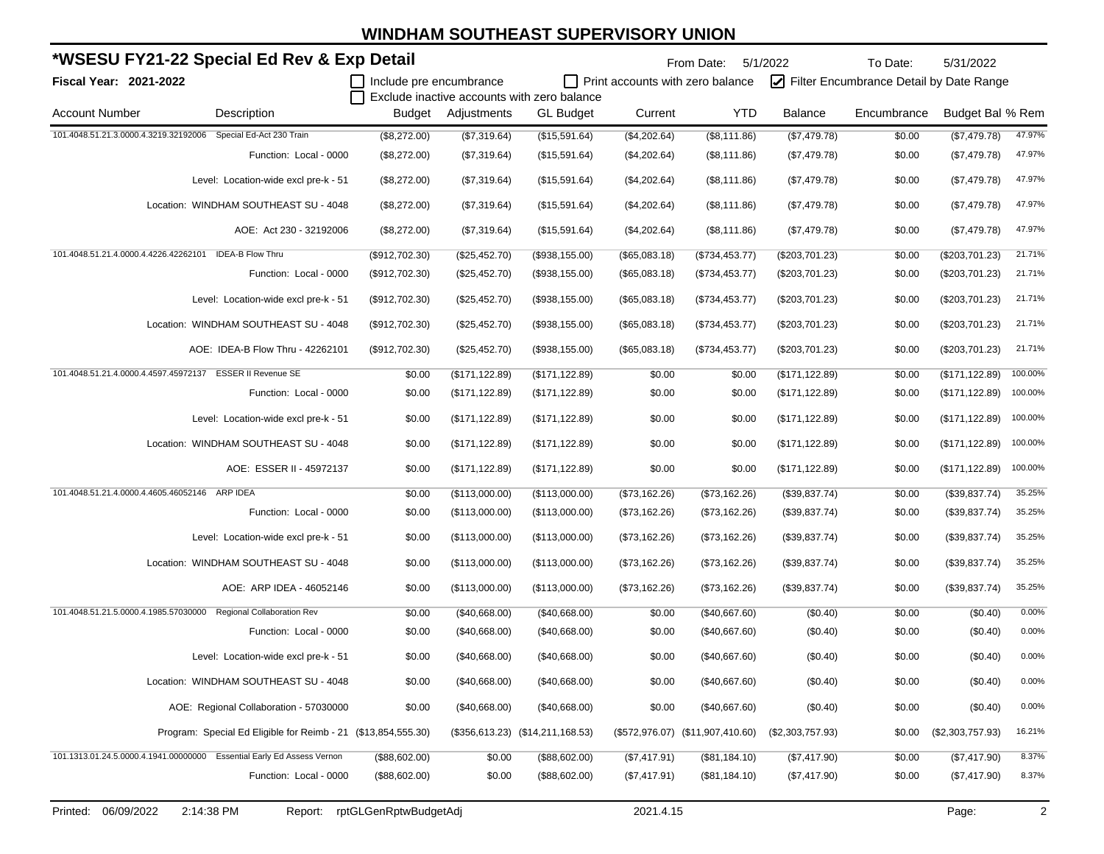|                                                | *WSESU FY21-22 Special Ed Rev & Exp Detail                             |                         |                 |                                             |                                         | From Date:                       | 5/1/2022         | To Date:                                | 5/31/2022        |         |
|------------------------------------------------|------------------------------------------------------------------------|-------------------------|-----------------|---------------------------------------------|-----------------------------------------|----------------------------------|------------------|-----------------------------------------|------------------|---------|
| Fiscal Year: 2021-2022                         |                                                                        | Include pre encumbrance |                 | Exclude inactive accounts with zero balance | $\Box$ Print accounts with zero balance |                                  |                  | Filter Encumbrance Detail by Date Range |                  |         |
| <b>Account Number</b>                          | Description                                                            | <b>Budget</b>           | Adjustments     | <b>GL Budget</b>                            | Current                                 | <b>YTD</b>                       | <b>Balance</b>   | Encumbrance                             | Budget Bal % Rem |         |
| 101.4048.51.21.3.0000.4.3219.32192006          | Special Ed-Act 230 Train                                               | (\$8,272.00)            | (\$7,319.64)    | (\$15,591.64)                               | (\$4,202.64)                            | (\$8,111.86)                     | (\$7,479.78)     | \$0.00                                  | (\$7,479.78)     | 47.97%  |
|                                                | Function: Local - 0000                                                 | (\$8,272.00)            | (\$7,319.64)    | (\$15,591.64)                               | (\$4,202.64)                            | (\$8,111.86)                     | (\$7,479.78)     | \$0.00                                  | (\$7,479.78)     | 47.97%  |
|                                                | Level: Location-wide excl pre-k - 51                                   | (\$8,272.00)            | (\$7,319.64)    | (\$15,591.64)                               | (\$4,202.64)                            | (\$8,111.86)                     | (\$7,479.78)     | \$0.00                                  | (\$7,479.78)     | 47.97%  |
|                                                | Location: WINDHAM SOUTHEAST SU - 4048                                  | (\$8,272.00)            | (\$7,319.64)    | (\$15,591.64)                               | (\$4,202.64)                            | (\$8,111.86)                     | (\$7,479.78)     | \$0.00                                  | (\$7,479.78)     | 47.97%  |
|                                                | AOE: Act 230 - 32192006                                                | (\$8,272.00)            | (\$7,319.64)    | (\$15,591.64)                               | (\$4,202.64)                            | (\$8,111.86)                     | (\$7,479.78)     | \$0.00                                  | (\$7,479.78)     | 47.97%  |
| 101.4048.51.21.4.0000.4.4226.42262101          | <b>IDEA-B Flow Thru</b>                                                | (\$912,702.30)          | (\$25,452.70)   | (\$938, 155.00)                             | (\$65,083.18)                           | (\$734,453.77)                   | (\$203,701.23)   | \$0.00                                  | (\$203,701.23)   | 21.71%  |
|                                                | Function: Local - 0000                                                 | (\$912,702.30)          | (\$25,452.70)   | (\$938,155.00)                              | (\$65,083.18)                           | (\$734,453.77)                   | $(\$203,701.23)$ | \$0.00                                  | (\$203,701.23)   | 21.71%  |
|                                                | Level: Location-wide excl pre-k - 51                                   | (\$912,702.30)          | (\$25,452.70)   | (\$938,155.00)                              | (\$65,083.18)                           | (\$734,453.77)                   | $(\$203,701.23)$ | \$0.00                                  | (\$203,701.23)   | 21.71%  |
|                                                | Location: WINDHAM SOUTHEAST SU - 4048                                  | $(\$912,702.30)$        | (\$25,452.70)   | (\$938,155.00)                              | (\$65,083.18)                           | (\$734,453.77)                   | (\$203,701.23)   | \$0.00                                  | (\$203,701.23)   | 21.71%  |
|                                                | AOE: IDEA-B Flow Thru - 42262101                                       | (\$912,702.30)          | (\$25,452.70)   | (\$938,155.00)                              | (\$65,083.18)                           | (\$734,453.77)                   | (\$203,701.23)   | \$0.00                                  | (\$203,701.23)   | 21.71%  |
| 101.4048.51.21.4.0000.4.4597.45972137          | <b>ESSER II Revenue SE</b>                                             | \$0.00                  | (\$171, 122.89) | (\$171, 122.89)                             | \$0.00                                  | \$0.00                           | (\$171, 122.89)  | \$0.00                                  | (\$171, 122.89)  | 100.00% |
|                                                | Function: Local - 0000                                                 | \$0.00                  | (\$171, 122.89) | (\$171, 122.89)                             | \$0.00                                  | \$0.00                           | (\$171, 122.89)  | \$0.00                                  | (\$171, 122.89)  | 100.00% |
|                                                | Level: Location-wide excl pre-k - 51                                   | \$0.00                  | (\$171, 122.89) | (\$171, 122.89)                             | \$0.00                                  | \$0.00                           | (\$171, 122.89)  | \$0.00                                  | (\$171, 122.89)  | 100.00% |
|                                                | Location: WINDHAM SOUTHEAST SU - 4048                                  | \$0.00                  | (\$171, 122.89) | (\$171, 122.89)                             | \$0.00                                  | \$0.00                           | (\$171, 122.89)  | \$0.00                                  | (\$171, 122.89)  | 100.00% |
|                                                | AOE: ESSER II - 45972137                                               | \$0.00                  | (\$171, 122.89) | (\$171, 122.89)                             | \$0.00                                  | \$0.00                           | (\$171, 122.89)  | \$0.00                                  | (\$171, 122.89)  | 100.00% |
| 101.4048.51.21.4.0000.4.4605.46052146 ARP IDEA |                                                                        | \$0.00                  | (\$113,000.00)  | (\$113,000.00)                              | (\$73,162.26)                           | (\$73,162.26)                    | (\$39,837.74)    | \$0.00                                  | (\$39,837.74)    | 35.25%  |
|                                                | Function: Local - 0000                                                 | \$0.00                  | (\$113,000.00)  | (\$113,000.00)                              | (\$73,162.26)                           | (\$73,162.26)                    | (\$39,837.74)    | \$0.00                                  | (\$39,837.74)    | 35.25%  |
|                                                | Level: Location-wide excl pre-k - 51                                   | \$0.00                  | (\$113,000.00)  | (\$113,000.00)                              | (\$73,162.26)                           | (\$73,162.26)                    | (\$39,837.74)    | \$0.00                                  | (\$39,837.74)    | 35.25%  |
|                                                | Location: WINDHAM SOUTHEAST SU - 4048                                  | \$0.00                  | (\$113,000.00)  | (\$113,000.00)                              | (\$73,162.26)                           | (\$73,162.26)                    | (\$39,837.74)    | \$0.00                                  | (\$39,837.74)    | 35.25%  |
|                                                | AOE: ARP IDEA - 46052146                                               | \$0.00                  | (\$113,000.00)  | (\$113,000.00)                              | (\$73,162.26)                           | (\$73,162.26)                    | (\$39,837.74)    | \$0.00                                  | (\$39,837.74)    | 35.25%  |
| 101.4048.51.21.5.0000.4.1985.57030000          | <b>Regional Collaboration Rev</b>                                      | \$0.00                  | (\$40,668.00)   | (\$40,668.00)                               | \$0.00                                  | (\$40,667.60)                    | (\$0.40)         | \$0.00                                  | (\$0.40)         | 0.00%   |
|                                                | Function: Local - 0000                                                 | \$0.00                  | (\$40,668.00)   | (\$40,668.00)                               | \$0.00                                  | (\$40,667.60)                    | (\$0.40)         | \$0.00                                  | (\$0.40)         | 0.00%   |
|                                                | Level: Location-wide excl pre-k - 51                                   | \$0.00                  | (\$40,668.00)   | (\$40,668.00)                               | \$0.00                                  | (\$40,667.60)                    | (\$0.40)         | \$0.00                                  | (\$0.40)         | 0.00%   |
|                                                | Location: WINDHAM SOUTHEAST SU - 4048                                  | \$0.00                  | (\$40,668.00)   | (\$40,668.00)                               | \$0.00                                  | (\$40,667.60)                    | (\$0.40)         | \$0.00                                  | (\$0.40)         | 0.00%   |
|                                                | AOE: Regional Collaboration - 57030000                                 | \$0.00                  | (\$40,668.00)   | (\$40,668.00)                               | \$0.00                                  | (\$40,667.60)                    | (\$0.40)         | \$0.00                                  | (\$0.40)         | 0.00%   |
|                                                | Program: Special Ed Eligible for Reimb - 21 (\$13,854,555.30)          |                         |                 | $($356, 613.23)$ $($14, 211, 168.53)$       |                                         | (\$572,976.07) (\$11,907,410.60) | (\$2,303,757.93) | \$0.00                                  | (\$2,303,757.93) | 16.21%  |
|                                                | 101.1313.01.24.5.0000.4.1941.00000000 Essential Early Ed Assess Vernon | (\$88,602.00)           | \$0.00          | (\$88,602.00)                               | (\$7,417.91)                            | (\$81,184.10)                    | (\$7,417.90)     | \$0.00                                  | (\$7,417.90)     | 8.37%   |
|                                                | Function: Local - 0000                                                 | (\$88,602.00)           | \$0.00          | (\$88,602.00)                               | (\$7,417.91)                            | (\$81,184.10)                    | (\$7,417.90)     | \$0.00                                  | (\$7,417.90)     | 8.37%   |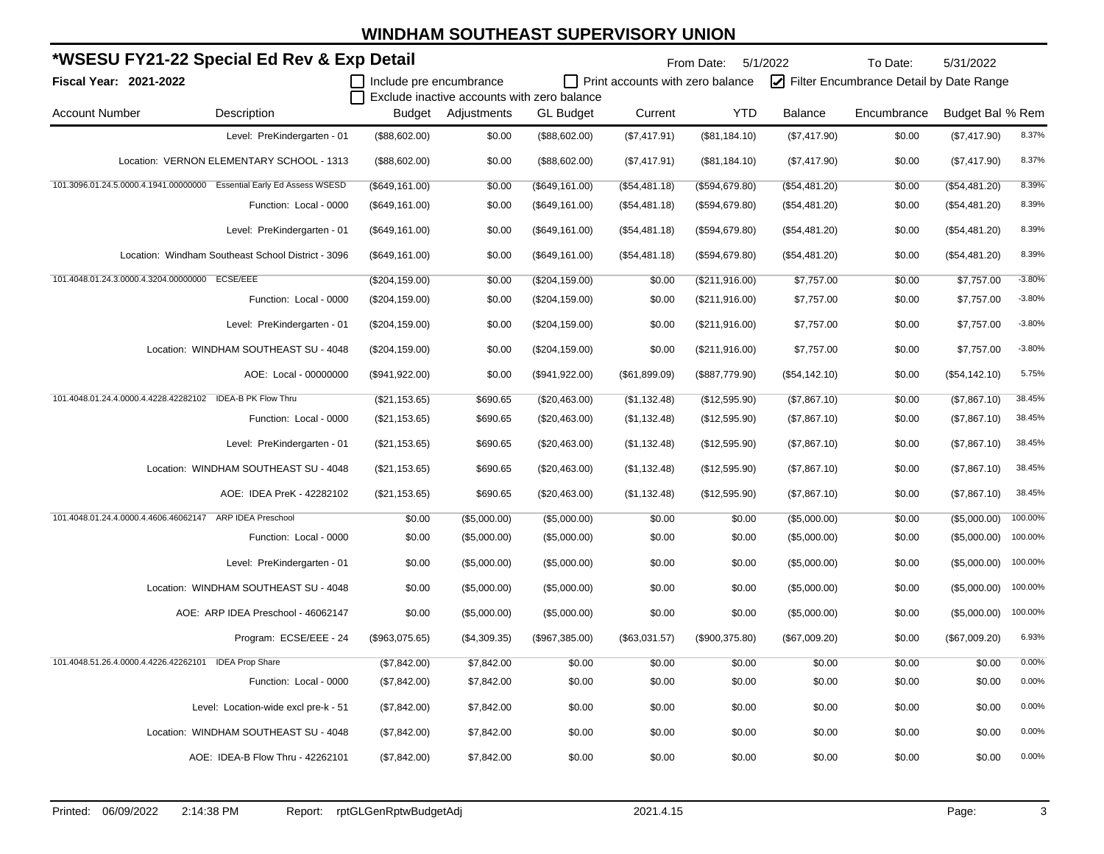|                                                | *WSESU FY21-22 Special Ed Rev & Exp Detail                            |                 |                                             |                  |                                         | From Date: 5/1/2022 |               | To Date:                                | 5/31/2022        |          |
|------------------------------------------------|-----------------------------------------------------------------------|-----------------|---------------------------------------------|------------------|-----------------------------------------|---------------------|---------------|-----------------------------------------|------------------|----------|
| Fiscal Year: 2021-2022                         |                                                                       |                 | Include pre encumbrance                     |                  | $\Box$ Print accounts with zero balance |                     |               | Filter Encumbrance Detail by Date Range |                  |          |
|                                                |                                                                       |                 | Exclude inactive accounts with zero balance |                  |                                         |                     |               |                                         |                  |          |
| <b>Account Number</b>                          | Description                                                           | Budget          | Adjustments                                 | <b>GL Budget</b> | Current                                 | <b>YTD</b>          | Balance       | Encumbrance                             | Budget Bal % Rem |          |
|                                                | Level: PreKindergarten - 01                                           | (\$88,602.00)   | \$0.00                                      | (\$88,602.00)    | (\$7,417.91)                            | (\$81,184.10)       | (\$7,417.90)  | \$0.00                                  | (\$7,417.90)     | 8.37%    |
|                                                | Location: VERNON ELEMENTARY SCHOOL - 1313                             | (\$88,602.00)   | \$0.00                                      | (\$88,602.00)    | (\$7,417.91)                            | (\$81,184.10)       | (\$7,417.90)  | \$0.00                                  | (\$7,417.90)     | 8.37%    |
|                                                | 101.3096.01.24.5.0000.4.1941.00000000 Essential Early Ed Assess WSESD | (\$649, 161.00) | \$0.00                                      | (\$649, 161.00)  | (\$54,481.18)                           | (\$594, 679.80)     | (\$54,481.20) | \$0.00                                  | (\$54,481.20)    | 8.39%    |
|                                                | Function: Local - 0000                                                | (\$649, 161.00) | \$0.00                                      | (\$649, 161.00)  | (\$54,481.18)                           | (\$594,679.80)      | (\$54,481.20) | \$0.00                                  | (\$54,481.20)    | 8.39%    |
|                                                | Level: PreKindergarten - 01                                           | (\$649, 161.00) | \$0.00                                      | (\$649, 161.00)  | (\$54,481.18)                           | (\$594,679.80)      | (\$54,481.20) | \$0.00                                  | (\$54,481.20)    | 8.39%    |
|                                                | Location: Windham Southeast School District - 3096                    | (\$649, 161.00) | \$0.00                                      | (\$649, 161.00)  | (\$54,481.18)                           | (\$594, 679.80)     | (\$54,481.20) | \$0.00                                  | (\$54,481.20)    | 8.39%    |
| 101.4048.01.24.3.0000.4.3204.00000000 ECSE/EEE |                                                                       | (\$204, 159.00) | \$0.00                                      | (\$204, 159.00)  | \$0.00                                  | (\$211,916.00)      | \$7,757.00    | \$0.00                                  | \$7,757.00       | $-3.80%$ |
|                                                | Function: Local - 0000                                                | (\$204, 159.00) | \$0.00                                      | (\$204, 159.00)  | \$0.00                                  | (\$211,916.00)      | \$7,757.00    | \$0.00                                  | \$7,757.00       | $-3.80%$ |
|                                                | Level: PreKindergarten - 01                                           | (\$204, 159.00) | \$0.00                                      | (\$204, 159.00)  | \$0.00                                  | (\$211,916.00)      | \$7,757.00    | \$0.00                                  | \$7,757.00       | $-3.80%$ |
|                                                | Location: WINDHAM SOUTHEAST SU - 4048                                 | (\$204, 159.00) | \$0.00                                      | (\$204, 159.00)  | \$0.00                                  | (\$211,916.00)      | \$7,757.00    | \$0.00                                  | \$7,757.00       | $-3.80%$ |
|                                                | AOE: Local - 00000000                                                 | (\$941,922.00)  | \$0.00                                      | (\$941,922.00)   | (\$61,899.09)                           | (\$887,779.90)      | (\$54,142.10) | \$0.00                                  | (\$54,142.10)    | 5.75%    |
|                                                | 101.4048.01.24.4.0000.4.4228.42282102 IDEA-B PK Flow Thru             | (\$21,153.65)   | \$690.65                                    | (\$20,463.00)    | (\$1,132.48)                            | (\$12,595.90)       | (\$7,867.10)  | \$0.00                                  | (\$7,867.10)     | 38.45%   |
|                                                | Function: Local - 0000                                                | (\$21,153.65)   | \$690.65                                    | (\$20,463.00)    | (\$1,132.48)                            | (\$12,595.90)       | (\$7,867.10)  | \$0.00                                  | (\$7,867.10)     | 38.45%   |
|                                                | Level: PreKindergarten - 01                                           | (\$21,153.65)   | \$690.65                                    | (\$20,463.00)    | (\$1,132.48)                            | (\$12,595.90)       | (\$7,867.10)  | \$0.00                                  | (\$7,867.10)     | 38.45%   |
|                                                | Location: WINDHAM SOUTHEAST SU - 4048                                 | (\$21,153.65)   | \$690.65                                    | (\$20,463.00)    | (\$1,132.48)                            | (\$12,595.90)       | (\$7,867.10)  | \$0.00                                  | (\$7,867.10)     | 38.45%   |
|                                                | AOE: IDEA PreK - 42282102                                             | (\$21,153.65)   | \$690.65                                    | (\$20,463.00)    | (\$1,132.48)                            | (\$12,595.90)       | (\$7,867.10)  | \$0.00                                  | (\$7,867.10)     | 38.45%   |
| 101.4048.01.24.4.0000.4.4606.46062147          | <b>ARP IDEA Preschool</b>                                             | \$0.00          | (\$5,000.00)                                | (\$5,000.00)     | \$0.00                                  | \$0.00              | (\$5,000.00)  | \$0.00                                  | (\$5,000.00)     | 100.00%  |
|                                                | Function: Local - 0000                                                | \$0.00          | (\$5,000.00)                                | (\$5,000.00)     | \$0.00                                  | \$0.00              | (\$5,000.00)  | \$0.00                                  | (\$5,000.00)     | 100.00%  |
|                                                | Level: PreKindergarten - 01                                           | \$0.00          | (\$5,000.00)                                | (\$5,000.00)     | \$0.00                                  | \$0.00              | (\$5,000.00)  | \$0.00                                  | (\$5,000.00)     | 100.00%  |
|                                                | Location: WINDHAM SOUTHEAST SU - 4048                                 | \$0.00          | (\$5,000.00)                                | (\$5,000.00)     | \$0.00                                  | \$0.00              | (\$5,000.00)  | \$0.00                                  | (\$5,000.00)     | 100.00%  |
|                                                | AOE: ARP IDEA Preschool - 46062147                                    | \$0.00          | (\$5,000.00)                                | (\$5,000.00)     | \$0.00                                  | \$0.00              | (\$5,000.00)  | \$0.00                                  | (\$5,000.00)     | 100.00%  |
|                                                | Program: ECSE/EEE - 24                                                | (\$963,075.65)  | (\$4,309.35)                                | (\$967,385.00)   | (\$63,031.57)                           | (\$900,375.80)      | (\$67,009.20) | \$0.00                                  | (\$67,009.20)    | 6.93%    |
|                                                | 101.4048.51.26.4.0000.4.4226.42262101 IDEA Prop Share                 | (\$7,842.00)    | \$7,842.00                                  | \$0.00           | \$0.00                                  | \$0.00              | \$0.00        | \$0.00                                  | \$0.00           | 0.00%    |
|                                                | Function: Local - 0000                                                | (\$7,842.00)    | \$7,842.00                                  | \$0.00           | \$0.00                                  | \$0.00              | \$0.00        | \$0.00                                  | \$0.00           | 0.00%    |
|                                                | Level: Location-wide excl pre-k - 51                                  | (\$7,842.00)    | \$7,842.00                                  | \$0.00           | \$0.00                                  | \$0.00              | \$0.00        | \$0.00                                  | \$0.00           | 0.00%    |
|                                                | Location: WINDHAM SOUTHEAST SU - 4048                                 | (\$7,842.00)    | \$7,842.00                                  | \$0.00           | \$0.00                                  | \$0.00              | \$0.00        | \$0.00                                  | \$0.00           | 0.00%    |
|                                                | AOE: IDEA-B Flow Thru - 42262101                                      | (\$7,842.00)    | \$7,842.00                                  | \$0.00           | \$0.00                                  | \$0.00              | \$0.00        | \$0.00                                  | \$0.00           | 0.00%    |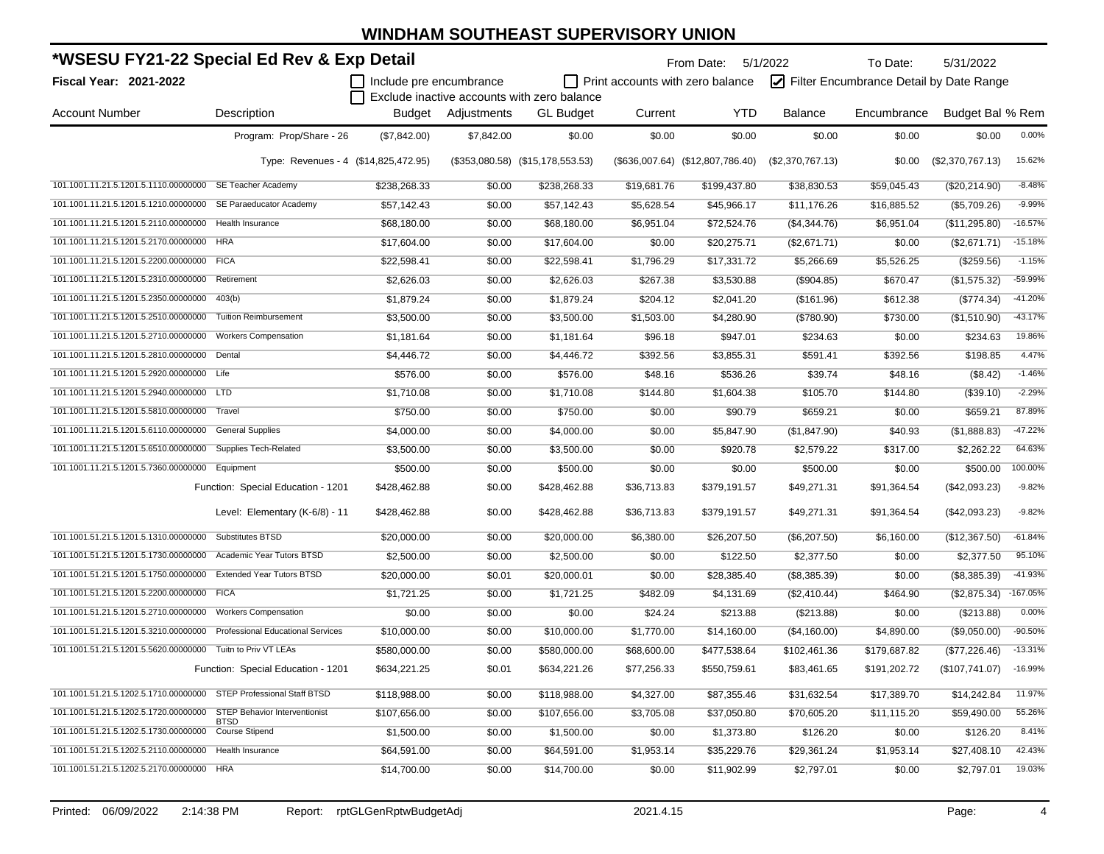| *WSESU FY21-22 Special Ed Rev & Exp Detail                              |                                      |                                |                    |                                             |                                         | From Date: 5/1/2022              |                  | To Date:                                | 5/31/2022        |            |
|-------------------------------------------------------------------------|--------------------------------------|--------------------------------|--------------------|---------------------------------------------|-----------------------------------------|----------------------------------|------------------|-----------------------------------------|------------------|------------|
| Fiscal Year: 2021-2022                                                  |                                      | $\Box$ Include pre encumbrance |                    |                                             | $\Box$ Print accounts with zero balance |                                  |                  | Filter Encumbrance Detail by Date Range |                  |            |
|                                                                         |                                      |                                |                    | Exclude inactive accounts with zero balance |                                         |                                  |                  |                                         |                  |            |
| <b>Account Number</b>                                                   | Description                          |                                | Budget Adjustments | <b>GL Budget</b>                            | Current                                 | <b>YTD</b>                       | <b>Balance</b>   | Encumbrance                             | Budget Bal % Rem |            |
|                                                                         | Program: Prop/Share - 26             | (\$7,842.00)                   | \$7,842.00         | \$0.00                                      | \$0.00                                  | \$0.00                           | \$0.00           | \$0.00                                  | \$0.00           | 0.00%      |
|                                                                         | Type: Revenues - 4 (\$14,825,472.95) |                                |                    | $($353,080.58)$ $($15,178,553.53)$          |                                         | (\$636,007.64) (\$12,807,786.40) | (\$2,370,767.13) | \$0.00                                  | (\$2,370,767.13) | 15.62%     |
| 101.1001.11.21.5.1201.5.1110.00000000 SE Teacher Academy                |                                      | \$238,268.33                   | \$0.00             | \$238,268.33                                | \$19,681.76                             | \$199,437.80                     | \$38,830.53      | \$59,045.43                             | (\$20,214.90)    | $-8.48%$   |
| 101.1001.11.21.5.1201.5.1210.00000000 SE Paraeducator Academy           |                                      | \$57,142.43                    | \$0.00             | \$57,142.43                                 | \$5,628.54                              | \$45,966.17                      | \$11,176.26      | \$16,885.52                             | (\$5,709.26)     | $-9.99%$   |
| 101.1001.11.21.5.1201.5.2110.00000000 Health Insurance                  |                                      | \$68,180.00                    | \$0.00             | \$68,180.00                                 | \$6,951.04                              | \$72,524.76                      | (\$4,344.76)     | \$6,951.04                              | (\$11,295.80)    | $-16.57%$  |
| 101.1001.11.21.5.1201.5.2170.00000000                                   | <b>HRA</b>                           | \$17,604.00                    | \$0.00             | \$17,604.00                                 | \$0.00                                  | \$20,275.71                      | (\$2,671.71)     | \$0.00                                  | (\$2,671.71)     | $-15.18%$  |
| 101.1001.11.21.5.1201.5.2200.00000000 FICA                              |                                      | \$22,598.41                    | \$0.00             | \$22,598.41                                 | \$1,796.29                              | \$17,331.72                      | \$5,266.69       | \$5,526.25                              | (\$259.56)       | $-1.15%$   |
| 101.1001.11.21.5.1201.5.2310.00000000                                   | Retirement                           | \$2,626.03                     | \$0.00             | \$2,626.03                                  | \$267.38                                | \$3,530.88                       | (\$904.85)       | \$670.47                                | (\$1,575.32)     | -59.99%    |
| 101.1001.11.21.5.1201.5.2350.00000000                                   | 403(b)                               | \$1,879.24                     | \$0.00             | \$1,879.24                                  | \$204.12                                | \$2,041.20                       | (\$161.96)       | \$612.38                                | $(\$774.34)$     | $-41.20%$  |
| 101.1001.11.21.5.1201.5.2510.00000000                                   | <b>Tuition Reimbursement</b>         | \$3,500.00                     | \$0.00             | \$3,500.00                                  | \$1,503.00                              | \$4,280.90                       | $(\$780.90)$     | \$730.00                                | (\$1,510.90)     | $-43.17%$  |
| 101.1001.11.21.5.1201.5.2710.00000000                                   | <b>Workers Compensation</b>          | \$1,181.64                     | \$0.00             | \$1,181.64                                  | \$96.18                                 | \$947.01                         | \$234.63         | \$0.00                                  | \$234.63         | 19.86%     |
| 101.1001.11.21.5.1201.5.2810.00000000 Dental                            |                                      | \$4,446.72                     | \$0.00             | \$4,446.72                                  | \$392.56                                | \$3,855.31                       | \$591.41         | \$392.56                                | \$198.85         | 4.47%      |
| 101.1001.11.21.5.1201.5.2920.00000000 Life                              |                                      | \$576.00                       | \$0.00             | \$576.00                                    | \$48.16                                 | \$536.26                         | \$39.74          | \$48.16                                 | (\$8.42)         | $-1.46%$   |
| 101.1001.11.21.5.1201.5.2940.00000000                                   | <b>LTD</b>                           | \$1,710.08                     | \$0.00             | \$1,710.08                                  | \$144.80                                | \$1,604.38                       | \$105.70         | \$144.80                                | (\$39.10)        | $-2.29%$   |
| 101.1001.11.21.5.1201.5.5810.00000000                                   | Travel                               | \$750.00                       | \$0.00             | \$750.00                                    | \$0.00                                  | \$90.79                          | \$659.21         | \$0.00                                  | \$659.21         | 87.89%     |
| 101.1001.11.21.5.1201.5.6110.00000000                                   | <b>General Supplies</b>              | \$4,000.00                     | \$0.00             | \$4,000.00                                  | \$0.00                                  | \$5,847.90                       | (\$1,847.90)     | \$40.93                                 | (\$1,888.83)     | $-47.22%$  |
| 101.1001.11.21.5.1201.5.6510.00000000 Supplies Tech-Related             |                                      | \$3,500.00                     | \$0.00             | \$3,500.00                                  | \$0.00                                  | \$920.78                         | \$2,579.22       | \$317.00                                | \$2,262.22       | 64.63%     |
| 101.1001.11.21.5.1201.5.7360.00000000                                   | Equipment                            | \$500.00                       | \$0.00             | \$500.00                                    | \$0.00                                  | \$0.00                           | \$500.00         | \$0.00                                  | \$500.00         | 100.00%    |
|                                                                         | Function: Special Education - 1201   | \$428,462.88                   | \$0.00             | \$428,462.88                                | \$36,713.83                             | \$379,191.57                     | \$49,271.31      | \$91,364.54                             | (\$42,093.23)    | $-9.82%$   |
|                                                                         | Level: Elementary (K-6/8) - 11       | \$428,462.88                   | \$0.00             | \$428,462.88                                | \$36,713.83                             | \$379,191.57                     | \$49,271.31      | \$91,364.54                             | (\$42,093.23)    | $-9.82%$   |
| 101.1001.51.21.5.1201.5.1310.00000000 Substitutes BTSD                  |                                      | \$20,000.00                    | \$0.00             | \$20,000.00                                 | \$6,380.00                              | \$26,207.50                      | (\$6,207.50)     | \$6,160.00                              | (\$12,367.50)    | $-61.84%$  |
| 101.1001.51.21.5.1201.5.1730.00000000                                   | Academic Year Tutors BTSD            | \$2,500.00                     | \$0.00             | \$2,500.00                                  | \$0.00                                  | \$122.50                         | \$2,377.50       | \$0.00                                  | \$2,377.50       | 95.10%     |
| 101.1001.51.21.5.1201.5.1750.00000000 Extended Year Tutors BTSD         |                                      | \$20,000.00                    | \$0.01             | \$20,000.01                                 | \$0.00                                  | \$28,385.40                      | (\$8,385.39)     | \$0.00                                  | (\$8,385.39)     | $-41.93%$  |
| 101.1001.51.21.5.1201.5.2200.00000000                                   | <b>FICA</b>                          | \$1,721.25                     | \$0.00             | \$1,721.25                                  | \$482.09                                | \$4,131.69                       | (\$2,410.44)     | \$464.90                                | (\$2,875.34)     | $-167.05%$ |
| 101.1001.51.21.5.1201.5.2710.00000000 Workers Compensation              |                                      | \$0.00                         | \$0.00             | \$0.00                                      | \$24.24                                 | \$213.88                         | (\$213.88)       | \$0.00                                  | (\$213.88)       | 0.00%      |
| 101.1001.51.21.5.1201.5.3210.00000000 Professional Educational Services |                                      | \$10,000.00                    | \$0.00             | \$10,000.00                                 | \$1,770.00                              | \$14,160.00                      | (\$4,160.00)     | \$4,890.00                              | (\$9,050.00)     | $-90.50%$  |
| 101.1001.51.21.5.1201.5.5620.00000000 Tuitn to Priv VT LEAs             |                                      | \$580,000.00                   | \$0.00             | \$580,000.00                                | \$68,600.00                             | \$477,538.64                     | \$102,461.36     | \$179,687.82                            | (\$77,226.46)    | $-13.31%$  |
|                                                                         | Function: Special Education - 1201   | \$634,221.25                   | \$0.01             | \$634,221.26                                | \$77,256.33                             | \$550,759.61                     | \$83,461.65      | \$191,202.72                            | (\$107,741.07)   | $-16.99%$  |
| 101.1001.51.21.5.1202.5.1710.00000000 STEP Professional Staff BTSD      |                                      | \$118,988.00                   | \$0.00             | \$118,988.00                                | \$4,327.00                              | \$87,355.46                      | \$31,632.54      | \$17,389.70                             | \$14,242.84      | 11.97%     |
| 101.1001.51.21.5.1202.5.1720.00000000 STEP Behavior Interventionist     | <b>BTSD</b>                          | \$107,656.00                   | \$0.00             | \$107,656.00                                | \$3,705.08                              | \$37,050.80                      | \$70,605.20      | \$11,115.20                             | \$59,490.00      | 55.26%     |
| 101.1001.51.21.5.1202.5.1730.00000000 Course Stipend                    |                                      | \$1,500.00                     | \$0.00             | \$1,500.00                                  | \$0.00                                  | \$1,373.80                       | \$126.20         | \$0.00                                  | \$126.20         | 8.41%      |
| 101.1001.51.21.5.1202.5.2110.00000000 Health Insurance                  |                                      | \$64,591.00                    | \$0.00             | \$64,591.00                                 | \$1,953.14                              | \$35,229.76                      | \$29,361.24      | \$1,953.14                              | \$27,408.10      | 42.43%     |
| 101.1001.51.21.5.1202.5.2170.00000000 HRA                               |                                      | \$14,700.00                    | \$0.00             | \$14,700.00                                 | \$0.00                                  | \$11,902.99                      | \$2,797.01       | \$0.00                                  | \$2,797.01       | 19.03%     |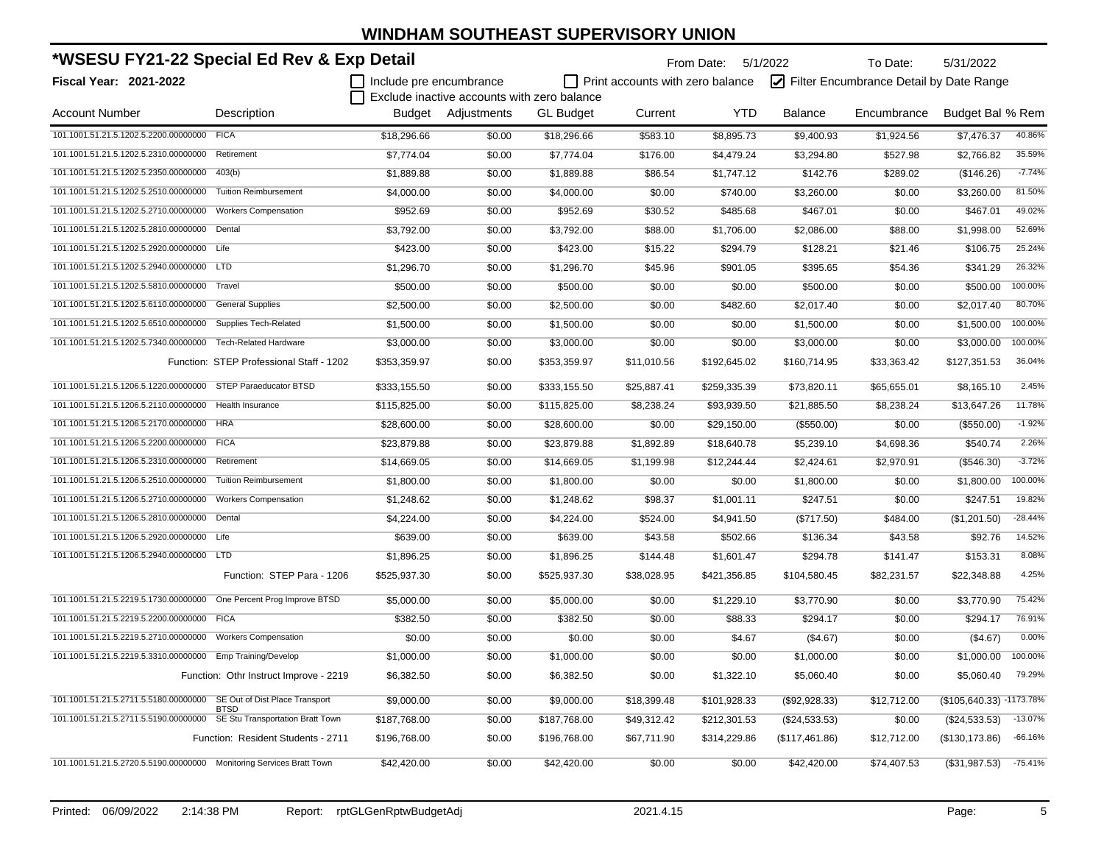| *WSESU FY21-22 Special Ed Rev & Exp Detail                             |                                          |                         |                                             |                  | From Date: 5/1/2022              |              | To Date:       | 5/31/2022                               |                          |           |
|------------------------------------------------------------------------|------------------------------------------|-------------------------|---------------------------------------------|------------------|----------------------------------|--------------|----------------|-----------------------------------------|--------------------------|-----------|
| <b>Fiscal Year: 2021-2022</b>                                          |                                          | Include pre encumbrance | Exclude inactive accounts with zero balance |                  | Print accounts with zero balance |              |                | Filter Encumbrance Detail by Date Range |                          |           |
| <b>Account Number</b>                                                  | Description                              |                         | <b>Budget</b> Adjustments                   | <b>GL Budget</b> | Current                          | <b>YTD</b>   | <b>Balance</b> | Encumbrance                             | Budget Bal % Rem         |           |
| 101.1001.51.21.5.1202.5.2200.00000000                                  | <b>FICA</b>                              | \$18,296.66             | \$0.00                                      | \$18,296.66      | \$583.10                         | \$8,895.73   | \$9,400.93     | \$1,924.56                              | \$7,476.37               | 40.86%    |
| 101.1001.51.21.5.1202.5.2310.00000000                                  | Retirement                               | \$7,774.04              | \$0.00                                      | \$7,774.04       | \$176.00                         | \$4,479.24   | \$3,294.80     | \$527.98                                | \$2,766.82               | 35.59%    |
| 101.1001.51.21.5.1202.5.2350.00000000                                  | 403(b)                                   | \$1,889.88              | \$0.00                                      | \$1,889.88       | \$86.54                          | \$1,747.12   | \$142.76       | \$289.02                                | (\$146.26)               | $-7.74%$  |
| 101.1001.51.21.5.1202.5.2510.00000000                                  | <b>Tuition Reimbursement</b>             | \$4,000.00              | \$0.00                                      | \$4,000.00       | \$0.00                           | \$740.00     | \$3,260.00     | \$0.00                                  | \$3,260.00               | 81.50%    |
| 101.1001.51.21.5.1202.5.2710.00000000 Workers Compensation             |                                          | \$952.69                | \$0.00                                      | \$952.69         | \$30.52                          | \$485.68     | \$467.01       | \$0.00                                  | \$467.01                 | 49.02%    |
| 101.1001.51.21.5.1202.5.2810.00000000 Dental                           |                                          | \$3,792.00              | \$0.00                                      | \$3,792.00       | \$88.00                          | \$1,706.00   | \$2,086.00     | \$88.00                                 | \$1,998.00               | 52.69%    |
| 101.1001.51.21.5.1202.5.2920.00000000 Life                             |                                          | \$423.00                | \$0.00                                      | \$423.00         | \$15.22                          | \$294.79     | \$128.21       | \$21.46                                 | \$106.75                 | 25.24%    |
| 101.1001.51.21.5.1202.5.2940.00000000 LTD                              |                                          | \$1,296.70              | \$0.00                                      | \$1,296.70       | \$45.96                          | \$901.05     | \$395.65       | \$54.36                                 | \$341.29                 | 26.32%    |
| 101.1001.51.21.5.1202.5.5810.00000000 Travel                           |                                          | \$500.00                | \$0.00                                      | \$500.00         | \$0.00                           | \$0.00       | \$500.00       | \$0.00                                  | \$500.00                 | 100.00%   |
| 101.1001.51.21.5.1202.5.6110.00000000 General Supplies                 |                                          | \$2,500.00              | \$0.00                                      | \$2,500.00       | \$0.00                           | \$482.60     | \$2,017.40     | \$0.00                                  | \$2,017.40               | 80.70%    |
| 101.1001.51.21.5.1202.5.6510.00000000 Supplies Tech-Related            |                                          | \$1,500.00              | \$0.00                                      | \$1,500.00       | \$0.00                           | \$0.00       | \$1,500.00     | \$0.00                                  | \$1,500.00               | 100.00%   |
| 101.1001.51.21.5.1202.5.7340.00000000 Tech-Related Hardware            |                                          | \$3,000.00              | \$0.00                                      | \$3,000.00       | \$0.00                           | \$0.00       | \$3,000.00     | \$0.00                                  | \$3,000.00               | 100.00%   |
|                                                                        | Function: STEP Professional Staff - 1202 | \$353,359.97            | \$0.00                                      | \$353,359.97     | \$11,010.56                      | \$192,645.02 | \$160,714.95   | \$33,363.42                             | \$127,351.53             | 36.04%    |
| 101.1001.51.21.5.1206.5.1220.00000000 STEP Paraeducator BTSD           |                                          | \$333,155.50            | \$0.00                                      | \$333,155.50     | \$25,887.41                      | \$259,335.39 | \$73,820.11    | \$65,655.01                             | \$8,165.10               | 2.45%     |
| 101.1001.51.21.5.1206.5.2110.00000000 Health Insurance                 |                                          | \$115,825.00            | \$0.00                                      | \$115,825.00     | \$8,238.24                       | \$93,939.50  | \$21,885.50    | \$8,238.24                              | \$13,647.26              | 11.78%    |
| 101.1001.51.21.5.1206.5.2170.00000000 HRA                              |                                          | \$28,600.00             | \$0.00                                      | \$28,600.00      | \$0.00                           | \$29,150.00  | (\$550.00)     | \$0.00                                  | (\$550.00)               | $-1.92%$  |
| 101.1001.51.21.5.1206.5.2200.00000000 FICA                             |                                          | \$23,879.88             | \$0.00                                      | \$23,879.88      | \$1,892.89                       | \$18,640.78  | \$5,239.10     | \$4,698.36                              | \$540.74                 | 2.26%     |
| 101.1001.51.21.5.1206.5.2310.00000000 Retirement                       |                                          | \$14,669.05             | \$0.00                                      | \$14,669.05      | \$1,199.98                       | \$12,244.44  | \$2,424.61     | \$2,970.91                              | (\$546.30)               | $-3.72%$  |
| 101.1001.51.21.5.1206.5.2510.00000000                                  | <b>Tuition Reimbursement</b>             | \$1,800.00              | \$0.00                                      | \$1,800.00       | \$0.00                           | \$0.00       | \$1,800.00     | \$0.00                                  | \$1,800.00               | 100.00%   |
| 101.1001.51.21.5.1206.5.2710.00000000                                  | <b>Workers Compensation</b>              | \$1,248.62              | \$0.00                                      | \$1,248.62       | \$98.37                          | \$1,001.11   | \$247.51       | \$0.00                                  | \$247.51                 | 19.82%    |
| 101.1001.51.21.5.1206.5.2810.00000000 Dental                           |                                          | \$4,224.00              | \$0.00                                      | \$4,224.00       | \$524.00                         | \$4,941.50   | (\$717.50)     | \$484.00                                | (\$1,201.50)             | $-28.44%$ |
| 101.1001.51.21.5.1206.5.2920.00000000 Life                             |                                          | \$639.00                | \$0.00                                      | \$639.00         | \$43.58                          | \$502.66     | \$136.34       | \$43.58                                 | \$92.76                  | 14.52%    |
| 101.1001.51.21.5.1206.5.2940.00000000 LTD                              |                                          | \$1,896.25              | \$0.00                                      | \$1,896.25       | \$144.48                         | \$1,601.47   | \$294.78       | \$141.47                                | \$153.31                 | 8.08%     |
|                                                                        | Function: STEP Para - 1206               | \$525,937.30            | \$0.00                                      | \$525,937.30     | \$38,028.95                      | \$421,356.85 | \$104,580.45   | \$82,231.57                             | \$22,348.88              | 4.25%     |
| 101.1001.51.21.5.2219.5.1730.00000000 One Percent Prog Improve BTSD    |                                          | \$5,000.00              | \$0.00                                      | \$5,000.00       | \$0.00                           | \$1,229.10   | \$3,770.90     | \$0.00                                  | \$3,770.90               | 75.42%    |
| 101.1001.51.21.5.2219.5.2200.00000000 FICA                             |                                          | \$382.50                | \$0.00                                      | \$382.50         | \$0.00                           | \$88.33      | \$294.17       | \$0.00                                  | \$294.17                 | 76.91%    |
| 101.1001.51.21.5.2219.5.2710.00000000 Workers Compensation             |                                          | \$0.00                  | \$0.00                                      | \$0.00           | \$0.00                           | \$4.67       | (\$4.67)       | \$0.00                                  | (\$4.67)                 | 0.00%     |
| 101.1001.51.21.5.2219.5.3310.00000000 Emp Training/Develop             |                                          | \$1,000.00              | \$0.00                                      | \$1,000.00       | \$0.00                           | \$0.00       | \$1,000.00     | \$0.00                                  | \$1,000.00               | 100.00%   |
|                                                                        | Function: Othr Instruct Improve - 2219   | \$6,382.50              | \$0.00                                      | \$6,382.50       | \$0.00                           | \$1,322.10   | \$5,060.40     | \$0.00                                  | \$5,060.40               | 79.29%    |
| 101.1001.51.21.5.2711.5.5180.00000000 SE Out of Dist Place Transport   | <b>BTSD</b>                              | \$9,000.00              | \$0.00                                      | \$9,000.00       | \$18,399.48                      | \$101,928.33 | (\$92,928.33)  | \$12,712.00                             | (\$105,640.33) -1173.78% |           |
| 101.1001.51.21.5.2711.5.5190.00000000 SE Stu Transportation Bratt Town |                                          | \$187,768.00            | \$0.00                                      | \$187,768.00     | \$49,312.42                      | \$212,301.53 | (\$24,533.53)  | \$0.00                                  | (\$24,533.53)            | $-13.07%$ |
|                                                                        | Function: Resident Students - 2711       | \$196,768.00            | \$0.00                                      | \$196,768.00     | \$67,711.90                      | \$314,229.86 | (\$117,461.86) | \$12,712.00                             | (\$130, 173.86)          | $-66.16%$ |
| 101.1001.51.21.5.2720.5.5190.00000000 Monitoring Services Bratt Town   |                                          | \$42.420.00             | \$0.00                                      | \$42,420.00      | \$0.00                           | \$0.00       | \$42,420.00    | \$74,407.53                             | (\$31,987.53)            | $-75.41%$ |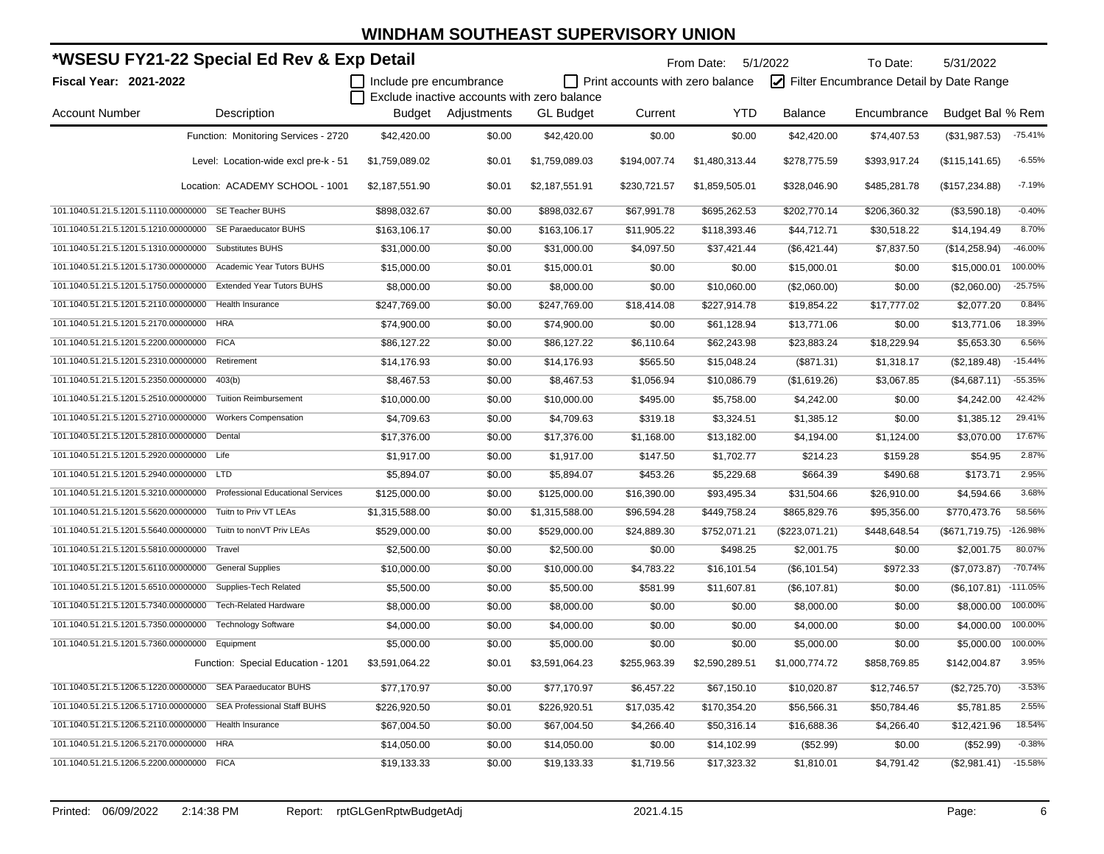|                                                  | *WSESU FY21-22 Special Ed Rev & Exp Detail                        |                         |                                             |                  |                                  | From Date: 5/1/2022 |                   | To Date:                                | 5/31/2022              |            |
|--------------------------------------------------|-------------------------------------------------------------------|-------------------------|---------------------------------------------|------------------|----------------------------------|---------------------|-------------------|-----------------------------------------|------------------------|------------|
| <b>Fiscal Year: 2021-2022</b>                    |                                                                   | Include pre encumbrance |                                             |                  | Print accounts with zero balance |                     |                   | Filter Encumbrance Detail by Date Range |                        |            |
|                                                  |                                                                   |                         | Exclude inactive accounts with zero balance |                  |                                  |                     |                   |                                         |                        |            |
| <b>Account Number</b>                            | Description                                                       |                         | Budget Adjustments                          | <b>GL Budget</b> | Current                          | <b>YTD</b>          | <b>Balance</b>    | Encumbrance                             | Budget Bal % Rem       |            |
|                                                  | Function: Monitoring Services - 2720                              | \$42,420.00             | \$0.00                                      | \$42,420.00      | \$0.00                           | \$0.00              | \$42,420.00       | \$74,407.53                             | (\$31,987.53)          | $-75.41%$  |
|                                                  | Level: Location-wide excl pre-k - 51                              | \$1,759,089.02          | \$0.01                                      | \$1,759,089.03   | \$194,007.74                     | \$1,480,313.44      | \$278,775.59      | \$393,917.24                            | (\$115, 141.65)        | $-6.55%$   |
|                                                  | Location: ACADEMY SCHOOL - 1001                                   | \$2,187,551.90          | \$0.01                                      | \$2,187,551.91   | \$230,721.57                     | \$1,859,505.01      | \$328,046.90      | \$485,281.78                            | (\$157,234.88)         | $-7.19%$   |
|                                                  | 101.1040.51.21.5.1201.5.1110.00000000 SE Teacher BUHS             | \$898,032.67            | \$0.00                                      | \$898,032.67     | \$67,991.78                      | \$695,262.53        | \$202,770.14      | \$206,360.32                            | (\$3,590.18)           | $-0.40%$   |
|                                                  | 101.1040.51.21.5.1201.5.1210.00000000 SE Paraeducator BUHS        | \$163,106.17            | \$0.00                                      | \$163,106.17     | \$11,905.22                      | \$118,393.46        | \$44,712.71       | \$30,518.22                             | \$14,194.49            | 8.70%      |
|                                                  | 101.1040.51.21.5.1201.5.1310.00000000 Substitutes BUHS            | \$31.000.00             | \$0.00                                      | \$31,000.00      | \$4,097.50                       | \$37,421.44         | (\$6,421.44)      | \$7,837.50                              | (\$14,258.94)          | $-46.00%$  |
|                                                  | 101.1040.51.21.5.1201.5.1730.00000000 Academic Year Tutors BUHS   | \$15,000.00             | \$0.01                                      | \$15,000.01      | \$0.00                           | \$0.00              | \$15,000.01       | \$0.00                                  | \$15,000.01            | 100.00%    |
|                                                  | 101.1040.51.21.5.1201.5.1750.00000000 Extended Year Tutors BUHS   | \$8,000.00              | \$0.00                                      | \$8,000.00       | \$0.00                           | \$10,060.00         | (\$2,060.00)      | \$0.00                                  | (\$2,060.00)           | $-25.75%$  |
| 101.1040.51.21.5.1201.5.2110.00000000            | Health Insurance                                                  | \$247,769.00            | \$0.00                                      | \$247,769.00     | \$18,414.08                      | \$227,914.78        | \$19,854.22       | \$17,777.02                             | \$2,077.20             | 0.84%      |
| 101.1040.51.21.5.1201.5.2170.00000000 HRA        |                                                                   | \$74,900.00             | \$0.00                                      | \$74,900.00      | \$0.00                           | \$61,128.94         | \$13,771.06       | \$0.00                                  | \$13,771.06            | 18.39%     |
| 101.1040.51.21.5.1201.5.2200.00000000 FICA       |                                                                   | \$86,127.22             | \$0.00                                      | \$86,127.22      | \$6,110.64                       | \$62,243.98         | \$23,883.24       | \$18,229.94                             | \$5,653.30             | 6.56%      |
| 101.1040.51.21.5.1201.5.2310.00000000 Retirement |                                                                   | \$14,176.93             | \$0.00                                      | \$14,176.93      | \$565.50                         | \$15,048.24         | (\$871.31)        | \$1,318.17                              | (\$2,189.48)           | $-15.44%$  |
| 101.1040.51.21.5.1201.5.2350.00000000 403(b)     |                                                                   | \$8,467.53              | \$0.00                                      | \$8,467.53       | \$1,056.94                       | \$10,086.79         | (\$1,619.26)      | \$3,067.85                              | (\$4,687.11)           | $-55.35%$  |
|                                                  | 101.1040.51.21.5.1201.5.2510.00000000 Tuition Reimbursement       | \$10,000.00             | \$0.00                                      | \$10,000.00      | \$495.00                         | \$5,758.00          | \$4,242.00        | \$0.00                                  | \$4,242.00             | 42.42%     |
|                                                  | 101.1040.51.21.5.1201.5.2710.00000000 Workers Compensation        | \$4,709.63              | \$0.00                                      | \$4,709.63       | \$319.18                         | \$3,324.51          | \$1,385.12        | \$0.00                                  | \$1,385.12             | 29.41%     |
| 101.1040.51.21.5.1201.5.2810.00000000 Dental     |                                                                   | \$17,376.00             | \$0.00                                      | \$17,376.00      | \$1,168.00                       | \$13,182.00         | \$4,194.00        | \$1,124.00                              | \$3,070.00             | 17.67%     |
| 101.1040.51.21.5.1201.5.2920.00000000 Life       |                                                                   | \$1,917.00              | \$0.00                                      | \$1,917.00       | \$147.50                         | \$1,702.77          | \$214.23          | \$159.28                                | \$54.95                | 2.87%      |
| 101.1040.51.21.5.1201.5.2940.00000000 LTD        |                                                                   | \$5,894.07              | \$0.00                                      | \$5,894.07       | \$453.26                         | \$5,229.68          | \$664.39          | \$490.68                                | \$173.71               | 2.95%      |
| 101.1040.51.21.5.1201.5.3210.00000000            | <b>Professional Educational Services</b>                          | \$125,000.00            | \$0.00                                      | \$125,000.00     | \$16,390.00                      | \$93,495.34         | \$31,504.66       | \$26,910.00                             | \$4,594.66             | 3.68%      |
| 101.1040.51.21.5.1201.5.5620.00000000            | Tuitn to Priv VT LEAs                                             | \$1,315,588.00          | \$0.00                                      | \$1,315,588.00   | \$96,594.28                      | \$449,758.24        | \$865,829.76      | \$95,356.00                             | \$770,473.76           | 58.56%     |
| 101.1040.51.21.5.1201.5.5640.00000000            | Tuitn to nonVT Priv LEAs                                          | \$529,000.00            | \$0.00                                      | \$529,000.00     | \$24,889.30                      | \$752,071.21        | $($ \$223,071.21) | \$448,648.54                            | (\$671,719.75)         | $-126.98%$ |
| 101.1040.51.21.5.1201.5.5810.00000000            | Travel                                                            | \$2,500.00              | \$0.00                                      | \$2,500.00       | \$0.00                           | \$498.25            | \$2,001.75        | \$0.00                                  | \$2,001.75             | 80.07%     |
| 101.1040.51.21.5.1201.5.6110.00000000            | <b>General Supplies</b>                                           | \$10,000.00             | \$0.00                                      | \$10,000.00      | \$4,783.22                       | \$16,101.54         | (\$6,101.54)      | \$972.33                                | $($ \$7,073.87)        | $-70.74%$  |
| 101.1040.51.21.5.1201.5.6510.00000000            | Supplies-Tech Related                                             | \$5,500.00              | \$0.00                                      | \$5,500.00       | \$581.99                         | \$11,607.81         | (\$6,107.81)      | \$0.00                                  | $($6,107.81)$ -111.05% |            |
| 101.1040.51.21.5.1201.5.7340.00000000            | <b>Tech-Related Hardware</b>                                      | \$8,000.00              | \$0.00                                      | \$8,000.00       | \$0.00                           | \$0.00              | \$8,000.00        | \$0.00                                  | \$8,000.00             | 100.00%    |
|                                                  | 101.1040.51.21.5.1201.5.7350.00000000 Technology Software         | \$4,000.00              | \$0.00                                      | \$4,000.00       | \$0.00                           | \$0.00              | \$4,000.00        | \$0.00                                  | \$4,000.00             | 100.00%    |
| 101.1040.51.21.5.1201.5.7360.00000000 Equipment  |                                                                   | \$5,000.00              | \$0.00                                      | \$5,000.00       | \$0.00                           | \$0.00              | \$5,000.00        | \$0.00                                  | \$5,000.00             | 100.00%    |
|                                                  | Function: Special Education - 1201                                | \$3,591,064.22          | \$0.01                                      | \$3,591,064.23   | \$255,963.39                     | \$2,590,289.51      | \$1,000,774.72    | \$858,769.85                            | \$142,004.87           | 3.95%      |
|                                                  | 101.1040.51.21.5.1206.5.1220.00000000 SEA Paraeducator BUHS       | \$77,170.97             | \$0.00                                      | \$77,170.97      | \$6,457.22                       | \$67,150.10         | \$10,020.87       | \$12,746.57                             | (\$2,725.70)           | $-3.53%$   |
|                                                  | 101.1040.51.21.5.1206.5.1710.00000000 SEA Professional Staff BUHS | \$226,920.50            | \$0.01                                      | \$226,920.51     | \$17,035.42                      | \$170,354.20        | \$56,566.31       | \$50,784.46                             | \$5,781.85             | 2.55%      |
|                                                  | 101.1040.51.21.5.1206.5.2110.00000000 Health Insurance            | \$67,004.50             | \$0.00                                      | \$67,004.50      | \$4,266.40                       | \$50,316.14         | \$16,688.36       | \$4,266.40                              | \$12,421.96            | 18.54%     |
| 101.1040.51.21.5.1206.5.2170.00000000            | <b>HRA</b>                                                        | \$14,050.00             | \$0.00                                      | \$14,050.00      | \$0.00                           | \$14,102.99         | (\$52.99)         | \$0.00                                  | (\$52.99)              | $-0.38%$   |
| 101.1040.51.21.5.1206.5.2200.00000000 FICA       |                                                                   | \$19,133.33             | \$0.00                                      | \$19,133.33      | \$1,719.56                       | \$17,323.32         | \$1,810.01        | \$4,791.42                              | (\$2,981.41)           | $-15.58%$  |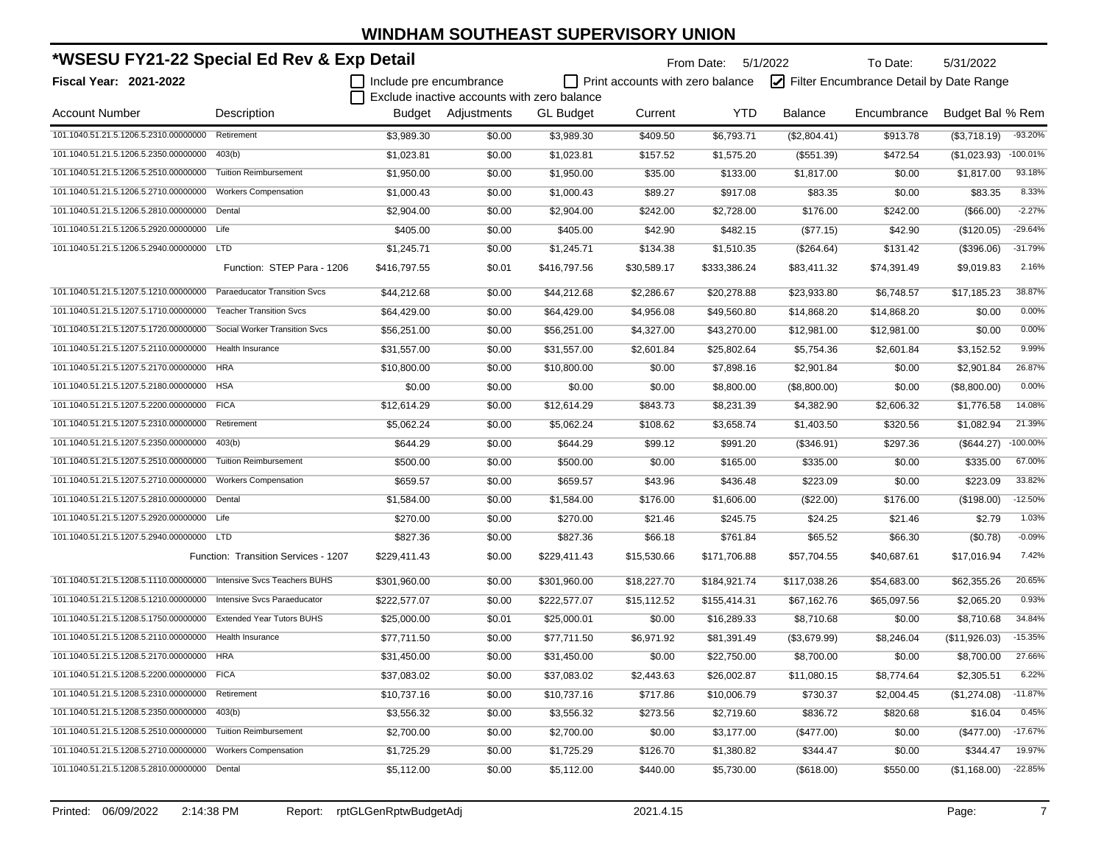| *WSESU FY21-22 Special Ed Rev & Exp Detail                         |                                      |                         |                                             |                  |                                  | From Date: 5/1/2022 |                | To Date:                                | 5/31/2022        |             |
|--------------------------------------------------------------------|--------------------------------------|-------------------------|---------------------------------------------|------------------|----------------------------------|---------------------|----------------|-----------------------------------------|------------------|-------------|
| Fiscal Year: 2021-2022                                             |                                      | Include pre encumbrance | Exclude inactive accounts with zero balance |                  | Print accounts with zero balance |                     |                | Filter Encumbrance Detail by Date Range |                  |             |
| Account Number                                                     | Description                          |                         | Budget Adjustments                          | <b>GL Budget</b> | Current                          | <b>YTD</b>          | <b>Balance</b> | Encumbrance                             | Budget Bal % Rem |             |
| 101.1040.51.21.5.1206.5.2310.00000000                              | Retirement                           | \$3,989.30              | \$0.00                                      | \$3,989.30       | \$409.50                         | \$6,793.71          | (\$2,804.41)   | \$913.78                                | (\$3,718.19)     | $-93.20%$   |
| 101.1040.51.21.5.1206.5.2350.00000000                              | 403(b)                               | \$1,023.81              | \$0.00                                      | \$1,023.81       | \$157.52                         | \$1,575.20          | (\$551.39)     | \$472.54                                | (\$1,023.93)     | $-100.01%$  |
| 101.1040.51.21.5.1206.5.2510.00000000                              | <b>Tuition Reimbursement</b>         | \$1,950.00              | \$0.00                                      | \$1,950.00       | \$35.00                          | \$133.00            | \$1,817.00     | \$0.00                                  | \$1,817.00       | 93.18%      |
| 101.1040.51.21.5.1206.5.2710.00000000                              | <b>Workers Compensation</b>          | \$1,000.43              | \$0.00                                      | \$1,000.43       | \$89.27                          | \$917.08            | \$83.35        | \$0.00                                  | \$83.35          | 8.33%       |
| 101.1040.51.21.5.1206.5.2810.00000000                              | Dental                               | \$2,904.00              | \$0.00                                      | \$2,904.00       | \$242.00                         | \$2,728.00          | \$176.00       | \$242.00                                | (\$66.00)        | $-2.27%$    |
| 101.1040.51.21.5.1206.5.2920.00000000 Life                         |                                      | \$405.00                | \$0.00                                      | \$405.00         | \$42.90                          | \$482.15            | (\$77.15)      | \$42.90                                 | (\$120.05)       | $-29.64%$   |
| 101.1040.51.21.5.1206.5.2940.00000000                              | <b>LTD</b>                           | \$1,245.71              | \$0.00                                      | \$1,245.71       | \$134.38                         | \$1,510.35          | (\$264.64)     | \$131.42                                | (\$396.06)       | $-31.79%$   |
|                                                                    | Function: STEP Para - 1206           | \$416,797.55            | \$0.01                                      | \$416,797.56     | \$30,589.17                      | \$333,386.24        | \$83,411.32    | \$74,391.49                             | \$9,019.83       | 2.16%       |
| 101.1040.51.21.5.1207.5.1210.00000000                              | <b>Paraeducator Transition Svcs</b>  | \$44,212.68             | \$0.00                                      | \$44,212.68      | \$2,286.67                       | \$20,278.88         | \$23,933.80    | \$6,748.57                              | \$17,185.23      | 38.87%      |
| 101.1040.51.21.5.1207.5.1710.00000000                              | <b>Teacher Transition Svcs</b>       | \$64,429.00             | \$0.00                                      | \$64,429.00      | \$4,956.08                       | \$49,560.80         | \$14,868.20    | \$14,868.20                             | \$0.00           | 0.00%       |
| 101.1040.51.21.5.1207.5.1720.00000000                              | Social Worker Transition Svcs        | \$56,251.00             | \$0.00                                      | \$56,251.00      | \$4,327.00                       | \$43,270.00         | \$12,981.00    | \$12,981.00                             | \$0.00           | 0.00%       |
| 101.1040.51.21.5.1207.5.2110.00000000                              | <b>Health Insurance</b>              | \$31,557.00             | \$0.00                                      | \$31,557.00      | \$2,601.84                       | \$25,802.64         | \$5,754.36     | \$2,601.84                              | \$3,152.52       | 9.99%       |
| 101.1040.51.21.5.1207.5.2170.00000000                              | <b>HRA</b>                           | \$10,800.00             | \$0.00                                      | \$10,800.00      | \$0.00                           | \$7,898.16          | \$2,901.84     | \$0.00                                  | \$2,901.84       | 26.87%      |
| 101.1040.51.21.5.1207.5.2180.00000000 HSA                          |                                      | \$0.00                  | \$0.00                                      | \$0.00           | \$0.00                           | \$8,800.00          | (\$8,800.00)   | \$0.00                                  | (\$8,800.00)     | 0.00%       |
| 101.1040.51.21.5.1207.5.2200.00000000 FICA                         |                                      | \$12,614.29             | \$0.00                                      | \$12,614.29      | \$843.73                         | \$8,231.39          | \$4,382.90     | \$2,606.32                              | \$1,776.58       | 14.08%      |
| 101.1040.51.21.5.1207.5.2310.00000000                              | Retirement                           | \$5,062.24              | \$0.00                                      | \$5,062.24       | \$108.62                         | \$3,658.74          | \$1,403.50     | \$320.56                                | \$1,082.94       | 21.39%      |
| 101.1040.51.21.5.1207.5.2350.00000000                              | 403(b)                               | \$644.29                | \$0.00                                      | \$644.29         | \$99.12                          | \$991.20            | (\$346.91)     | \$297.36                                | (\$644.27)       | $-100.00\%$ |
| 101.1040.51.21.5.1207.5.2510.00000000                              | <b>Tuition Reimbursement</b>         | \$500.00                | \$0.00                                      | \$500.00         | \$0.00                           | \$165.00            | \$335.00       | \$0.00                                  | \$335.00         | 67.00%      |
| 101.1040.51.21.5.1207.5.2710.00000000                              | <b>Workers Compensation</b>          | \$659.57                | \$0.00                                      | \$659.57         | \$43.96                          | \$436.48            | \$223.09       | \$0.00                                  | \$223.09         | 33.82%      |
| 101.1040.51.21.5.1207.5.2810.00000000                              | Dental                               | \$1,584.00              | \$0.00                                      | \$1,584.00       | \$176.00                         | \$1,606.00          | $(\$22.00)$    | \$176.00                                | (\$198.00)       | $-12.50%$   |
| 101.1040.51.21.5.1207.5.2920.00000000 Life                         |                                      | \$270.00                | \$0.00                                      | \$270.00         | \$21.46                          | \$245.75            | \$24.25        | \$21.46                                 | \$2.79           | 1.03%       |
| 101.1040.51.21.5.1207.5.2940.00000000 LTD                          |                                      | \$827.36                | \$0.00                                      | \$827.36         | \$66.18                          | \$761.84            | \$65.52        | \$66.30                                 | (\$0.78)         | $-0.09%$    |
|                                                                    | Function: Transition Services - 1207 | \$229,411.43            | \$0.00                                      | \$229,411.43     | \$15,530.66                      | \$171,706.88        | \$57,704.55    | \$40,687.61                             | \$17,016.94      | 7.42%       |
| 101.1040.51.21.5.1208.5.1110.00000000 Intensive Svcs Teachers BUHS |                                      | \$301,960.00            | \$0.00                                      | \$301,960.00     | \$18,227.70                      | \$184,921.74        | \$117,038.26   | \$54,683.00                             | \$62,355.26      | 20.65%      |
| 101.1040.51.21.5.1208.5.1210.00000000                              | Intensive Svcs Paraeducator          | \$222,577.07            | \$0.00                                      | \$222,577.07     | \$15,112.52                      | \$155,414.31        | \$67,162.76    | \$65,097.56                             | \$2,065.20       | 0.93%       |
| 101.1040.51.21.5.1208.5.1750.00000000                              | <b>Extended Year Tutors BUHS</b>     | \$25,000.00             | \$0.01                                      | \$25,000.01      | \$0.00                           | \$16,289.33         | \$8,710.68     | \$0.00                                  | \$8.710.68       | 34.84%      |
| 101.1040.51.21.5.1208.5.2110.00000000                              | <b>Health Insurance</b>              | \$77,711.50             | \$0.00                                      | \$77,711.50      | \$6,971.92                       | \$81,391.49         | (\$3,679.99)   | \$8,246.04                              | (\$11,926.03)    | $-15.35%$   |
| 101.1040.51.21.5.1208.5.2170.00000000 HRA                          |                                      | \$31,450.00             | \$0.00                                      | \$31,450.00      | \$0.00                           | \$22,750.00         | \$8,700.00     | \$0.00                                  | \$8,700.00       | 27.66%      |
| 101.1040.51.21.5.1208.5.2200.00000000 FICA                         |                                      | \$37,083.02             | \$0.00                                      | \$37,083.02      | \$2,443.63                       | \$26,002.87         | \$11,080.15    | \$8,774.64                              | \$2,305.51       | 6.22%       |
| 101.1040.51.21.5.1208.5.2310.00000000 Retirement                   |                                      | \$10,737.16             | \$0.00                                      | \$10,737.16      | \$717.86                         | \$10,006.79         | \$730.37       | \$2,004.45                              | (\$1,274.08)     | $-11.87%$   |
| 101.1040.51.21.5.1208.5.2350.00000000 403(b)                       |                                      | \$3,556.32              | \$0.00                                      | \$3,556.32       | \$273.56                         | \$2,719.60          | \$836.72       | \$820.68                                | \$16.04          | 0.45%       |
| 101.1040.51.21.5.1208.5.2510.00000000 Tuition Reimbursement        |                                      | \$2,700.00              | \$0.00                                      | \$2,700.00       | \$0.00                           | \$3,177.00          | $(\$477.00)$   | \$0.00                                  | $(\$477.00)$     | $-17.67%$   |
| 101.1040.51.21.5.1208.5.2710.00000000                              | <b>Workers Compensation</b>          | \$1,725.29              | \$0.00                                      | \$1,725.29       | \$126.70                         | \$1,380.82          | \$344.47       | \$0.00                                  | \$344.47         | 19.97%      |
| 101.1040.51.21.5.1208.5.2810.00000000 Dental                       |                                      | \$5,112.00              | \$0.00                                      | \$5,112.00       | \$440.00                         | \$5,730.00          | (\$618.00)     | \$550.00                                | (\$1,168.00)     | $-22.85%$   |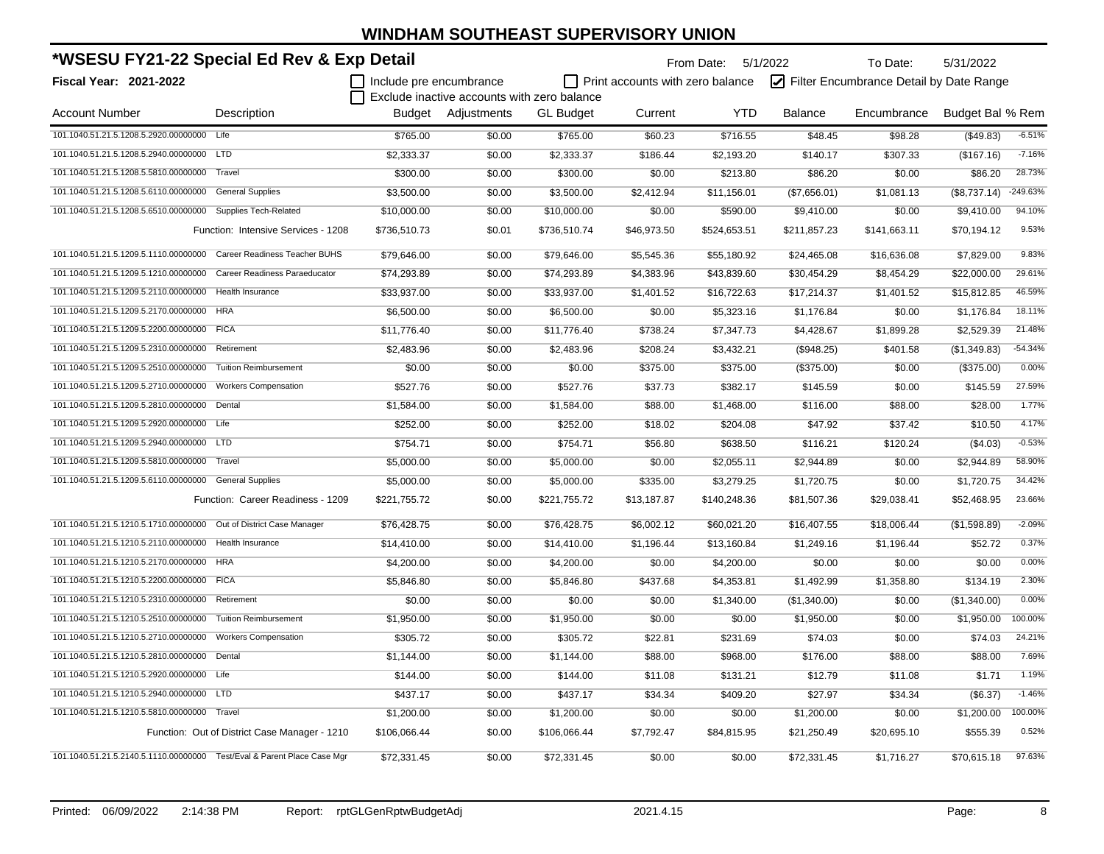| *WSESU FY21-22 Special Ed Rev & Exp Detail                              |                                               |                         |                                             |                  |                                         | From Date: 5/1/2022 |                | To Date:                                | 5/31/2022        |           |
|-------------------------------------------------------------------------|-----------------------------------------------|-------------------------|---------------------------------------------|------------------|-----------------------------------------|---------------------|----------------|-----------------------------------------|------------------|-----------|
| Fiscal Year: 2021-2022                                                  |                                               | Include pre encumbrance |                                             |                  | $\Box$ Print accounts with zero balance |                     |                | Filter Encumbrance Detail by Date Range |                  |           |
|                                                                         |                                               |                         | Exclude inactive accounts with zero balance |                  |                                         |                     |                |                                         |                  |           |
| <b>Account Number</b>                                                   | Description                                   |                         | Budget Adjustments                          | <b>GL Budget</b> | Current                                 | <b>YTD</b>          | <b>Balance</b> | Encumbrance                             | Budget Bal % Rem |           |
| 101.1040.51.21.5.1208.5.2920.00000000 Life                              |                                               | \$765.00                | \$0.00                                      | \$765.00         | \$60.23                                 | \$716.55            | \$48.45        | \$98.28                                 | (\$49.83)        | $-6.51%$  |
| 101.1040.51.21.5.1208.5.2940.00000000 LTD                               |                                               | \$2,333.37              | \$0.00                                      | \$2,333.37       | \$186.44                                | \$2,193.20          | \$140.17       | \$307.33                                | (\$167.16)       | $-7.16%$  |
| 101.1040.51.21.5.1208.5.5810.00000000                                   | Travel                                        | \$300.00                | \$0.00                                      | \$300.00         | \$0.00                                  | \$213.80            | \$86.20        | \$0.00                                  | \$86.20          | 28.73%    |
| 101.1040.51.21.5.1208.5.6110.00000000                                   | <b>General Supplies</b>                       | \$3,500.00              | \$0.00                                      | \$3,500.00       | \$2,412.94                              | \$11,156.01         | (\$7,656.01)   | \$1,081.13                              | (\$8,737.14)     | -249.63%  |
| 101.1040.51.21.5.1208.5.6510.00000000 Supplies Tech-Related             |                                               | \$10,000.00             | \$0.00                                      | \$10,000.00      | \$0.00                                  | \$590.00            | \$9,410.00     | \$0.00                                  | \$9.410.00       | 94.10%    |
|                                                                         | Function: Intensive Services - 1208           | \$736,510.73            | \$0.01                                      | \$736,510.74     | \$46,973.50                             | \$524,653.51        | \$211,857.23   | \$141,663.11                            | \$70,194.12      | 9.53%     |
| 101.1040.51.21.5.1209.5.1110.00000000                                   | Career Readiness Teacher BUHS                 | \$79,646.00             | \$0.00                                      | \$79,646.00      | \$5,545.36                              | \$55,180.92         | \$24,465.08    | \$16,636.08                             | \$7,829.00       | 9.83%     |
| 101.1040.51.21.5.1209.5.1210.00000000                                   | Career Readiness Paraeducator                 | \$74,293.89             | \$0.00                                      | \$74,293.89      | \$4,383.96                              | \$43,839.60         | \$30,454.29    | \$8,454.29                              | \$22,000.00      | 29.61%    |
| 101.1040.51.21.5.1209.5.2110.00000000                                   | Health Insurance                              | \$33,937.00             | \$0.00                                      | \$33,937.00      | \$1,401.52                              | \$16,722.63         | \$17,214.37    | \$1,401.52                              | \$15,812.85      | 46.59%    |
| 101.1040.51.21.5.1209.5.2170.00000000 HRA                               |                                               | \$6,500.00              | \$0.00                                      | \$6,500.00       | \$0.00                                  | \$5,323.16          | \$1,176.84     | \$0.00                                  | \$1,176.84       | 18.11%    |
| 101.1040.51.21.5.1209.5.2200.00000000 FICA                              |                                               | \$11,776.40             | \$0.00                                      | \$11,776.40      | \$738.24                                | \$7,347.73          | \$4,428.67     | \$1,899.28                              | \$2,529.39       | 21.48%    |
| 101.1040.51.21.5.1209.5.2310.00000000                                   | Retirement                                    | \$2,483.96              | \$0.00                                      | \$2,483.96       | \$208.24                                | \$3,432.21          | (\$948.25)     | \$401.58                                | (\$1,349.83)     | $-54.34%$ |
| 101.1040.51.21.5.1209.5.2510.00000000                                   | <b>Tuition Reimbursement</b>                  | \$0.00                  | \$0.00                                      | \$0.00           | \$375.00                                | \$375.00            | (\$375.00)     | \$0.00                                  | (\$375.00)       | 0.00%     |
| 101.1040.51.21.5.1209.5.2710.00000000                                   | <b>Workers Compensation</b>                   | \$527.76                | \$0.00                                      | \$527.76         | \$37.73                                 | \$382.17            | \$145.59       | \$0.00                                  | \$145.59         | 27.59%    |
| 101.1040.51.21.5.1209.5.2810.00000000                                   | Dental                                        | \$1,584.00              | \$0.00                                      | \$1,584.00       | \$88.00                                 | \$1,468.00          | \$116.00       | \$88.00                                 | \$28.00          | 1.77%     |
| 101.1040.51.21.5.1209.5.2920.00000000 Life                              |                                               | \$252.00                | \$0.00                                      | \$252.00         | \$18.02                                 | \$204.08            | \$47.92        | \$37.42                                 | \$10.50          | 4.17%     |
| 101.1040.51.21.5.1209.5.2940.00000000 LTD                               |                                               | \$754.71                | \$0.00                                      | \$754.71         | \$56.80                                 | \$638.50            | \$116.21       | \$120.24                                | (\$4.03)         | $-0.53%$  |
| 101.1040.51.21.5.1209.5.5810.00000000 Travel                            |                                               | \$5,000.00              | \$0.00                                      | \$5,000.00       | \$0.00                                  | \$2,055.11          | \$2,944.89     | \$0.00                                  | \$2,944.89       | 58.90%    |
| 101.1040.51.21.5.1209.5.6110.00000000 General Supplies                  |                                               | \$5,000.00              | \$0.00                                      | \$5,000.00       | \$335.00                                | \$3,279.25          | \$1,720.75     | \$0.00                                  | \$1,720.75       | 34.42%    |
|                                                                         | Function: Career Readiness - 1209             | \$221,755.72            | \$0.00                                      | \$221,755.72     | \$13,187.87                             | \$140,248.36        | \$81,507.36    | \$29,038.41                             | \$52,468.95      | 23.66%    |
| 101.1040.51.21.5.1210.5.1710.00000000 Out of District Case Manager      |                                               | \$76,428.75             | \$0.00                                      | \$76,428.75      | \$6,002.12                              | \$60,021.20         | \$16,407.55    | \$18,006.44                             | (\$1,598.89)     | $-2.09%$  |
| 101.1040.51.21.5.1210.5.2110.00000000                                   | Health Insurance                              | \$14,410.00             | \$0.00                                      | \$14,410.00      | \$1,196.44                              | \$13,160.84         | \$1,249.16     | \$1,196.44                              | \$52.72          | 0.37%     |
| 101.1040.51.21.5.1210.5.2170.00000000 HRA                               |                                               | \$4,200.00              | \$0.00                                      | \$4,200.00       | \$0.00                                  | \$4,200.00          | \$0.00         | \$0.00                                  | \$0.00           | 0.00%     |
| 101.1040.51.21.5.1210.5.2200.00000000 FICA                              |                                               | \$5,846.80              | \$0.00                                      | \$5,846.80       | \$437.68                                | \$4,353.81          | \$1,492.99     | \$1,358.80                              | \$134.19         | 2.30%     |
| 101.1040.51.21.5.1210.5.2310.00000000 Retirement                        |                                               | \$0.00                  | \$0.00                                      | \$0.00           | \$0.00                                  | \$1,340.00          | (\$1,340.00)   | \$0.00                                  | (\$1,340.00)     | 0.00%     |
| 101.1040.51.21.5.1210.5.2510.00000000                                   | <b>Tuition Reimbursement</b>                  | \$1,950.00              | \$0.00                                      | \$1,950.00       | \$0.00                                  | \$0.00              | \$1,950.00     | \$0.00                                  | \$1,950.00       | 100.00%   |
| 101.1040.51.21.5.1210.5.2710.00000000                                   | <b>Workers Compensation</b>                   | \$305.72                | \$0.00                                      | \$305.72         | \$22.81                                 | \$231.69            | \$74.03        | \$0.00                                  | \$74.03          | 24.21%    |
| 101.1040.51.21.5.1210.5.2810.00000000                                   | Dental                                        | \$1,144.00              | \$0.00                                      | \$1,144.00       | \$88.00                                 | \$968.00            | \$176.00       | \$88.00                                 | \$88.00          | 7.69%     |
| 101.1040.51.21.5.1210.5.2920.00000000 Life                              |                                               | \$144.00                | \$0.00                                      | \$144.00         | \$11.08                                 | \$131.21            | \$12.79        | \$11.08                                 | \$1.71           | 1.19%     |
| 101.1040.51.21.5.1210.5.2940.00000000                                   | LTD                                           | \$437.17                | \$0.00                                      | \$437.17         | \$34.34                                 | \$409.20            | \$27.97        | \$34.34                                 | (\$6.37)         | $-1.46%$  |
| 101.1040.51.21.5.1210.5.5810.00000000 Travel                            |                                               | \$1,200.00              | \$0.00                                      | \$1,200.00       | \$0.00                                  | \$0.00              | \$1,200.00     | \$0.00                                  | \$1,200.00       | 100.00%   |
|                                                                         | Function: Out of District Case Manager - 1210 | \$106,066.44            | \$0.00                                      | \$106,066.44     | \$7,792.47                              | \$84,815.95         | \$21,250.49    | \$20,695.10                             | \$555.39         | 0.52%     |
| 101.1040.51.21.5.2140.5.1110.00000000 Test/Eval & Parent Place Case Mgr |                                               | \$72,331.45             | \$0.00                                      | \$72,331.45      | \$0.00                                  | \$0.00              | \$72,331.45    | \$1,716.27                              | \$70,615.18      | 97.63%    |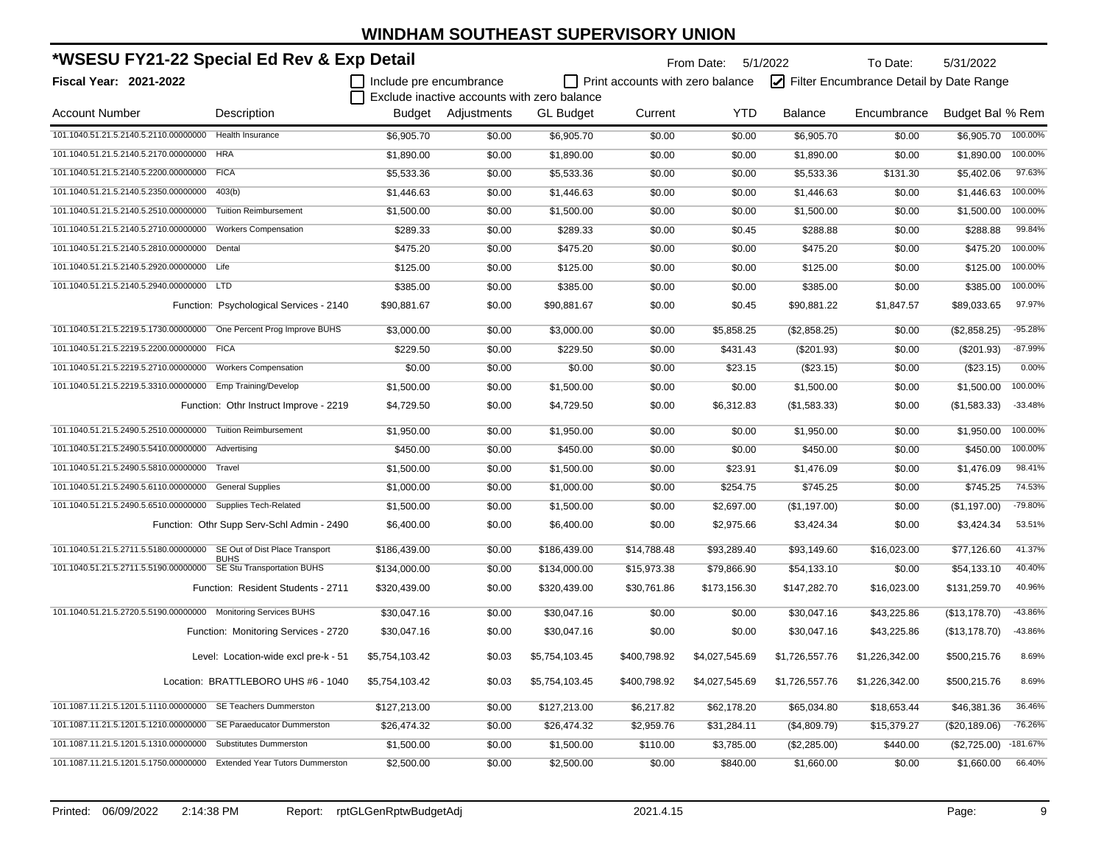| *WSESU FY21-22 Special Ed Rev & Exp Detail                            |                                            |                         |                                             |                  |                                  | From Date: 5/1/2022 |                | To Date:                                | 5/31/2022        |            |
|-----------------------------------------------------------------------|--------------------------------------------|-------------------------|---------------------------------------------|------------------|----------------------------------|---------------------|----------------|-----------------------------------------|------------------|------------|
| <b>Fiscal Year: 2021-2022</b>                                         |                                            | Include pre encumbrance | Exclude inactive accounts with zero balance |                  | Print accounts with zero balance |                     |                | Filter Encumbrance Detail by Date Range |                  |            |
| <b>Account Number</b>                                                 | Description                                |                         | Budget Adjustments                          | <b>GL Budget</b> | Current                          | <b>YTD</b>          | <b>Balance</b> | Encumbrance                             | Budget Bal % Rem |            |
| 101.1040.51.21.5.2140.5.2110.00000000                                 | <b>Health Insurance</b>                    | \$6,905.70              | \$0.00                                      | \$6,905.70       | \$0.00                           | \$0.00              | \$6,905.70     | \$0.00                                  | \$6,905.70       | 100.00%    |
| 101.1040.51.21.5.2140.5.2170.00000000                                 | <b>HRA</b>                                 | \$1,890.00              | \$0.00                                      | \$1,890.00       | \$0.00                           | \$0.00              | \$1,890.00     | \$0.00                                  | \$1,890.00       | 100.00%    |
| 101.1040.51.21.5.2140.5.2200.00000000                                 | <b>FICA</b>                                | \$5,533.36              | \$0.00                                      | \$5,533.36       | \$0.00                           | \$0.00              | \$5,533.36     | \$131.30                                | \$5,402.06       | 97.63%     |
| 101.1040.51.21.5.2140.5.2350.00000000                                 | 403(b)                                     | \$1,446.63              | \$0.00                                      | \$1,446.63       | \$0.00                           | \$0.00              | \$1,446.63     | \$0.00                                  | \$1,446.63       | 100.00%    |
| 101.1040.51.21.5.2140.5.2510.00000000                                 | <b>Tuition Reimbursement</b>               | \$1,500.00              | \$0.00                                      | \$1,500.00       | \$0.00                           | \$0.00              | \$1,500.00     | \$0.00                                  | \$1,500.00       | 100.00%    |
| 101.1040.51.21.5.2140.5.2710.00000000                                 | <b>Workers Compensation</b>                | \$289.33                | \$0.00                                      | \$289.33         | \$0.00                           | \$0.45              | \$288.88       | \$0.00                                  | \$288.88         | 99.84%     |
| 101.1040.51.21.5.2140.5.2810.00000000                                 | Dental                                     | \$475.20                | \$0.00                                      | \$475.20         | \$0.00                           | \$0.00              | \$475.20       | \$0.00                                  | \$475.20         | 100.00%    |
| 101.1040.51.21.5.2140.5.2920.00000000 Life                            |                                            | \$125.00                | \$0.00                                      | \$125.00         | \$0.00                           | \$0.00              | \$125.00       | \$0.00                                  | \$125.00         | 100.00%    |
| 101.1040.51.21.5.2140.5.2940.00000000 LTD                             |                                            | \$385.00                | \$0.00                                      | \$385.00         | \$0.00                           | \$0.00              | \$385.00       | \$0.00                                  | \$385.00         | 100.00%    |
|                                                                       | Function: Psychological Services - 2140    | \$90,881.67             | \$0.00                                      | \$90,881.67      | \$0.00                           | \$0.45              | \$90,881.22    | \$1,847.57                              | \$89,033.65      | 97.97%     |
| 101.1040.51.21.5.2219.5.1730.00000000                                 | One Percent Prog Improve BUHS              | \$3,000.00              | \$0.00                                      | \$3,000.00       | \$0.00                           | \$5,858.25          | (\$2,858.25)   | \$0.00                                  | (\$2,858.25)     | $-95.28%$  |
| 101.1040.51.21.5.2219.5.2200.00000000                                 | <b>FICA</b>                                | \$229.50                | \$0.00                                      | \$229.50         | \$0.00                           | \$431.43            | $(\$201.93)$   | \$0.00                                  | $(\$201.93)$     | $-87.99%$  |
| 101.1040.51.21.5.2219.5.2710.00000000                                 | <b>Workers Compensation</b>                | \$0.00                  | \$0.00                                      | \$0.00           | \$0.00                           | \$23.15             | (\$23.15)      | \$0.00                                  | (\$23.15)        | 0.00%      |
| 101.1040.51.21.5.2219.5.3310.00000000                                 | Emp Training/Develop                       | \$1,500.00              | \$0.00                                      | \$1,500.00       | \$0.00                           | \$0.00              | \$1,500.00     | \$0.00                                  | \$1,500.00       | 100.00%    |
|                                                                       | Function: Othr Instruct Improve - 2219     | \$4,729.50              | \$0.00                                      | \$4,729.50       | \$0.00                           | \$6,312.83          | (\$1,583.33)   | \$0.00                                  | (\$1,583.33)     | $-33.48%$  |
| 101.1040.51.21.5.2490.5.2510.00000000 Tuition Reimbursement           |                                            | \$1,950.00              | \$0.00                                      | \$1,950.00       | \$0.00                           | \$0.00              | \$1,950.00     | \$0.00                                  | \$1,950.00       | 100.00%    |
| 101.1040.51.21.5.2490.5.5410.00000000 Advertising                     |                                            | \$450.00                | \$0.00                                      | \$450.00         | \$0.00                           | \$0.00              | \$450.00       | \$0.00                                  | \$450.00         | 100.00%    |
| 101.1040.51.21.5.2490.5.5810.00000000                                 | Travel                                     | \$1,500.00              | \$0.00                                      | \$1,500.00       | \$0.00                           | \$23.91             | \$1,476.09     | \$0.00                                  | \$1,476.09       | 98.41%     |
| 101.1040.51.21.5.2490.5.6110.00000000                                 | <b>General Supplies</b>                    | \$1,000.00              | \$0.00                                      | \$1,000.00       | \$0.00                           | \$254.75            | \$745.25       | \$0.00                                  | \$745.25         | 74.53%     |
| 101.1040.51.21.5.2490.5.6510.00000000 Supplies Tech-Related           |                                            | \$1,500.00              | \$0.00                                      | \$1,500.00       | \$0.00                           | \$2,697.00          | (\$1,197.00)   | \$0.00                                  | (\$1,197.00)     | -79.80%    |
|                                                                       | Function: Othr Supp Serv-Schl Admin - 2490 | \$6,400.00              | \$0.00                                      | \$6,400.00       | \$0.00                           | \$2,975.66          | \$3,424.34     | \$0.00                                  | \$3,424.34       | 53.51%     |
| 101.1040.51.21.5.2711.5.5180.00000000 SE Out of Dist Place Transport  |                                            | \$186,439.00            | \$0.00                                      | \$186,439.00     | \$14,788.48                      | \$93,289.40         | \$93,149.60    | \$16,023.00                             | \$77,126.60      | 41.37%     |
| 101.1040.51.21.5.2711.5.5190.00000000                                 | BUHS<br>SE Stu Transportation BUHS         | \$134,000.00            | \$0.00                                      | \$134,000.00     | \$15,973.38                      | \$79,866.90         | \$54,133.10    | \$0.00                                  | \$54,133.10      | 40.40%     |
|                                                                       | Function: Resident Students - 2711         | \$320,439.00            | \$0.00                                      | \$320,439.00     | \$30,761.86                      | \$173,156.30        | \$147,282.70   | \$16,023.00                             | \$131,259.70     | 40.96%     |
| 101.1040.51.21.5.2720.5.5190.00000000 Monitoring Services BUHS        |                                            | \$30,047.16             | \$0.00                                      | \$30,047.16      | \$0.00                           | \$0.00              | \$30,047.16    | \$43,225.86                             | (\$13,178.70)    | -43.86%    |
|                                                                       | Function: Monitoring Services - 2720       | \$30,047.16             | \$0.00                                      | \$30,047.16      | \$0.00                           | \$0.00              | \$30,047.16    | \$43,225.86                             | (\$13,178.70)    | -43.86%    |
|                                                                       | Level: Location-wide excl pre-k - 51       | \$5,754,103.42          | \$0.03                                      | \$5,754,103.45   | \$400,798.92                     | \$4,027,545.69      | \$1,726,557.76 | \$1,226,342.00                          | \$500,215.76     | 8.69%      |
|                                                                       | Location: BRATTLEBORO UHS #6 - 1040        | \$5,754,103.42          | \$0.03                                      | \$5,754,103.45   | \$400,798.92                     | \$4,027,545.69      | \$1,726,557.76 | \$1,226,342.00                          | \$500,215.76     | 8.69%      |
| 101.1087.11.21.5.1201.5.1110.00000000                                 | SE Teachers Dummerston                     | \$127,213.00            | \$0.00                                      | \$127,213.00     | \$6,217.82                       | \$62,178.20         | \$65,034.80    | \$18,653.44                             | \$46,381.36      | 36.46%     |
| 101.1087.11.21.5.1201.5.1210.00000000                                 | SE Paraeducator Dummerston                 | \$26,474.32             | \$0.00                                      | \$26,474.32      | \$2,959.76                       | \$31,284.11         | (\$4,809.79)   | \$15,379.27                             | (\$20,189.06)    | $-76.26%$  |
| 101.1087.11.21.5.1201.5.1310.00000000                                 | Substitutes Dummerston                     | \$1,500.00              | \$0.00                                      | \$1,500.00       | \$110.00                         | \$3,785.00          | (\$2,285.00)   | \$440.00                                | (\$2,725.00)     | $-181.67%$ |
| 101.1087.11.21.5.1201.5.1750.00000000 Extended Year Tutors Dummerston |                                            | \$2,500.00              | \$0.00                                      | \$2,500.00       | \$0.00                           | \$840.00            | \$1,660.00     | \$0.00                                  | \$1,660.00       | 66.40%     |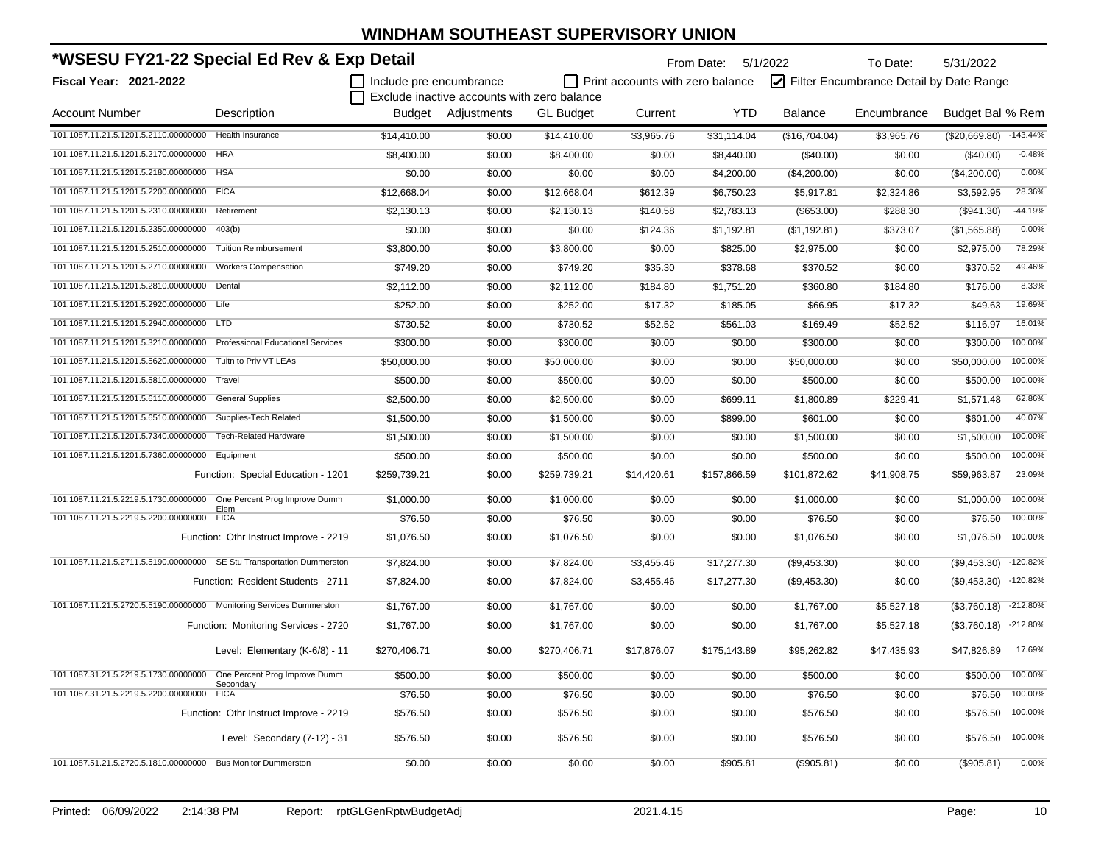| *WSESU FY21-22 Special Ed Rev & Exp Detail                              |                                            |                         |                                             |                  | From Date: 5/1/2022              |              | To Date:       | 5/31/2022                               |                        |            |
|-------------------------------------------------------------------------|--------------------------------------------|-------------------------|---------------------------------------------|------------------|----------------------------------|--------------|----------------|-----------------------------------------|------------------------|------------|
| Fiscal Year: 2021-2022                                                  |                                            | Include pre encumbrance |                                             |                  | Print accounts with zero balance |              |                | Filter Encumbrance Detail by Date Range |                        |            |
|                                                                         |                                            |                         | Exclude inactive accounts with zero balance |                  |                                  |              |                |                                         |                        |            |
| <b>Account Number</b>                                                   | Description                                |                         | Budget Adjustments                          | <b>GL Budget</b> | Current                          | <b>YTD</b>   | <b>Balance</b> | Encumbrance                             | Budget Bal % Rem       |            |
| 101.1087.11.21.5.1201.5.2110.00000000                                   | <b>Health Insurance</b>                    | \$14,410.00             | \$0.00                                      | \$14,410.00      | \$3,965.76                       | \$31,114.04  | (\$16,704.04)  | \$3,965.76                              | (\$20,669.80) -143.44% |            |
| 101.1087.11.21.5.1201.5.2170.00000000                                   | <b>HRA</b>                                 | \$8,400.00              | \$0.00                                      | \$8,400.00       | \$0.00                           | \$8,440.00   | (\$40.00)      | \$0.00                                  | $(\$40.00)$            | $-0.48%$   |
| 101.1087.11.21.5.1201.5.2180.00000000                                   | <b>HSA</b>                                 | \$0.00                  | \$0.00                                      | \$0.00           | \$0.00                           | \$4,200.00   | (\$4,200.00)   | \$0.00                                  | (\$4,200.00)           | 0.00%      |
| 101.1087.11.21.5.1201.5.2200.00000000 FICA                              |                                            | \$12,668.04             | \$0.00                                      | \$12,668.04      | \$612.39                         | \$6,750.23   | \$5,917.81     | \$2,324.86                              | \$3,592.95             | 28.36%     |
| 101.1087.11.21.5.1201.5.2310.00000000                                   | Retirement                                 | \$2,130.13              | \$0.00                                      | \$2,130.13       | \$140.58                         | \$2,783.13   | (\$653.00)     | \$288.30                                | $($ \$941.30)          | $-44.19%$  |
| 101.1087.11.21.5.1201.5.2350.00000000                                   | 403(b)                                     | \$0.00                  | \$0.00                                      | \$0.00           | \$124.36                         | \$1,192.81   | (\$1,192.81)   | \$373.07                                | (\$1,565.88)           | 0.00%      |
| 101.1087.11.21.5.1201.5.2510.00000000                                   | <b>Tuition Reimbursement</b>               | \$3,800.00              | \$0.00                                      | \$3,800.00       | \$0.00                           | \$825.00     | \$2,975.00     | \$0.00                                  | \$2,975.00             | 78.29%     |
| 101.1087.11.21.5.1201.5.2710.00000000                                   | <b>Workers Compensation</b>                | \$749.20                | \$0.00                                      | \$749.20         | \$35.30                          | \$378.68     | \$370.52       | \$0.00                                  | \$370.52               | 49.46%     |
| 101.1087.11.21.5.1201.5.2810.00000000                                   | Dental                                     | \$2,112.00              | \$0.00                                      | \$2,112.00       | \$184.80                         | \$1,751.20   | \$360.80       | \$184.80                                | \$176.00               | 8.33%      |
| 101.1087.11.21.5.1201.5.2920.00000000 Life                              |                                            | \$252.00                | \$0.00                                      | \$252.00         | \$17.32                          | \$185.05     | \$66.95        | \$17.32                                 | \$49.63                | 19.69%     |
| 101.1087.11.21.5.1201.5.2940.00000000 LTD                               |                                            | \$730.52                | \$0.00                                      | \$730.52         | \$52.52                          | \$561.03     | \$169.49       | \$52.52                                 | \$116.97               | 16.01%     |
| 101.1087.11.21.5.1201.5.3210.00000000 Professional Educational Services |                                            | \$300.00                | \$0.00                                      | \$300.00         | \$0.00                           | \$0.00       | \$300.00       | \$0.00                                  | \$300.00               | 100.00%    |
| 101.1087.11.21.5.1201.5.5620.00000000 Tuitn to Priv VT LEAs             |                                            | \$50,000.00             | \$0.00                                      | \$50,000.00      | \$0.00                           | \$0.00       | \$50,000.00    | \$0.00                                  | \$50,000.00            | 100.00%    |
| 101.1087.11.21.5.1201.5.5810.00000000 Travel                            |                                            | \$500.00                | \$0.00                                      | \$500.00         | \$0.00                           | \$0.00       | \$500.00       | \$0.00                                  | \$500.00               | 100.00%    |
| 101.1087.11.21.5.1201.5.6110.00000000 General Supplies                  |                                            | \$2,500.00              | \$0.00                                      | \$2,500.00       | \$0.00                           | \$699.11     | \$1,800.89     | \$229.41                                | \$1,571.48             | 62.86%     |
| 101.1087.11.21.5.1201.5.6510.00000000 Supplies-Tech Related             |                                            | \$1,500.00              | \$0.00                                      | \$1,500.00       | \$0.00                           | \$899.00     | \$601.00       | \$0.00                                  | \$601.00               | 40.07%     |
| 101.1087.11.21.5.1201.5.7340.00000000                                   | <b>Tech-Related Hardware</b>               | \$1,500.00              | \$0.00                                      | \$1,500.00       | \$0.00                           | \$0.00       | \$1,500.00     | \$0.00                                  | \$1,500.00             | 100.00%    |
| 101.1087.11.21.5.1201.5.7360.00000000                                   | Equipment                                  | \$500.00                | \$0.00                                      | \$500.00         | \$0.00                           | \$0.00       | \$500.00       | \$0.00                                  | \$500.00               | 100.00%    |
|                                                                         | Function: Special Education - 1201         | \$259,739.21            | \$0.00                                      | \$259,739.21     | \$14,420.61                      | \$157,866.59 | \$101,872.62   | \$41,908.75                             | \$59,963.87            | 23.09%     |
| 101.1087.11.21.5.2219.5.1730.00000000 One Percent Prog Improve Dumm     | Elem                                       | \$1,000.00              | \$0.00                                      | \$1,000.00       | \$0.00                           | \$0.00       | \$1,000.00     | \$0.00                                  | \$1,000.00             | 100.00%    |
| 101.1087.11.21.5.2219.5.2200.00000000                                   | <b>FICA</b>                                | \$76.50                 | \$0.00                                      | \$76.50          | \$0.00                           | \$0.00       | \$76.50        | \$0.00                                  | \$76.50                | 100.00%    |
|                                                                         | Function: Othr Instruct Improve - 2219     | \$1,076.50              | \$0.00                                      | \$1,076.50       | \$0.00                           | \$0.00       | \$1,076.50     | \$0.00                                  | \$1,076.50             | 100.00%    |
| 101.1087.11.21.5.2711.5.5190.00000000 SE Stu Transportation Dummerston  |                                            | \$7,824.00              | \$0.00                                      | \$7,824.00       | \$3,455.46                       | \$17,277.30  | (\$9,453.30)   | \$0.00                                  | (\$9,453.30)           | $-120.82%$ |
|                                                                         | Function: Resident Students - 2711         | \$7,824.00              | \$0.00                                      | \$7,824.00       | \$3,455.46                       | \$17,277.30  | (\$9,453.30)   | \$0.00                                  | (\$9,453.30)           | -120.82%   |
| 101.1087.11.21.5.2720.5.5190.00000000 Monitoring Services Dummerston    |                                            | \$1.767.00              | \$0.00                                      | \$1,767.00       | \$0.00                           | \$0.00       | \$1,767.00     | \$5,527.18                              | (\$3,760.18)           | $-212.80%$ |
|                                                                         | Function: Monitoring Services - 2720       | \$1,767.00              | \$0.00                                      | \$1,767.00       | \$0.00                           | \$0.00       | \$1,767.00     | \$5,527.18                              | (\$3,760.18) -212.80%  |            |
|                                                                         | Level: Elementary (K-6/8) - 11             | \$270,406.71            | \$0.00                                      | \$270,406.71     | \$17,876.07                      | \$175,143.89 | \$95,262.82    | \$47,435.93                             | \$47,826.89            | 17.69%     |
| 101.1087.31.21.5.2219.5.1730.00000000                                   | One Percent Prog Improve Dumm<br>Secondarv | \$500.00                | \$0.00                                      | \$500.00         | \$0.00                           | \$0.00       | \$500.00       | \$0.00                                  | \$500.00               | 100.00%    |
| 101.1087.31.21.5.2219.5.2200.00000000                                   | <b>FICA</b>                                | \$76.50                 | \$0.00                                      | \$76.50          | \$0.00                           | \$0.00       | \$76.50        | \$0.00                                  | \$76.50                | 100.00%    |
|                                                                         | Function: Othr Instruct Improve - 2219     | \$576.50                | \$0.00                                      | \$576.50         | \$0.00                           | \$0.00       | \$576.50       | \$0.00                                  | \$576.50               | 100.00%    |
|                                                                         | Level: Secondary (7-12) - 31               | \$576.50                | \$0.00                                      | \$576.50         | \$0.00                           | \$0.00       | \$576.50       | \$0.00                                  | \$576.50               | 100.00%    |
| 101.1087.51.21.5.2720.5.1810.00000000 Bus Monitor Dummerston            |                                            | \$0.00                  | \$0.00                                      | \$0.00           | \$0.00                           | \$905.81     | (\$905.81)     | \$0.00                                  | (\$905.81)             | 0.00%      |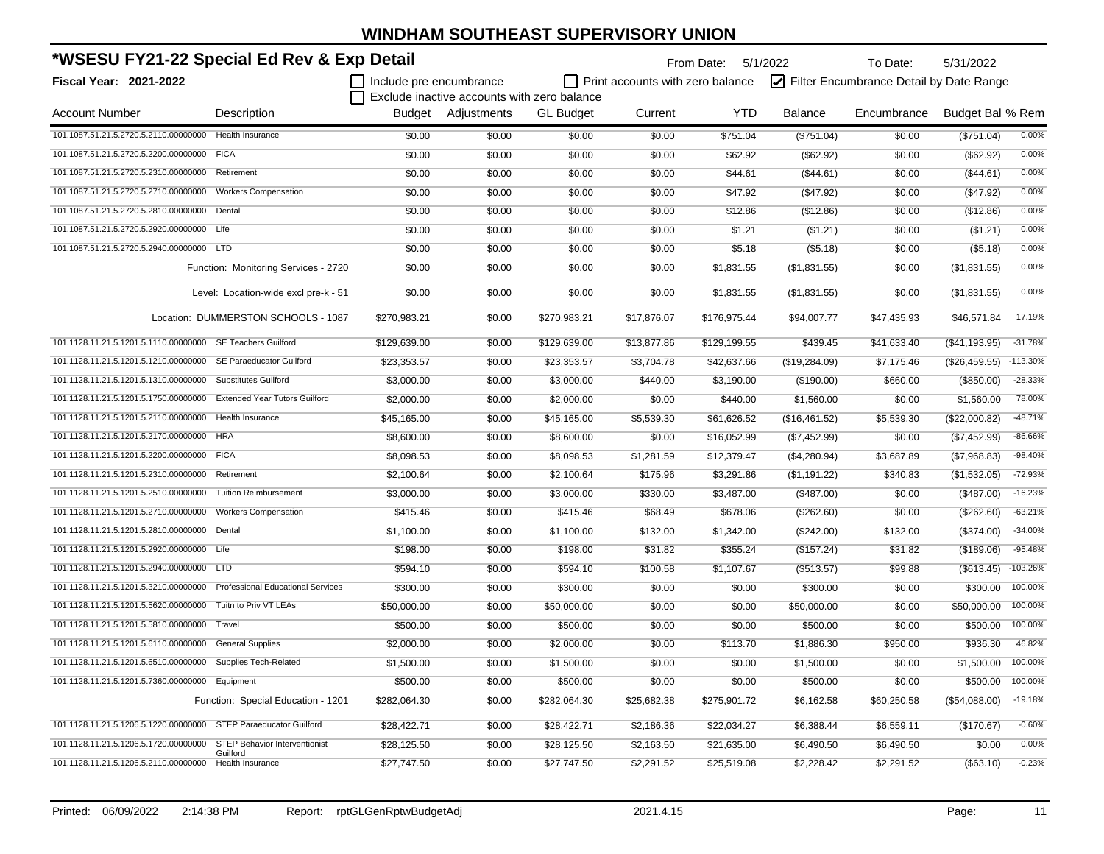| *WSESU FY21-22 Special Ed Rev & Exp Detail                              |                                                  |                         |                                             |                  |                                  | From Date: 5/1/2022 |                | To Date:                                | 5/31/2022        |            |
|-------------------------------------------------------------------------|--------------------------------------------------|-------------------------|---------------------------------------------|------------------|----------------------------------|---------------------|----------------|-----------------------------------------|------------------|------------|
| Fiscal Year: 2021-2022                                                  |                                                  | Include pre encumbrance |                                             |                  | Print accounts with zero balance |                     |                | Filter Encumbrance Detail by Date Range |                  |            |
|                                                                         |                                                  |                         | Exclude inactive accounts with zero balance |                  |                                  |                     |                |                                         |                  |            |
| <b>Account Number</b>                                                   | Description                                      |                         | Budget Adjustments                          | <b>GL Budget</b> | Current                          | <b>YTD</b>          | <b>Balance</b> | Encumbrance                             | Budget Bal % Rem |            |
| 101.1087.51.21.5.2720.5.2110.00000000                                   | <b>Health Insurance</b>                          | \$0.00                  | \$0.00                                      | \$0.00           | \$0.00                           | \$751.04            | (\$751.04)     | \$0.00                                  | (\$751.04)       | 0.00%      |
| 101.1087.51.21.5.2720.5.2200.00000000                                   | <b>FICA</b>                                      | \$0.00                  | \$0.00                                      | \$0.00           | \$0.00                           | \$62.92             | (\$62.92)      | \$0.00                                  | (\$62.92)        | 0.00%      |
| 101.1087.51.21.5.2720.5.2310.00000000                                   | Retirement                                       | \$0.00                  | \$0.00                                      | \$0.00           | \$0.00                           | \$44.61             | (\$44.61)      | \$0.00                                  | (\$44.61)        | 0.00%      |
| 101.1087.51.21.5.2720.5.2710.00000000                                   | <b>Workers Compensation</b>                      | \$0.00                  | \$0.00                                      | \$0.00           | \$0.00                           | \$47.92             | (\$47.92)      | \$0.00                                  | (\$47.92)        | 0.00%      |
| 101.1087.51.21.5.2720.5.2810.00000000 Dental                            |                                                  | \$0.00                  | \$0.00                                      | \$0.00           | \$0.00                           | \$12.86             | (\$12.86)      | \$0.00                                  | (\$12.86)        | 0.00%      |
| 101.1087.51.21.5.2720.5.2920.00000000 Life                              |                                                  | \$0.00                  | \$0.00                                      | \$0.00           | \$0.00                           | \$1.21              | (\$1.21)       | \$0.00                                  | (\$1.21)         | 0.00%      |
| 101.1087.51.21.5.2720.5.2940.00000000 LTD                               |                                                  | \$0.00                  | \$0.00                                      | \$0.00           | \$0.00                           | \$5.18              | (\$5.18)       | \$0.00                                  | (\$5.18)         | 0.00%      |
|                                                                         | Function: Monitoring Services - 2720             | \$0.00                  | \$0.00                                      | \$0.00           | \$0.00                           | \$1,831.55          | (\$1,831.55)   | \$0.00                                  | (\$1,831.55)     | 0.00%      |
|                                                                         | Level: Location-wide excl pre-k - 51             | \$0.00                  | \$0.00                                      | \$0.00           | \$0.00                           | \$1,831.55          | (\$1,831.55)   | \$0.00                                  | (\$1,831.55)     | 0.00%      |
|                                                                         | Location: DUMMERSTON SCHOOLS - 1087              | \$270,983.21            | \$0.00                                      | \$270,983.21     | \$17,876.07                      | \$176,975.44        | \$94,007.77    | \$47,435.93                             | \$46,571.84      | 17.19%     |
| 101.1128.11.21.5.1201.5.1110.00000000 SE Teachers Guilford              |                                                  | \$129,639.00            | \$0.00                                      | \$129,639.00     | \$13,877.86                      | \$129,199.55        | \$439.45       | \$41,633.40                             | (\$41,193.95)    | $-31.78%$  |
| 101.1128.11.21.5.1201.5.1210.00000000 SE Paraeducator Guilford          |                                                  | \$23,353.57             | \$0.00                                      | \$23,353.57      | \$3,704.78                       | \$42,637.66         | (\$19,284.09)  | \$7,175.46                              | (\$26,459.55)    | $-113.30%$ |
| 101.1128.11.21.5.1201.5.1310.00000000 Substitutes Guilford              |                                                  | \$3,000.00              | \$0.00                                      | \$3,000.00       | \$440.00                         | \$3,190.00          | (\$190.00)     | \$660.00                                | (\$850.00)       | $-28.33%$  |
| 101.1128.11.21.5.1201.5.1750.00000000 Extended Year Tutors Guilford     |                                                  | \$2,000.00              | \$0.00                                      | \$2,000.00       | \$0.00                           | \$440.00            | \$1,560.00     | \$0.00                                  | \$1,560.00       | 78.00%     |
| 101.1128.11.21.5.1201.5.2110.00000000 Health Insurance                  |                                                  | \$45,165.00             | \$0.00                                      | \$45,165.00      | \$5,539.30                       | \$61,626.52         | (\$16,461.52)  | \$5,539.30                              | (\$22,000.82)    | $-48.71%$  |
| 101.1128.11.21.5.1201.5.2170.00000000 HRA                               |                                                  | \$8,600.00              | \$0.00                                      | \$8,600.00       | \$0.00                           | \$16,052.99         | (\$7,452.99)   | \$0.00                                  | (\$7,452.99)     | $-86.66%$  |
| 101.1128.11.21.5.1201.5.2200.00000000 FICA                              |                                                  | \$8,098.53              | \$0.00                                      | \$8,098.53       | \$1,281.59                       | \$12,379.47         | (\$4,280.94)   | \$3,687.89                              | (\$7,968.83)     | $-98.40%$  |
| 101.1128.11.21.5.1201.5.2310.00000000 Retirement                        |                                                  | \$2,100.64              | \$0.00                                      | \$2,100.64       | \$175.96                         | \$3,291.86          | (\$1,191.22)   | \$340.83                                | (\$1,532.05)     | $-72.93%$  |
| 101.1128.11.21.5.1201.5.2510.00000000                                   | <b>Tuition Reimbursement</b>                     | \$3,000.00              | \$0.00                                      | \$3,000.00       | \$330.00                         | \$3,487.00          | (\$487.00)     | \$0.00                                  | (\$487.00)       | $-16.23%$  |
| 101.1128.11.21.5.1201.5.2710.00000000                                   | <b>Workers Compensation</b>                      | \$415.46                | \$0.00                                      | \$415.46         | \$68.49                          | \$678.06            | (\$262.60)     | \$0.00                                  | (\$262.60)       | $-63.21%$  |
| 101.1128.11.21.5.1201.5.2810.00000000                                   | Dental                                           | \$1,100.00              | \$0.00                                      | \$1,100.00       | \$132.00                         | \$1,342.00          | (\$242.00)     | \$132.00                                | (\$374.00)       | $-34.00%$  |
| 101.1128.11.21.5.1201.5.2920.00000000 Life                              |                                                  | \$198.00                | \$0.00                                      | \$198.00         | \$31.82                          | \$355.24            | (\$157.24)     | \$31.82                                 | (\$189.06)       | $-95.48%$  |
| 101.1128.11.21.5.1201.5.2940.00000000 LTD                               |                                                  | \$594.10                | \$0.00                                      | \$594.10         | \$100.58                         | \$1,107.67          | (\$513.57)     | \$99.88                                 | (\$613.45)       | $-103.26%$ |
| 101.1128.11.21.5.1201.5.3210.00000000 Professional Educational Services |                                                  | \$300.00                | \$0.00                                      | \$300.00         | \$0.00                           | \$0.00              | \$300.00       | \$0.00                                  | \$300.00         | 100.00%    |
| 101.1128.11.21.5.1201.5.5620.00000000 Tuitn to Priv VT LEAs             |                                                  | \$50,000.00             | \$0.00                                      | \$50,000.00      | \$0.00                           | \$0.00              | \$50,000.00    | \$0.00                                  | \$50,000.00      | 100.00%    |
| 101.1128.11.21.5.1201.5.5810.00000000 Travel                            |                                                  | \$500.00                | \$0.00                                      | \$500.00         | \$0.00                           | \$0.00              | \$500.00       | \$0.00                                  | \$500.00         | 100.00%    |
| 101.1128.11.21.5.1201.5.6110.00000000 General Supplies                  |                                                  | \$2,000.00              | \$0.00                                      | \$2,000.00       | \$0.00                           | \$113.70            | \$1,886.30     | \$950.00                                | \$936.30         | 46.82%     |
| 101.1128.11.21.5.1201.5.6510.00000000                                   | <b>Supplies Tech-Related</b>                     | \$1,500.00              | \$0.00                                      | \$1,500.00       | \$0.00                           | \$0.00              | \$1,500.00     | \$0.00                                  | \$1,500.00       | 100.00%    |
| 101.1128.11.21.5.1201.5.7360.00000000 Equipment                         |                                                  | \$500.00                | \$0.00                                      | \$500.00         | \$0.00                           | \$0.00              | \$500.00       | \$0.00                                  | \$500.00         | 100.00%    |
|                                                                         | Function: Special Education - 1201               | \$282,064.30            | \$0.00                                      | \$282,064.30     | \$25,682.38                      | \$275,901.72        | \$6,162.58     | \$60,250.58                             | (\$54,088.00)    | $-19.18%$  |
| 101.1128.11.21.5.1206.5.1220.00000000 STEP Paraeducator Guilford        |                                                  | \$28,422.71             | \$0.00                                      | \$28,422.71      | \$2,186.36                       | \$22,034.27         | \$6,388.44     | \$6,559.11                              | (\$170.67)       | $-0.60%$   |
| 101.1128.11.21.5.1206.5.1720.00000000                                   | <b>STEP Behavior Interventionist</b><br>Guilford | \$28,125.50             | \$0.00                                      | \$28,125.50      | \$2,163.50                       | \$21,635.00         | \$6,490.50     | \$6,490.50                              | \$0.00           | 0.00%      |
| 101.1128.11.21.5.1206.5.2110.00000000                                   | Health Insurance                                 | \$27,747.50             | \$0.00                                      | \$27,747.50      | \$2,291.52                       | \$25,519.08         | \$2,228.42     | \$2,291.52                              | (\$63.10)        | $-0.23%$   |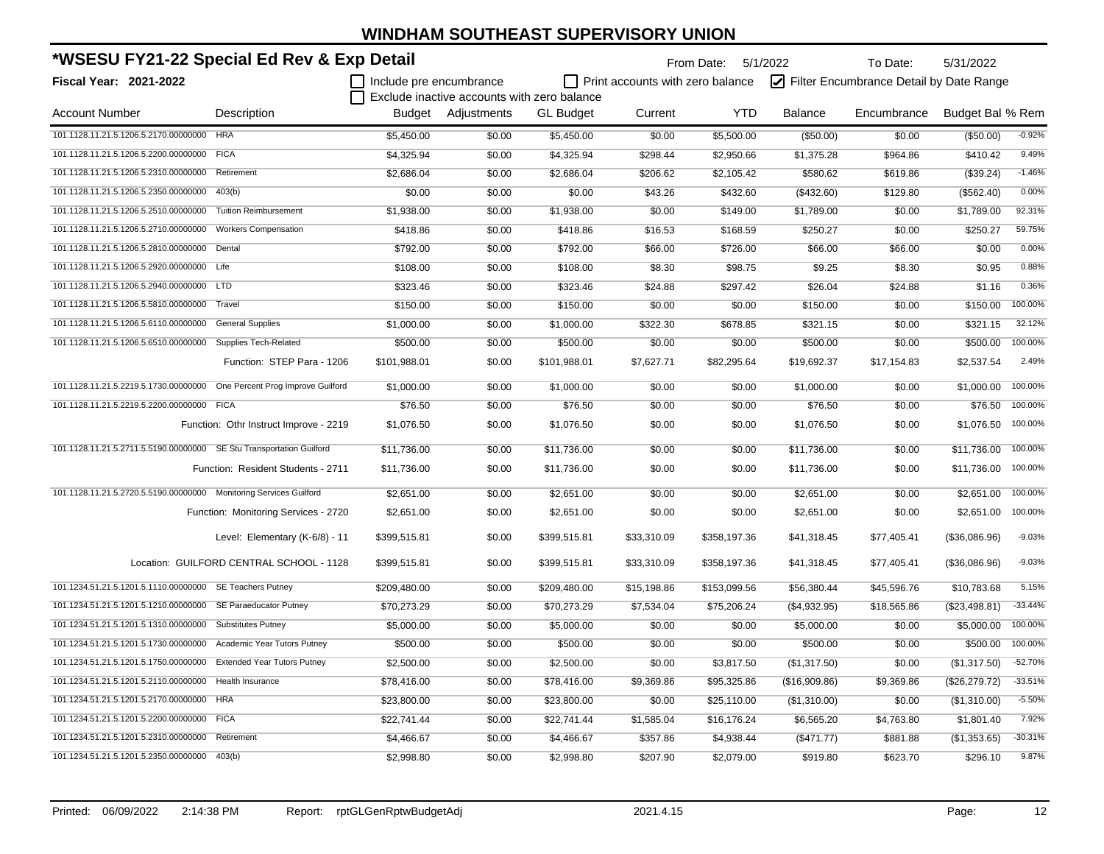| *WSESU FY21-22 Special Ed Rev & Exp Detail                           |                                          |                         |                                             |                  | From Date: 5/1/2022              |              | To Date:       | 5/31/2022                               |                  |           |
|----------------------------------------------------------------------|------------------------------------------|-------------------------|---------------------------------------------|------------------|----------------------------------|--------------|----------------|-----------------------------------------|------------------|-----------|
| <b>Fiscal Year: 2021-2022</b>                                        |                                          | Include pre encumbrance |                                             |                  | Print accounts with zero balance |              |                | Filter Encumbrance Detail by Date Range |                  |           |
|                                                                      |                                          |                         | Exclude inactive accounts with zero balance |                  |                                  |              |                |                                         |                  |           |
| <b>Account Number</b>                                                | Description                              |                         | Budget Adjustments                          | <b>GL Budget</b> | Current                          | <b>YTD</b>   | <b>Balance</b> | Encumbrance                             | Budget Bal % Rem |           |
| 101.1128.11.21.5.1206.5.2170.00000000                                | <b>HRA</b>                               | \$5,450.00              | \$0.00                                      | \$5,450.00       | \$0.00                           | \$5,500.00   | (\$50.00)      | \$0.00                                  | (\$50.00)        | $-0.92%$  |
| 101.1128.11.21.5.1206.5.2200.00000000                                | <b>FICA</b>                              | \$4,325.94              | \$0.00                                      | \$4,325.94       | \$298.44                         | \$2,950.66   | \$1,375.28     | \$964.86                                | \$410.42         | 9.49%     |
| 101.1128.11.21.5.1206.5.2310.00000000                                | Retirement                               | \$2,686.04              | \$0.00                                      | \$2,686.04       | \$206.62                         | \$2,105.42   | \$580.62       | \$619.86                                | (\$39.24)        | $-1.46%$  |
| 101.1128.11.21.5.1206.5.2350.00000000                                | 403(b)                                   | \$0.00                  | \$0.00                                      | \$0.00           | \$43.26                          | \$432.60     | (\$432.60)     | \$129.80                                | (\$562.40)       | 0.00%     |
| 101.1128.11.21.5.1206.5.2510.00000000                                | <b>Tuition Reimbursement</b>             | \$1,938.00              | \$0.00                                      | \$1,938.00       | \$0.00                           | \$149.00     | \$1,789.00     | \$0.00                                  | \$1,789.00       | 92.31%    |
| 101.1128.11.21.5.1206.5.2710.00000000                                | <b>Workers Compensation</b>              | \$418.86                | \$0.00                                      | \$418.86         | \$16.53                          | \$168.59     | \$250.27       | \$0.00                                  | \$250.27         | 59.75%    |
| 101.1128.11.21.5.1206.5.2810.00000000                                | Dental                                   | \$792.00                | \$0.00                                      | \$792.00         | \$66.00                          | \$726.00     | \$66.00        | \$66.00                                 | \$0.00           | 0.00%     |
| 101.1128.11.21.5.1206.5.2920.00000000 Life                           |                                          | \$108.00                | \$0.00                                      | \$108.00         | \$8.30                           | \$98.75      | \$9.25         | \$8.30                                  | \$0.95           | 0.88%     |
| 101.1128.11.21.5.1206.5.2940.00000000 LTD                            |                                          | \$323.46                | \$0.00                                      | \$323.46         | \$24.88                          | \$297.42     | \$26.04        | \$24.88                                 | \$1.16           | 0.36%     |
| 101.1128.11.21.5.1206.5.5810.00000000                                | Travel                                   | \$150.00                | \$0.00                                      | \$150.00         | \$0.00                           | \$0.00       | \$150.00       | \$0.00                                  | \$150.00         | 100.00%   |
| 101.1128.11.21.5.1206.5.6110.00000000                                | <b>General Supplies</b>                  | \$1,000.00              | \$0.00                                      | \$1,000.00       | \$322.30                         | \$678.85     | \$321.15       | \$0.00                                  | \$321.15         | 32.12%    |
| 101.1128.11.21.5.1206.5.6510.00000000                                | <b>Supplies Tech-Related</b>             | \$500.00                | \$0.00                                      | \$500.00         | \$0.00                           | \$0.00       | \$500.00       | \$0.00                                  | \$500.00         | 100.00%   |
|                                                                      | Function: STEP Para - 1206               | \$101,988.01            | \$0.00                                      | \$101,988.01     | \$7,627.71                       | \$82,295.64  | \$19,692.37    | \$17,154.83                             | \$2,537.54       | 2.49%     |
| 101.1128.11.21.5.2219.5.1730.00000000                                | One Percent Prog Improve Guilford        | \$1,000.00              | \$0.00                                      | \$1,000.00       | \$0.00                           | \$0.00       | \$1,000.00     | \$0.00                                  | \$1,000.00       | 100.00%   |
| 101.1128.11.21.5.2219.5.2200.00000000 FICA                           |                                          | \$76.50                 | \$0.00                                      | \$76.50          | \$0.00                           | \$0.00       | \$76.50        | \$0.00                                  | \$76.50          | 100.00%   |
|                                                                      | Function: Othr Instruct Improve - 2219   | \$1,076.50              | \$0.00                                      | \$1,076.50       | \$0.00                           | \$0.00       | \$1,076.50     | \$0.00                                  | \$1,076.50       | 100.00%   |
| 101.1128.11.21.5.2711.5.5190.00000000 SE Stu Transportation Guilford |                                          | \$11,736.00             | \$0.00                                      | \$11,736.00      | \$0.00                           | \$0.00       | \$11,736.00    | \$0.00                                  | \$11,736.00      | 100.00%   |
|                                                                      | Function: Resident Students - 2711       | \$11,736.00             | \$0.00                                      | \$11,736.00      | \$0.00                           | \$0.00       | \$11,736.00    | \$0.00                                  | \$11,736.00      | 100.00%   |
| 101.1128.11.21.5.2720.5.5190.00000000 Monitoring Services Guilford   |                                          | \$2,651.00              | \$0.00                                      | \$2,651.00       | \$0.00                           | \$0.00       | \$2,651.00     | \$0.00                                  | \$2,651.00       | 100.00%   |
|                                                                      | Function: Monitoring Services - 2720     | \$2,651.00              | \$0.00                                      | \$2,651.00       | \$0.00                           | \$0.00       | \$2,651.00     | \$0.00                                  | \$2,651.00       | 100.00%   |
|                                                                      | Level: Elementary (K-6/8) - 11           | \$399,515.81            | \$0.00                                      | \$399,515.81     | \$33,310.09                      | \$358,197.36 | \$41,318.45    | \$77,405.41                             | (\$36,086.96)    | $-9.03%$  |
|                                                                      | Location: GUILFORD CENTRAL SCHOOL - 1128 | \$399,515.81            | \$0.00                                      | \$399,515.81     | \$33,310.09                      | \$358,197.36 | \$41,318.45    | \$77,405.41                             | (\$36,086.96)    | $-9.03%$  |
| 101.1234.51.21.5.1201.5.1110.00000000 SE Teachers Putney             |                                          | \$209,480.00            | \$0.00                                      | \$209,480.00     | \$15,198.86                      | \$153,099.56 | \$56,380.44    | \$45,596.76                             | \$10,783.68      | 5.15%     |
| 101.1234.51.21.5.1201.5.1210.00000000 SE Paraeducator Putney         |                                          | \$70,273.29             | \$0.00                                      | \$70,273.29      | \$7,534.04                       | \$75,206.24  | (\$4,932.95)   | \$18,565.86                             | (\$23,498.81)    | $-33.44%$ |
| 101.1234.51.21.5.1201.5.1310.00000000 Substitutes Putney             |                                          | \$5,000.00              | \$0.00                                      | \$5,000.00       | \$0.00                           | \$0.00       | \$5,000.00     | \$0.00                                  | \$5,000.00       | 100.00%   |
| 101.1234.51.21.5.1201.5.1730.00000000 Academic Year Tutors Putney    |                                          | \$500.00                | \$0.00                                      | \$500.00         | \$0.00                           | \$0.00       | \$500.00       | \$0.00                                  | \$500.00         | 100.00%   |
| 101.1234.51.21.5.1201.5.1750.00000000 Extended Year Tutors Putney    |                                          | \$2,500.00              | \$0.00                                      | \$2,500.00       | \$0.00                           | \$3,817.50   | (\$1,317.50)   | \$0.00                                  | (\$1,317.50)     | $-52.70%$ |
| 101.1234.51.21.5.1201.5.2110.00000000 Health Insurance               |                                          | \$78,416.00             | \$0.00                                      | \$78,416.00      | \$9,369.86                       | \$95,325.86  | (\$16,909.86)  | \$9,369.86                              | (\$26,279.72)    | $-33.51%$ |
| 101.1234.51.21.5.1201.5.2170.00000000 HRA                            |                                          | \$23,800.00             | \$0.00                                      | \$23,800.00      | \$0.00                           | \$25,110.00  | (\$1,310.00)   | \$0.00                                  | (\$1,310.00)     | $-5.50%$  |
| 101.1234.51.21.5.1201.5.2200.00000000 FICA                           |                                          | \$22,741.44             | \$0.00                                      | \$22,741.44      | \$1,585.04                       | \$16,176.24  | \$6,565.20     | \$4,763.80                              | \$1,801.40       | 7.92%     |
| 101.1234.51.21.5.1201.5.2310.00000000                                | Retirement                               | \$4,466.67              | \$0.00                                      | \$4,466.67       | \$357.86                         | \$4,938.44   | (\$471.77)     | \$881.88                                | (\$1,353.65)     | $-30.31%$ |
| 101.1234.51.21.5.1201.5.2350.00000000                                | 403(b)                                   | \$2,998.80              | \$0.00                                      | \$2,998.80       | \$207.90                         | \$2,079.00   | \$919.80       | \$623.70                                | \$296.10         | 9.87%     |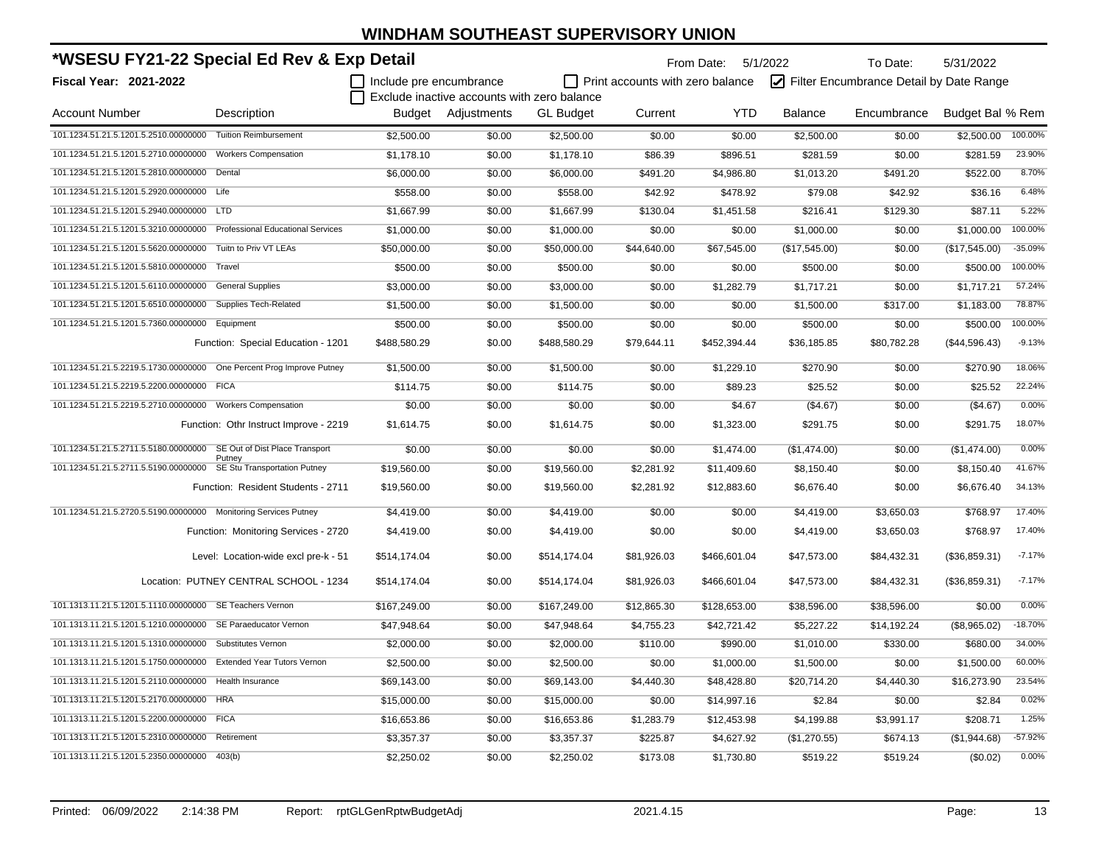| *WSESU FY21-22 Special Ed Rev & Exp Detail                            |                                          |                         |                                             |                  |                                  | From Date: 5/1/2022 |                | To Date:                                | 5/31/2022        |           |
|-----------------------------------------------------------------------|------------------------------------------|-------------------------|---------------------------------------------|------------------|----------------------------------|---------------------|----------------|-----------------------------------------|------------------|-----------|
| <b>Fiscal Year: 2021-2022</b>                                         |                                          | Include pre encumbrance |                                             |                  | Print accounts with zero balance |                     |                | Filter Encumbrance Detail by Date Range |                  |           |
|                                                                       |                                          |                         | Exclude inactive accounts with zero balance |                  |                                  |                     |                |                                         |                  |           |
| <b>Account Number</b>                                                 | Description                              |                         | Budget Adjustments                          | <b>GL Budget</b> | Current                          | <b>YTD</b>          | <b>Balance</b> | Encumbrance                             | Budget Bal % Rem |           |
| 101.1234.51.21.5.1201.5.2510.00000000 Tuition Reimbursement           |                                          | \$2,500.00              | \$0.00                                      | \$2,500.00       | \$0.00                           | \$0.00              | \$2,500.00     | \$0.00                                  | \$2,500.00       | 100.00%   |
| 101.1234.51.21.5.1201.5.2710.00000000                                 | <b>Workers Compensation</b>              | \$1,178.10              | \$0.00                                      | \$1,178.10       | \$86.39                          | \$896.51            | \$281.59       | \$0.00                                  | \$281.59         | 23.90%    |
| 101.1234.51.21.5.1201.5.2810.00000000                                 | Dental                                   | \$6,000.00              | \$0.00                                      | \$6,000.00       | \$491.20                         | \$4,986.80          | \$1,013.20     | \$491.20                                | \$522.00         | 8.70%     |
| 101.1234.51.21.5.1201.5.2920.00000000 Life                            |                                          | \$558.00                | \$0.00                                      | \$558.00         | \$42.92                          | \$478.92            | \$79.08        | \$42.92                                 | \$36.16          | 6.48%     |
| 101.1234.51.21.5.1201.5.2940.00000000 LTD                             |                                          | \$1,667.99              | \$0.00                                      | \$1,667.99       | \$130.04                         | \$1,451.58          | \$216.41       | \$129.30                                | \$87.11          | 5.22%     |
| 101.1234.51.21.5.1201.5.3210.00000000                                 | <b>Professional Educational Services</b> | \$1,000.00              | \$0.00                                      | \$1,000.00       | \$0.00                           | \$0.00              | \$1,000.00     | \$0.00                                  | \$1,000.00       | 100.00%   |
| 101.1234.51.21.5.1201.5.5620.00000000                                 | Tuitn to Priv VT LEAs                    | \$50,000.00             | \$0.00                                      | \$50,000.00      | \$44,640.00                      | \$67,545.00         | (\$17,545.00)  | \$0.00                                  | (\$17,545.00)    | $-35.09%$ |
| 101.1234.51.21.5.1201.5.5810.00000000                                 | Travel                                   | \$500.00                | \$0.00                                      | \$500.00         | \$0.00                           | \$0.00              | \$500.00       | \$0.00                                  | \$500.00         | 100.00%   |
| 101.1234.51.21.5.1201.5.6110.00000000                                 | <b>General Supplies</b>                  | \$3,000.00              | \$0.00                                      | \$3,000.00       | \$0.00                           | \$1,282.79          | \$1,717.21     | \$0.00                                  | \$1,717.21       | 57.24%    |
| 101.1234.51.21.5.1201.5.6510.00000000                                 | <b>Supplies Tech-Related</b>             | \$1,500.00              | \$0.00                                      | \$1,500.00       | \$0.00                           | \$0.00              | \$1,500.00     | \$317.00                                | \$1,183.00       | 78.87%    |
| 101.1234.51.21.5.1201.5.7360.00000000 Equipment                       |                                          | \$500.00                | \$0.00                                      | \$500.00         | \$0.00                           | \$0.00              | \$500.00       | \$0.00                                  | \$500.00         | 100.00%   |
|                                                                       | Function: Special Education - 1201       | \$488,580.29            | \$0.00                                      | \$488,580.29     | \$79,644.11                      | \$452,394.44        | \$36,185.85    | \$80,782.28                             | (\$44,596.43)    | $-9.13%$  |
| 101.1234.51.21.5.2219.5.1730.00000000 One Percent Prog Improve Putney |                                          | \$1,500.00              | \$0.00                                      | \$1,500.00       | \$0.00                           | \$1,229.10          | \$270.90       | \$0.00                                  | \$270.90         | 18.06%    |
| 101.1234.51.21.5.2219.5.2200.00000000 FICA                            |                                          | \$114.75                | \$0.00                                      | \$114.75         | \$0.00                           | \$89.23             | \$25.52        | \$0.00                                  | \$25.52          | 22.24%    |
| 101.1234.51.21.5.2219.5.2710.00000000 Workers Compensation            |                                          | \$0.00                  | \$0.00                                      | \$0.00           | \$0.00                           | \$4.67              | (\$4.67)       | \$0.00                                  | (\$4.67)         | 0.00%     |
|                                                                       | Function: Othr Instruct Improve - 2219   | \$1,614.75              | \$0.00                                      | \$1,614.75       | \$0.00                           | \$1,323.00          | \$291.75       | \$0.00                                  | \$291.75         | 18.07%    |
| 101.1234.51.21.5.2711.5.5180.00000000                                 | SE Out of Dist Place Transport<br>Putney | \$0.00                  | \$0.00                                      | \$0.00           | \$0.00                           | \$1,474.00          | (\$1,474.00)   | \$0.00                                  | (\$1,474.00)     | 0.00%     |
| 101.1234.51.21.5.2711.5.5190.00000000                                 | SE Stu Transportation Putney             | \$19,560.00             | \$0.00                                      | \$19,560.00      | \$2,281.92                       | \$11,409.60         | \$8,150.40     | \$0.00                                  | \$8,150.40       | 41.67%    |
|                                                                       | Function: Resident Students - 2711       | \$19,560.00             | \$0.00                                      | \$19,560.00      | \$2,281.92                       | \$12,883.60         | \$6,676.40     | \$0.00                                  | \$6,676.40       | 34.13%    |
| 101.1234.51.21.5.2720.5.5190.00000000 Monitoring Services Putney      |                                          | \$4,419.00              | \$0.00                                      | \$4,419.00       | \$0.00                           | \$0.00              | \$4,419.00     | \$3,650.03                              | \$768.97         | 17.40%    |
|                                                                       | Function: Monitoring Services - 2720     | \$4,419.00              | \$0.00                                      | \$4,419.00       | \$0.00                           | \$0.00              | \$4,419.00     | \$3,650.03                              | \$768.97         | 17.40%    |
|                                                                       | Level: Location-wide excl pre-k - 51     | \$514,174.04            | \$0.00                                      | \$514,174.04     | \$81,926.03                      | \$466,601.04        | \$47,573.00    | \$84,432.31                             | (\$36,859.31)    | $-7.17%$  |
|                                                                       | Location: PUTNEY CENTRAL SCHOOL - 1234   | \$514.174.04            | \$0.00                                      | \$514,174.04     | \$81,926.03                      | \$466,601.04        | \$47,573.00    | \$84,432.31                             | (\$36,859.31)    | $-7.17%$  |
| 101.1313.11.21.5.1201.5.1110.00000000 SE Teachers Vernon              |                                          | \$167,249.00            | \$0.00                                      | \$167,249.00     | \$12,865.30                      | \$128,653.00        | \$38,596.00    | \$38,596.00                             | \$0.00           | 0.00%     |
| 101.1313.11.21.5.1201.5.1210.00000000 SE Paraeducator Vernon          |                                          | \$47,948.64             | \$0.00                                      | \$47,948.64      | \$4,755.23                       | \$42,721.42         | \$5,227.22     | \$14,192.24                             | (\$8,965.02)     | $-18.70%$ |
| 101.1313.11.21.5.1201.5.1310.00000000 Substitutes Vernon              |                                          | \$2,000.00              | \$0.00                                      | \$2,000.00       | \$110.00                         | \$990.00            | \$1,010.00     | \$330.00                                | \$680.00         | 34.00%    |
| 101.1313.11.21.5.1201.5.1750.00000000 Extended Year Tutors Vernon     |                                          | \$2,500.00              | \$0.00                                      | \$2,500.00       | \$0.00                           | \$1,000.00          | \$1,500.00     | \$0.00                                  | \$1,500.00       | 60.00%    |
| 101.1313.11.21.5.1201.5.2110.00000000 Health Insurance                |                                          | \$69,143.00             | \$0.00                                      | \$69,143.00      | \$4,440.30                       | \$48,428.80         | \$20,714.20    | \$4,440.30                              | \$16,273.90      | 23.54%    |
| 101.1313.11.21.5.1201.5.2170.00000000 HRA                             |                                          | \$15,000.00             | \$0.00                                      | \$15,000.00      | \$0.00                           | \$14,997.16         | \$2.84         | \$0.00                                  | \$2.84           | 0.02%     |
| 101.1313.11.21.5.1201.5.2200.00000000 FICA                            |                                          | \$16,653.86             | \$0.00                                      | \$16,653.86      | \$1,283.79                       | \$12,453.98         | \$4,199.88     | \$3,991.17                              | \$208.71         | 1.25%     |
| 101.1313.11.21.5.1201.5.2310.00000000                                 | Retirement                               | \$3,357.37              | \$0.00                                      | \$3,357.37       | \$225.87                         | \$4,627.92          | (\$1,270.55)   | \$674.13                                | (\$1,944.68)     | $-57.92%$ |
| 101.1313.11.21.5.1201.5.2350.00000000                                 | 403(b)                                   | \$2,250.02              | \$0.00                                      | \$2,250.02       | \$173.08                         | \$1,730.80          | \$519.22       | \$519.24                                | (\$0.02)         | 0.00%     |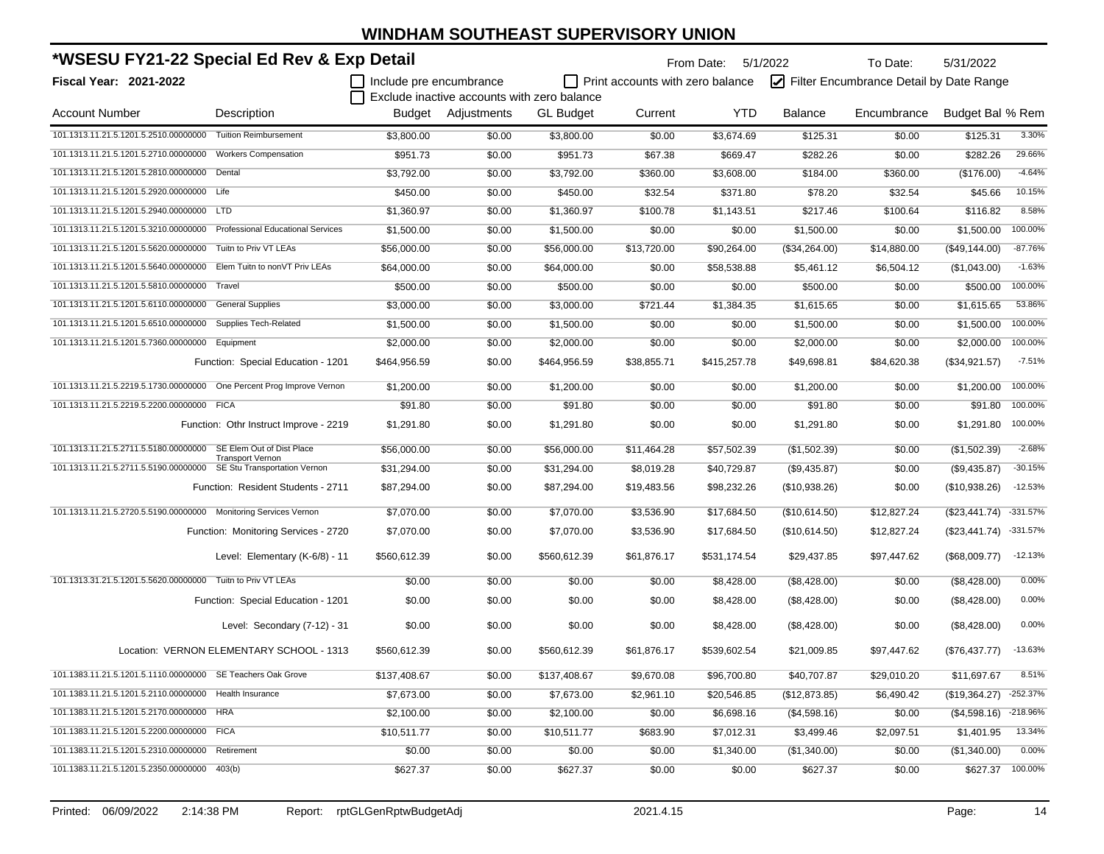| *WSESU FY21-22 Special Ed Rev & Exp Detail                            |                                           |                         |                                             |                  | From Date:<br>5/1/2022           |              | To Date:       | 5/31/2022                               |                         |                  |
|-----------------------------------------------------------------------|-------------------------------------------|-------------------------|---------------------------------------------|------------------|----------------------------------|--------------|----------------|-----------------------------------------|-------------------------|------------------|
| Fiscal Year: 2021-2022                                                |                                           | Include pre encumbrance |                                             |                  | Print accounts with zero balance |              |                | Filter Encumbrance Detail by Date Range |                         |                  |
|                                                                       |                                           |                         | Exclude inactive accounts with zero balance |                  |                                  |              |                |                                         |                         |                  |
| <b>Account Number</b>                                                 | Description                               | Budget                  | Adjustments                                 | <b>GL Budget</b> | Current                          | <b>YTD</b>   | <b>Balance</b> | Encumbrance                             | Budget Bal % Rem        |                  |
| 101.1313.11.21.5.1201.5.2510.00000000                                 | <b>Tuition Reimbursement</b>              | \$3,800.00              | \$0.00                                      | \$3,800.00       | \$0.00                           | \$3,674.69   | \$125.31       | \$0.00                                  | \$125.31                | 3.30%            |
| 101.1313.11.21.5.1201.5.2710.00000000                                 | <b>Workers Compensation</b>               | \$951.73                | \$0.00                                      | \$951.73         | \$67.38                          | \$669.47     | \$282.26       | \$0.00                                  | \$282.26                | 29.66%           |
| 101.1313.11.21.5.1201.5.2810.00000000                                 | Dental                                    | \$3,792.00              | \$0.00                                      | \$3,792.00       | \$360.00                         | \$3,608.00   | \$184.00       | \$360.00                                | (\$176.00)              | $-4.64%$         |
| 101.1313.11.21.5.1201.5.2920.00000000 Life                            |                                           | \$450.00                | \$0.00                                      | \$450.00         | \$32.54                          | \$371.80     | \$78.20        | \$32.54                                 | \$45.66                 | 10.15%           |
| 101.1313.11.21.5.1201.5.2940.00000000 LTD                             |                                           | \$1,360.97              | \$0.00                                      | \$1,360.97       | \$100.78                         | \$1,143.51   | \$217.46       | \$100.64                                | \$116.82                | 8.58%            |
| 101.1313.11.21.5.1201.5.3210.00000000                                 | <b>Professional Educational Services</b>  | \$1,500.00              | \$0.00                                      | \$1,500.00       | \$0.00                           | \$0.00       | \$1,500.00     | \$0.00                                  | \$1,500.00              | 100.00%          |
| 101.1313.11.21.5.1201.5.5620.00000000                                 | Tuitn to Priv VT LEAs                     | \$56,000.00             | \$0.00                                      | \$56,000.00      | \$13,720.00                      | \$90,264.00  | (\$34,264.00)  | \$14,880.00                             | (\$49,144.00)           | $-87.76%$        |
| 101.1313.11.21.5.1201.5.5640.00000000                                 | Elem Tuitn to nonVT Priv LEAs             | \$64,000.00             | \$0.00                                      | \$64,000.00      | \$0.00                           | \$58,538.88  | \$5,461.12     | \$6,504.12                              | (\$1,043.00)            | $-1.63%$         |
| 101.1313.11.21.5.1201.5.5810.00000000 Travel                          |                                           | \$500.00                | \$0.00                                      | \$500.00         | \$0.00                           | \$0.00       | \$500.00       | \$0.00                                  | \$500.00                | 100.00%          |
| 101.1313.11.21.5.1201.5.6110.00000000                                 | <b>General Supplies</b>                   | \$3,000.00              | \$0.00                                      | \$3,000.00       | \$721.44                         | \$1,384.35   | \$1,615.65     | \$0.00                                  | \$1,615.65              | 53.86%           |
| 101.1313.11.21.5.1201.5.6510.00000000                                 | Supplies Tech-Related                     | \$1,500.00              | \$0.00                                      | \$1,500.00       | \$0.00                           | \$0.00       | \$1,500.00     | \$0.00                                  | \$1,500.00              | 100.00%          |
| 101.1313.11.21.5.1201.5.7360.00000000                                 | Equipment                                 | \$2,000.00              | \$0.00                                      | \$2,000.00       | \$0.00                           | \$0.00       | \$2,000.00     | \$0.00                                  | \$2,000.00              | 100.00%          |
|                                                                       | Function: Special Education - 1201        | \$464,956.59            | \$0.00                                      | \$464,956.59     | \$38,855.71                      | \$415,257.78 | \$49,698.81    | \$84,620.38                             | (\$34,921.57)           | $-7.51%$         |
| 101.1313.11.21.5.2219.5.1730.00000000 One Percent Prog Improve Vernon |                                           | \$1,200.00              | \$0.00                                      | \$1,200.00       | \$0.00                           | \$0.00       | \$1,200.00     | \$0.00                                  | \$1,200.00              | 100.00%          |
| 101.1313.11.21.5.2219.5.2200.00000000 FICA                            |                                           | \$91.80                 | \$0.00                                      | \$91.80          | \$0.00                           | \$0.00       | \$91.80        | \$0.00                                  | \$91.80                 | 100.00%          |
|                                                                       | Function: Othr Instruct Improve - 2219    | \$1.291.80              | \$0.00                                      | \$1,291.80       | \$0.00                           | \$0.00       | \$1,291.80     | \$0.00                                  | \$1,291.80              | 100.00%          |
| 101.1313.11.21.5.2711.5.5180.00000000                                 | SE Elem Out of Dist Place                 | \$56,000.00             | \$0.00                                      | \$56,000.00      | \$11,464.28                      | \$57,502.39  | (\$1,502.39)   | \$0.00                                  | (\$1,502.39)            | $-2.68%$         |
| 101.1313.11.21.5.2711.5.5190.00000000 SE Stu Transportation Vernon    | <b>Transport Vernon</b>                   | \$31,294.00             | \$0.00                                      | \$31,294.00      | \$8,019.28                       | \$40,729.87  | (\$9,435.87)   | \$0.00                                  | (\$9,435.87)            | $-30.15%$        |
|                                                                       | Function: Resident Students - 2711        | \$87,294.00             | \$0.00                                      | \$87,294.00      | \$19,483.56                      | \$98,232.26  | (\$10,938.26)  | \$0.00                                  | (\$10,938.26)           | $-12.53%$        |
| 101.1313.11.21.5.2720.5.5190.00000000 Monitoring Services Vernon      |                                           | \$7,070.00              | \$0.00                                      | \$7,070.00       | \$3,536.90                       | \$17,684.50  | (\$10,614.50)  | \$12,827.24                             | (\$23,441.74)           | $-331.57%$       |
|                                                                       | Function: Monitoring Services - 2720      | \$7,070.00              | \$0.00                                      | \$7,070.00       | \$3,536.90                       | \$17,684.50  | (\$10,614.50)  | \$12,827.24                             | (\$23,441.74) -331.57%  |                  |
|                                                                       | Level: Elementary (K-6/8) - 11            | \$560,612.39            | \$0.00                                      | \$560,612.39     | \$61,876.17                      | \$531,174.54 | \$29,437.85    | \$97,447.62                             | (\$68,009.77)           | $-12.13%$        |
| 101.1313.31.21.5.1201.5.5620.00000000 Tuitn to Priv VT LEAs           |                                           | \$0.00                  | \$0.00                                      | \$0.00           | \$0.00                           | \$8,428.00   | (\$8,428.00)   | \$0.00                                  | (\$8,428.00)            | 0.00%            |
|                                                                       | Function: Special Education - 1201        | \$0.00                  | \$0.00                                      | \$0.00           | \$0.00                           | \$8,428.00   | (\$8,428.00)   | \$0.00                                  | (\$8,428.00)            | 0.00%            |
|                                                                       | Level: Secondary (7-12) - 31              | \$0.00                  | \$0.00                                      | \$0.00           | \$0.00                           | \$8,428.00   | (\$8,428.00)   | \$0.00                                  | (\$8,428.00)            | 0.00%            |
|                                                                       | Location: VERNON ELEMENTARY SCHOOL - 1313 | \$560,612.39            | \$0.00                                      | \$560.612.39     | \$61,876.17                      | \$539,602.54 | \$21,009.85    | \$97,447.62                             | (\$76,437.77)           | $-13.63%$        |
| 101.1383.11.21.5.1201.5.1110.00000000 SE Teachers Oak Grove           |                                           | \$137,408.67            | \$0.00                                      | \$137,408.67     | \$9,670.08                       | \$96,700.80  | \$40,707.87    | \$29,010.20                             | \$11,697.67             | 8.51%            |
| 101.1383.11.21.5.1201.5.2110.00000000 Health Insurance                |                                           | \$7,673.00              | \$0.00                                      | \$7,673.00       | \$2,961.10                       | \$20,546.85  | (\$12,873.85)  | \$6,490.42                              | $($19,364.27)$ -252.37% |                  |
| 101.1383.11.21.5.1201.5.2170.00000000 HRA                             |                                           | \$2,100.00              | \$0.00                                      | \$2,100.00       | \$0.00                           | \$6,698.16   | (\$4,598.16)   | \$0.00                                  | $($4,598.16)$ -218.96%  |                  |
| 101.1383.11.21.5.1201.5.2200.00000000 FICA                            |                                           | \$10,511.77             | \$0.00                                      | \$10,511.77      | \$683.90                         | \$7,012.31   | \$3,499.46     | \$2,097.51                              | \$1,401.95              | 13.34%           |
| 101.1383.11.21.5.1201.5.2310.00000000 Retirement                      |                                           | \$0.00                  | \$0.00                                      | \$0.00           | \$0.00                           | \$1,340.00   | (\$1,340.00)   | \$0.00                                  | (\$1,340.00)            | 0.00%            |
| 101.1383.11.21.5.1201.5.2350.00000000 403(b)                          |                                           | \$627.37                | \$0.00                                      | \$627.37         | \$0.00                           | \$0.00       | \$627.37       | \$0.00                                  |                         | \$627.37 100.00% |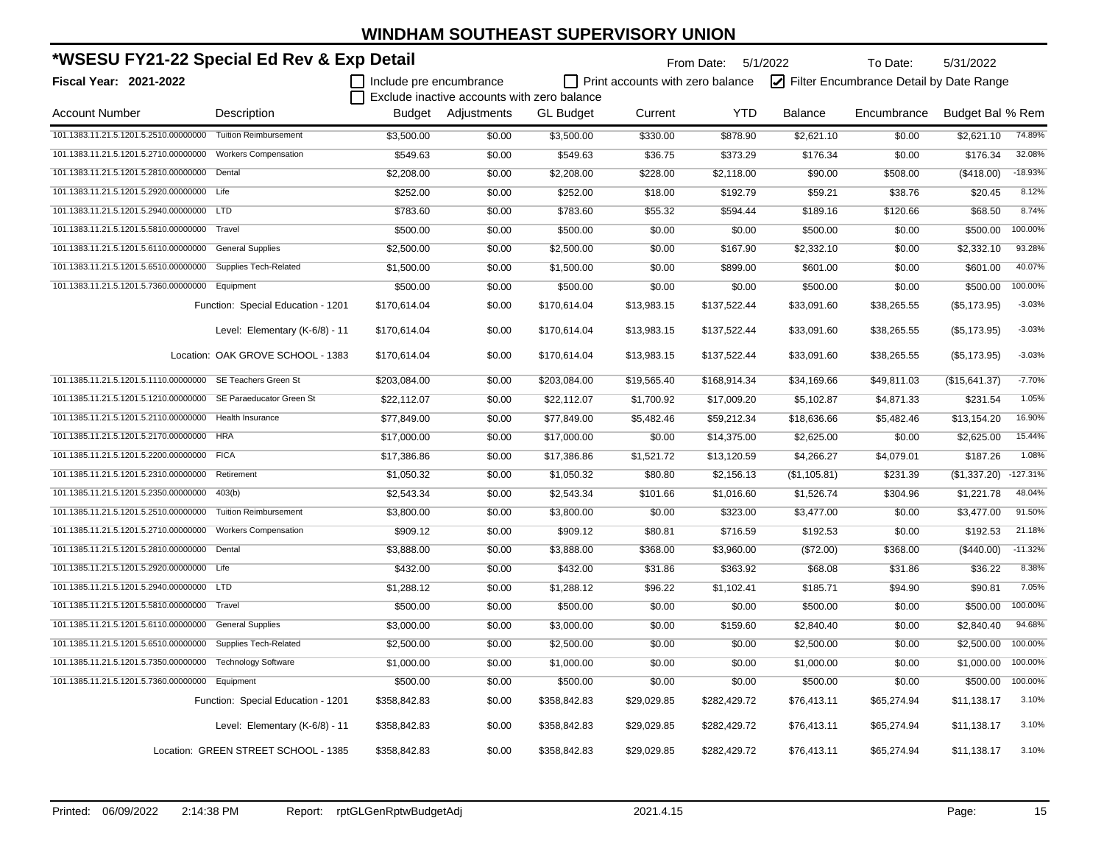| *WSESU FY21-22 Special Ed Rev & Exp Detail                  |                                      |                         |                                             |                  |                                  | From Date: 5/1/2022 |                | To Date:                                | 5/31/2022        |            |
|-------------------------------------------------------------|--------------------------------------|-------------------------|---------------------------------------------|------------------|----------------------------------|---------------------|----------------|-----------------------------------------|------------------|------------|
| Fiscal Year: 2021-2022                                      |                                      | Include pre encumbrance |                                             |                  | Print accounts with zero balance |                     |                | Filter Encumbrance Detail by Date Range |                  |            |
|                                                             |                                      |                         | Exclude inactive accounts with zero balance |                  |                                  |                     |                |                                         |                  |            |
| <b>Account Number</b>                                       | Description                          | Budget                  | Adjustments                                 | <b>GL Budget</b> | Current                          | <b>YTD</b>          | <b>Balance</b> | Encumbrance                             | Budget Bal % Rem |            |
| 101.1383.11.21.5.1201.5.2510.00000000 Tuition Reimbursement |                                      | \$3,500.00              | \$0.00                                      | \$3,500.00       | \$330.00                         | \$878.90            | \$2,621.10     | \$0.00                                  | \$2,621.10       | 74.89%     |
| 101.1383.11.21.5.1201.5.2710.00000000                       | <b>Workers Compensation</b>          | \$549.63                | \$0.00                                      | \$549.63         | \$36.75                          | \$373.29            | \$176.34       | \$0.00                                  | \$176.34         | 32.08%     |
| 101.1383.11.21.5.1201.5.2810.00000000                       | Dental                               | \$2,208.00              | \$0.00                                      | \$2,208.00       | \$228.00                         | \$2,118.00          | \$90.00        | \$508.00                                | (\$418.00)       | $-18.93%$  |
| 101.1383.11.21.5.1201.5.2920.00000000 Life                  |                                      | \$252.00                | \$0.00                                      | \$252.00         | \$18.00                          | \$192.79            | \$59.21        | \$38.76                                 | \$20.45          | 8.12%      |
| 101.1383.11.21.5.1201.5.2940.00000000                       | LTD                                  | \$783.60                | \$0.00                                      | \$783.60         | \$55.32                          | \$594.44            | \$189.16       | \$120.66                                | \$68.50          | 8.74%      |
| 101.1383.11.21.5.1201.5.5810.00000000                       | Travel                               | \$500.00                | \$0.00                                      | \$500.00         | \$0.00                           | \$0.00              | \$500.00       | \$0.00                                  | \$500.00         | 100.00%    |
| 101.1383.11.21.5.1201.5.6110.00000000                       | <b>General Supplies</b>              | \$2,500.00              | \$0.00                                      | \$2,500.00       | \$0.00                           | \$167.90            | \$2,332.10     | \$0.00                                  | \$2,332.10       | 93.28%     |
| 101.1383.11.21.5.1201.5.6510.00000000                       | <b>Supplies Tech-Related</b>         | \$1,500.00              | \$0.00                                      | \$1,500.00       | \$0.00                           | \$899.00            | \$601.00       | \$0.00                                  | \$601.00         | 40.07%     |
| 101.1383.11.21.5.1201.5.7360.00000000                       | Equipment                            | \$500.00                | \$0.00                                      | \$500.00         | \$0.00                           | \$0.00              | \$500.00       | \$0.00                                  | \$500.00         | 100.00%    |
|                                                             | Function: Special Education - 1201   | \$170,614.04            | \$0.00                                      | \$170,614.04     | \$13,983.15                      | \$137,522.44        | \$33,091.60    | \$38,265.55                             | (\$5,173.95)     | $-3.03%$   |
|                                                             | Level: Elementary (K-6/8) - 11       | \$170,614.04            | \$0.00                                      | \$170,614.04     | \$13,983.15                      | \$137,522.44        | \$33,091.60    | \$38,265.55                             | (\$5,173.95)     | $-3.03%$   |
|                                                             | Location: OAK GROVE SCHOOL - 1383    | \$170,614.04            | \$0.00                                      | \$170,614.04     | \$13,983.15                      | \$137,522.44        | \$33,091.60    | \$38,265.55                             | (\$5,173.95)     | $-3.03%$   |
| 101.1385.11.21.5.1201.5.1110.00000000                       | SE Teachers Green St                 | \$203,084.00            | \$0.00                                      | \$203,084.00     | \$19,565.40                      | \$168,914.34        | \$34,169.66    | \$49,811.03                             | (\$15,641.37)    | $-7.70%$   |
| 101.1385.11.21.5.1201.5.1210.00000000                       | SE Paraeducator Green St             | \$22,112.07             | \$0.00                                      | \$22,112.07      | \$1,700.92                       | \$17,009.20         | \$5,102.87     | \$4,871.33                              | \$231.54         | 1.05%      |
| 101.1385.11.21.5.1201.5.2110.00000000                       | Health Insurance                     | \$77,849.00             | \$0.00                                      | \$77,849.00      | \$5,482.46                       | \$59,212.34         | \$18,636.66    | \$5,482.46                              | \$13,154.20      | 16.90%     |
| 101.1385.11.21.5.1201.5.2170.00000000                       | <b>HRA</b>                           | \$17,000.00             | \$0.00                                      | \$17,000.00      | \$0.00                           | \$14,375.00         | \$2,625.00     | \$0.00                                  | \$2,625.00       | 15.44%     |
| 101.1385.11.21.5.1201.5.2200.00000000                       | <b>FICA</b>                          | \$17,386.86             | \$0.00                                      | \$17,386.86      | \$1,521.72                       | \$13,120.59         | \$4,266.27     | \$4,079.01                              | \$187.26         | 1.08%      |
| 101.1385.11.21.5.1201.5.2310.00000000                       | Retirement                           | \$1,050.32              | \$0.00                                      | \$1,050.32       | \$80.80                          | \$2,156.13          | (\$1,105.81)   | \$231.39                                | (\$1,337.20)     | $-127.31%$ |
| 101.1385.11.21.5.1201.5.2350.00000000                       | 403(b)                               | \$2,543.34              | \$0.00                                      | \$2,543.34       | \$101.66                         | \$1,016.60          | \$1,526.74     | \$304.96                                | \$1,221.78       | 48.04%     |
| 101.1385.11.21.5.1201.5.2510.00000000                       | <b>Tuition Reimbursement</b>         | \$3,800.00              | \$0.00                                      | \$3,800.00       | \$0.00                           | \$323.00            | \$3,477.00     | \$0.00                                  | \$3,477.00       | 91.50%     |
| 101.1385.11.21.5.1201.5.2710.00000000                       | <b>Workers Compensation</b>          | \$909.12                | \$0.00                                      | \$909.12         | \$80.81                          | \$716.59            | \$192.53       | \$0.00                                  | \$192.53         | 21.18%     |
| 101.1385.11.21.5.1201.5.2810.00000000                       | Dental                               | \$3,888.00              | \$0.00                                      | \$3,888.00       | \$368.00                         | \$3,960.00          | (\$72.00)      | \$368.00                                | (\$440.00)       | $-11.32%$  |
| 101.1385.11.21.5.1201.5.2920.00000000 Life                  |                                      | \$432.00                | \$0.00                                      | \$432.00         | \$31.86                          | \$363.92            | \$68.08        | \$31.86                                 | \$36.22          | 8.38%      |
| 101.1385.11.21.5.1201.5.2940.00000000 LTD                   |                                      | \$1,288.12              | \$0.00                                      | \$1,288.12       | \$96.22                          | \$1,102.41          | \$185.71       | \$94.90                                 | \$90.81          | 7.05%      |
| 101.1385.11.21.5.1201.5.5810.00000000 Travel                |                                      | \$500.00                | \$0.00                                      | \$500.00         | \$0.00                           | \$0.00              | \$500.00       | \$0.00                                  | \$500.00         | 100.00%    |
| 101.1385.11.21.5.1201.5.6110.00000000 General Supplies      |                                      | \$3,000.00              | \$0.00                                      | \$3,000.00       | \$0.00                           | \$159.60            | \$2,840.40     | \$0.00                                  | \$2,840.40       | 94.68%     |
| 101.1385.11.21.5.1201.5.6510.00000000 Supplies Tech-Related |                                      | \$2,500.00              | \$0.00                                      | \$2,500.00       | \$0.00                           | \$0.00              | \$2,500.00     | \$0.00                                  | \$2,500.00       | 100.00%    |
| 101.1385.11.21.5.1201.5.7350.00000000 Technology Software   |                                      | \$1,000.00              | \$0.00                                      | \$1,000.00       | \$0.00                           | \$0.00              | \$1,000.00     | \$0.00                                  | \$1,000.00       | 100.00%    |
| 101.1385.11.21.5.1201.5.7360.00000000 Equipment             |                                      | \$500.00                | \$0.00                                      | \$500.00         | \$0.00                           | \$0.00              | \$500.00       | \$0.00                                  | \$500.00         | 100.00%    |
|                                                             | Function: Special Education - 1201   | \$358,842.83            | \$0.00                                      | \$358,842.83     | \$29,029.85                      | \$282,429.72        | \$76,413.11    | \$65,274.94                             | \$11,138.17      | 3.10%      |
|                                                             | Level: Elementary (K-6/8) - 11       | \$358,842.83            | \$0.00                                      | \$358,842.83     | \$29,029.85                      | \$282,429.72        | \$76,413.11    | \$65,274.94                             | \$11,138.17      | 3.10%      |
|                                                             | Location: GREEN STREET SCHOOL - 1385 | \$358,842.83            | \$0.00                                      | \$358,842.83     | \$29,029.85                      | \$282,429.72        | \$76,413.11    | \$65,274.94                             | \$11,138.17      | 3.10%      |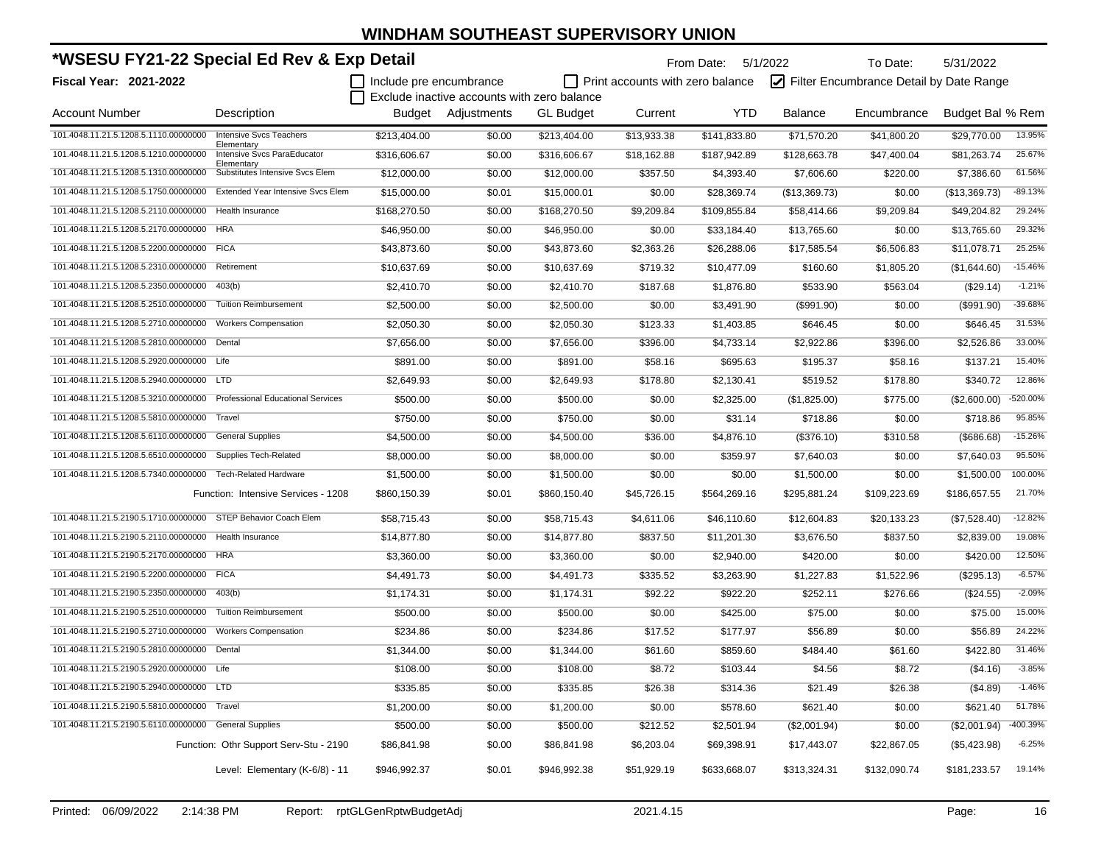| *WSESU FY21-22 Special Ed Rev & Exp Detail             |                                              |                         |                                             |                  |                                  | From Date:   | 5/1/2022      | To Date:                                | 5/31/2022        |           |
|--------------------------------------------------------|----------------------------------------------|-------------------------|---------------------------------------------|------------------|----------------------------------|--------------|---------------|-----------------------------------------|------------------|-----------|
| Fiscal Year: 2021-2022                                 |                                              | Include pre encumbrance |                                             |                  | Print accounts with zero balance |              |               | Filter Encumbrance Detail by Date Range |                  |           |
|                                                        |                                              |                         | Exclude inactive accounts with zero balance |                  |                                  |              |               |                                         |                  |           |
| <b>Account Number</b>                                  | Description                                  |                         | Budget Adjustments                          | <b>GL Budget</b> | Current                          | YTD          | Balance       | Encumbrance                             | Budget Bal % Rem |           |
| 101.4048.11.21.5.1208.5.1110.00000000                  | <b>Intensive Svcs Teachers</b><br>Elementary | \$213.404.00            | \$0.00                                      | \$213,404.00     | \$13.933.38                      | \$141,833.80 | \$71,570.20   | \$41,800.20                             | \$29,770.00      | 13.95%    |
| 101.4048.11.21.5.1208.5.1210.00000000                  | Intensive Svcs ParaEducator<br>Elementary    | \$316,606.67            | \$0.00                                      | \$316,606.67     | \$18,162.88                      | \$187,942.89 | \$128,663.78  | \$47,400.04                             | \$81,263.74      | 25.67%    |
| 101.4048.11.21.5.1208.5.1310.00000000                  | Substitutes Intensive Svcs Elem              | \$12,000.00             | \$0.00                                      | \$12,000.00      | \$357.50                         | \$4,393.40   | \$7,606.60    | \$220.00                                | \$7,386.60       | 61.56%    |
| 101.4048.11.21.5.1208.5.1750.00000000                  | Extended Year Intensive Svcs Elem            | \$15,000.00             | \$0.01                                      | \$15,000.01      | \$0.00                           | \$28,369.74  | (\$13,369.73) | \$0.00                                  | (\$13,369.73)    | $-89.13%$ |
| 101.4048.11.21.5.1208.5.2110.00000000                  | Health Insurance                             | \$168,270.50            | \$0.00                                      | \$168,270.50     | \$9,209.84                       | \$109,855.84 | \$58,414.66   | \$9,209.84                              | \$49.204.82      | 29.24%    |
| 101.4048.11.21.5.1208.5.2170.00000000 HRA              |                                              | \$46.950.00             | \$0.00                                      | \$46,950.00      | \$0.00                           | \$33,184.40  | \$13,765.60   | \$0.00                                  | \$13,765.60      | 29.32%    |
| 101.4048.11.21.5.1208.5.2200.00000000                  | <b>FICA</b>                                  | \$43,873.60             | \$0.00                                      | \$43,873.60      | \$2,363.26                       | \$26,288.06  | \$17,585.54   | \$6,506.83                              | \$11,078.71      | 25.25%    |
| 101.4048.11.21.5.1208.5.2310.00000000                  | Retirement                                   | \$10,637.69             | \$0.00                                      | \$10,637.69      | \$719.32                         | \$10,477.09  | \$160.60      | \$1,805.20                              | (\$1,644.60)     | $-15.46%$ |
| 101.4048.11.21.5.1208.5.2350.00000000                  | 403(b)                                       | \$2,410.70              | \$0.00                                      | \$2,410.70       | \$187.68                         | \$1,876.80   | \$533.90      | \$563.04                                | (\$29.14)        | $-1.21%$  |
| 101.4048.11.21.5.1208.5.2510.00000000                  | <b>Tuition Reimbursement</b>                 | \$2,500.00              | \$0.00                                      | \$2,500.00       | \$0.00                           | \$3,491.90   | (\$991.90)    | \$0.00                                  | (\$991.90)       | $-39.68%$ |
| 101.4048.11.21.5.1208.5.2710.00000000                  | <b>Workers Compensation</b>                  | \$2,050.30              | \$0.00                                      | \$2,050.30       | \$123.33                         | \$1,403.85   | \$646.45      | \$0.00                                  | \$646.45         | 31.53%    |
| 101.4048.11.21.5.1208.5.2810.00000000                  | Dental                                       | \$7,656.00              | \$0.00                                      | \$7,656.00       | \$396.00                         | \$4,733.14   | \$2,922.86    | \$396.00                                | \$2.526.86       | 33.00%    |
| 101.4048.11.21.5.1208.5.2920.00000000 Life             |                                              | \$891.00                | \$0.00                                      | \$891.00         | \$58.16                          | \$695.63     | \$195.37      | \$58.16                                 | \$137.21         | 15.40%    |
| 101.4048.11.21.5.1208.5.2940.00000000 LTD              |                                              | \$2,649.93              | \$0.00                                      | \$2,649.93       | \$178.80                         | \$2,130.41   | \$519.52      | \$178.80                                | \$340.72         | 12.86%    |
| 101.4048.11.21.5.1208.5.3210.00000000                  | <b>Professional Educational Services</b>     | \$500.00                | \$0.00                                      | \$500.00         | \$0.00                           | \$2,325.00   | (\$1,825.00)  | \$775.00                                | (\$2,600.00)     | -520.00%  |
| 101.4048.11.21.5.1208.5.5810.00000000                  | Travel                                       | \$750.00                | \$0.00                                      | \$750.00         | \$0.00                           | \$31.14      | \$718.86      | \$0.00                                  | \$718.86         | 95.85%    |
| 101.4048.11.21.5.1208.5.6110.00000000                  | <b>General Supplies</b>                      | \$4,500.00              | \$0.00                                      | \$4,500.00       | \$36.00                          | \$4,876.10   | (\$376.10)    | \$310.58                                | (\$686.68)       | $-15.26%$ |
| 101.4048.11.21.5.1208.5.6510.00000000                  | <b>Supplies Tech-Related</b>                 | \$8,000.00              | \$0.00                                      | \$8,000.00       | \$0.00                           | \$359.97     | \$7,640.03    | \$0.00                                  | \$7,640.03       | 95.50%    |
| 101.4048.11.21.5.1208.5.7340.00000000                  | <b>Tech-Related Hardware</b>                 | \$1,500.00              | \$0.00                                      | \$1,500.00       | \$0.00                           | \$0.00       | \$1,500.00    | \$0.00                                  | \$1,500.00       | 100.00%   |
|                                                        | Function: Intensive Services - 1208          | \$860,150.39            | \$0.01                                      | \$860,150.40     | \$45,726.15                      | \$564,269.16 | \$295,881.24  | \$109,223.69                            | \$186,657.55     | 21.70%    |
| 101.4048.11.21.5.2190.5.1710.00000000                  | STEP Behavior Coach Elem                     | \$58,715.43             | \$0.00                                      | \$58,715.43      | \$4,611.06                       | \$46,110.60  | \$12,604.83   | \$20,133.23                             | (\$7,528.40)     | $-12.82%$ |
| 101.4048.11.21.5.2190.5.2110.00000000                  | Health Insurance                             | \$14,877.80             | \$0.00                                      | \$14,877.80      | \$837.50                         | \$11,201.30  | \$3,676.50    | \$837.50                                | \$2,839.00       | 19.08%    |
| 101.4048.11.21.5.2190.5.2170.00000000 HRA              |                                              | \$3,360.00              | \$0.00                                      | \$3,360.00       | \$0.00                           | \$2,940.00   | \$420.00      | \$0.00                                  | \$420.00         | 12.50%    |
| 101.4048.11.21.5.2190.5.2200.00000000                  | <b>FICA</b>                                  | \$4,491.73              | \$0.00                                      | \$4,491.73       | \$335.52                         | \$3,263.90   | \$1,227.83    | \$1,522.96                              | (\$295.13)       | $-6.57%$  |
| 101.4048.11.21.5.2190.5.2350.00000000                  | 403(b)                                       | \$1,174.31              | \$0.00                                      | \$1,174.31       | \$92.22                          | \$922.20     | \$252.11      | \$276.66                                | $(\$24.55)$      | $-2.09%$  |
| 101.4048.11.21.5.2190.5.2510.00000000                  | <b>Tuition Reimbursement</b>                 | \$500.00                | \$0.00                                      | \$500.00         | \$0.00                           | \$425.00     | \$75.00       | \$0.00                                  | \$75.00          | 15.00%    |
| 101.4048.11.21.5.2190.5.2710.00000000                  | <b>Workers Compensation</b>                  | \$234.86                | \$0.00                                      | \$234.86         | \$17.52                          | \$177.97     | \$56.89       | \$0.00                                  | \$56.89          | 24.22%    |
| 101.4048.11.21.5.2190.5.2810.00000000                  | Dental                                       | \$1,344.00              | \$0.00                                      | \$1,344.00       | \$61.60                          | \$859.60     | \$484.40      | \$61.60                                 | \$422.80         | 31.46%    |
| 101.4048.11.21.5.2190.5.2920.00000000 Life             |                                              | \$108.00                | \$0.00                                      | \$108.00         | \$8.72                           | \$103.44     | \$4.56        | \$8.72                                  | (\$4.16)         | $-3.85%$  |
| 101.4048.11.21.5.2190.5.2940.00000000 LTD              |                                              | \$335.85                | \$0.00                                      | \$335.85         | \$26.38                          | \$314.36     | \$21.49       | \$26.38                                 | (\$4.89)         | $-1.46%$  |
| 101.4048.11.21.5.2190.5.5810.00000000 Travel           |                                              | \$1,200.00              | \$0.00                                      | \$1,200.00       | \$0.00                           | \$578.60     | \$621.40      | \$0.00                                  | \$621.40         | 51.78%    |
| 101.4048.11.21.5.2190.5.6110.00000000 General Supplies |                                              | \$500.00                | \$0.00                                      | \$500.00         | \$212.52                         | \$2,501.94   | (\$2,001.94)  | \$0.00                                  | (\$2,001.94)     | -400.39%  |
|                                                        | Function: Othr Support Serv-Stu - 2190       | \$86,841.98             | \$0.00                                      | \$86,841.98      | \$6,203.04                       | \$69,398.91  | \$17,443.07   | \$22,867.05                             | (\$5,423.98)     | $-6.25%$  |
|                                                        | Level: Elementary (K-6/8) - 11               | \$946,992.37            | \$0.01                                      | \$946,992.38     | \$51,929.19                      | \$633,668.07 | \$313,324.31  | \$132,090.74                            | \$181,233.57     | 19.14%    |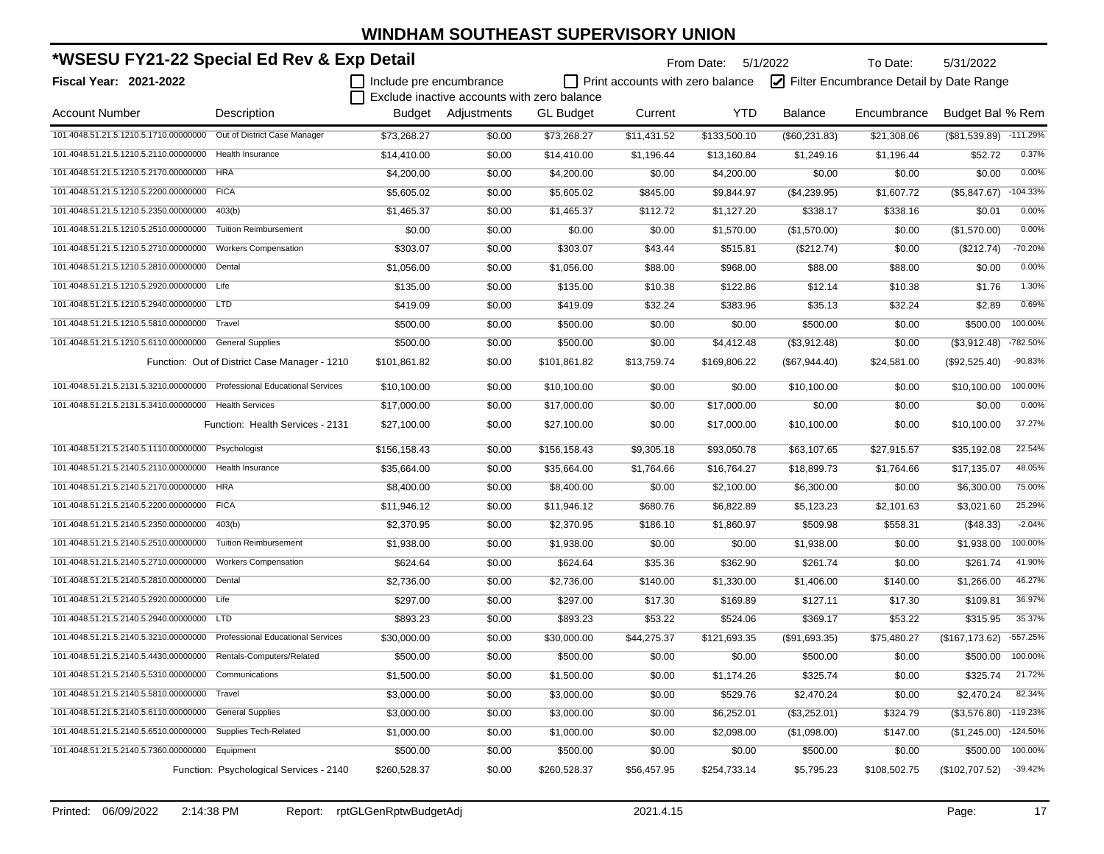| *WSESU FY21-22 Special Ed Rev & Exp Detail                              |                                               |                         |                                             |                  |                                         | From Date: 5/1/2022 |                | To Date:                                | 5/31/2022                 |            |
|-------------------------------------------------------------------------|-----------------------------------------------|-------------------------|---------------------------------------------|------------------|-----------------------------------------|---------------------|----------------|-----------------------------------------|---------------------------|------------|
| Fiscal Year: 2021-2022                                                  |                                               | Include pre encumbrance | Exclude inactive accounts with zero balance |                  | $\Box$ Print accounts with zero balance |                     |                | Filter Encumbrance Detail by Date Range |                           |            |
| <b>Account Number</b>                                                   | Description                                   |                         | Budget Adjustments                          | <b>GL Budget</b> | Current                                 | <b>YTD</b>          | <b>Balance</b> | Encumbrance                             | Budget Bal % Rem          |            |
| 101.4048.51.21.5.1210.5.1710.00000000                                   | Out of District Case Manager                  | \$73,268.27             | \$0.00                                      | \$73,268.27      | \$11,431.52                             | \$133,500.10        | (\$60,231.83)  | \$21,308.06                             | $($ \$81,539.89) -111.29% |            |
| 101.4048.51.21.5.1210.5.2110.00000000                                   | <b>Health Insurance</b>                       | \$14,410.00             | \$0.00                                      | \$14,410.00      | \$1,196.44                              | \$13,160.84         | \$1,249.16     | \$1,196.44                              | \$52.72                   | 0.37%      |
| 101.4048.51.21.5.1210.5.2170.00000000                                   | <b>HRA</b>                                    | \$4,200.00              | \$0.00                                      | \$4,200.00       | \$0.00                                  | \$4,200.00          | \$0.00         | \$0.00                                  | \$0.00                    | 0.00%      |
| 101.4048.51.21.5.1210.5.2200.00000000 FICA                              |                                               | \$5,605.02              | \$0.00                                      | \$5,605.02       | \$845.00                                | \$9,844.97          | (\$4,239.95)   | \$1,607.72                              | (\$5,847.67)              | $-104.33%$ |
| 101.4048.51.21.5.1210.5.2350.00000000 403(b)                            |                                               | \$1,465.37              | \$0.00                                      | \$1,465.37       | \$112.72                                | \$1,127.20          | \$338.17       | \$338.16                                | \$0.01                    | 0.00%      |
| 101.4048.51.21.5.1210.5.2510.00000000                                   | <b>Tuition Reimbursement</b>                  | \$0.00                  | \$0.00                                      | \$0.00           | \$0.00                                  | \$1,570.00          | (\$1,570.00)   | \$0.00                                  | (\$1,570.00)              | 0.00%      |
| 101.4048.51.21.5.1210.5.2710.00000000                                   | <b>Workers Compensation</b>                   | \$303.07                | \$0.00                                      | \$303.07         | \$43.44                                 | \$515.81            | (\$212.74)     | \$0.00                                  | (\$212.74)                | $-70.20%$  |
| 101.4048.51.21.5.1210.5.2810.00000000                                   | Dental                                        | \$1,056.00              | \$0.00                                      | \$1,056.00       | \$88.00                                 | \$968.00            | \$88.00        | \$88.00                                 | \$0.00                    | 0.00%      |
| 101.4048.51.21.5.1210.5.2920.00000000 Life                              |                                               | \$135.00                | \$0.00                                      | \$135.00         | \$10.38                                 | \$122.86            | \$12.14        | \$10.38                                 | \$1.76                    | 1.30%      |
| 101.4048.51.21.5.1210.5.2940.00000000 LTD                               |                                               | \$419.09                | \$0.00                                      | \$419.09         | \$32.24                                 | \$383.96            | \$35.13        | \$32.24                                 | \$2.89                    | 0.69%      |
| 101.4048.51.21.5.1210.5.5810.00000000                                   | Travel                                        | \$500.00                | \$0.00                                      | \$500.00         | \$0.00                                  | \$0.00              | \$500.00       | \$0.00                                  | \$500.00                  | 100.00%    |
| 101.4048.51.21.5.1210.5.6110.00000000 General Supplies                  |                                               | \$500.00                | \$0.00                                      | \$500.00         | \$0.00                                  | \$4,412.48          | (\$3,912.48)   | \$0.00                                  | (\$3,912.48)              | -782.50%   |
|                                                                         | Function: Out of District Case Manager - 1210 | \$101,861.82            | \$0.00                                      | \$101,861.82     | \$13,759.74                             | \$169,806.22        | (\$67,944.40)  | \$24,581.00                             | (\$92,525.40)             | $-90.83%$  |
| 101.4048.51.21.5.2131.5.3210.00000000 Professional Educational Services |                                               | \$10,100.00             | \$0.00                                      | \$10,100.00      | \$0.00                                  | \$0.00              | \$10,100.00    | \$0.00                                  | \$10,100.00               | 100.00%    |
| 101.4048.51.21.5.2131.5.3410.00000000 Health Services                   |                                               | \$17,000.00             | \$0.00                                      | \$17,000.00      | \$0.00                                  | \$17,000.00         | \$0.00         | \$0.00                                  | \$0.00                    | 0.00%      |
|                                                                         | Function: Health Services - 2131              | \$27,100.00             | \$0.00                                      | \$27,100.00      | \$0.00                                  | \$17,000.00         | \$10,100.00    | \$0.00                                  | \$10,100.00               | 37.27%     |
| 101.4048.51.21.5.2140.5.1110.00000000 Psychologist                      |                                               | \$156,158.43            | \$0.00                                      | \$156,158.43     | \$9,305.18                              | \$93,050.78         | \$63,107.65    | \$27,915.57                             | \$35,192.08               | 22.54%     |
| 101.4048.51.21.5.2140.5.2110.00000000                                   | Health Insurance                              | \$35,664.00             | \$0.00                                      | \$35,664.00      | \$1,764.66                              | \$16,764.27         | \$18,899.73    | \$1,764.66                              | \$17,135.07               | 48.05%     |
| 101.4048.51.21.5.2140.5.2170.00000000                                   | <b>HRA</b>                                    | \$8,400.00              | \$0.00                                      | \$8,400.00       | \$0.00                                  | \$2,100.00          | \$6,300.00     | \$0.00                                  | \$6,300.00                | 75.00%     |
| 101.4048.51.21.5.2140.5.2200.00000000                                   | <b>FICA</b>                                   | \$11,946.12             | \$0.00                                      | \$11,946.12      | \$680.76                                | \$6,822.89          | \$5,123.23     | \$2,101.63                              | \$3,021.60                | 25.29%     |
| 101.4048.51.21.5.2140.5.2350.00000000                                   | 403(b)                                        | \$2,370.95              | \$0.00                                      | \$2,370.95       | \$186.10                                | \$1,860.97          | \$509.98       | \$558.31                                | (\$48.33)                 | $-2.04%$   |
| 101.4048.51.21.5.2140.5.2510.00000000                                   | <b>Tuition Reimbursement</b>                  | \$1,938.00              | \$0.00                                      | \$1,938.00       | \$0.00                                  | \$0.00              | \$1,938.00     | \$0.00                                  | \$1,938.00                | 100.00%    |
| 101.4048.51.21.5.2140.5.2710.00000000                                   | <b>Workers Compensation</b>                   | \$624.64                | \$0.00                                      | \$624.64         | \$35.36                                 | \$362.90            | \$261.74       | \$0.00                                  | \$261.74                  | 41.90%     |
| 101.4048.51.21.5.2140.5.2810.00000000 Dental                            |                                               | \$2,736.00              | \$0.00                                      | \$2,736.00       | \$140.00                                | \$1,330.00          | \$1,406.00     | \$140.00                                | \$1,266.00                | 46.27%     |
| 101.4048.51.21.5.2140.5.2920.00000000 Life                              |                                               | \$297.00                | \$0.00                                      | \$297.00         | \$17.30                                 | \$169.89            | \$127.11       | \$17.30                                 | \$109.81                  | 36.97%     |
| 101.4048.51.21.5.2140.5.2940.00000000                                   | LTD <sub></sub>                               | \$893.23                | \$0.00                                      | \$893.23         | \$53.22                                 | \$524.06            | \$369.17       | \$53.22                                 | \$315.95                  | 35.37%     |
| 101.4048.51.21.5.2140.5.3210.00000000                                   | <b>Professional Educational Services</b>      | \$30,000.00             | \$0.00                                      | \$30,000.00      | \$44,275.37                             | \$121,693.35        | (\$91,693.35)  | \$75,480.27                             | (\$167, 173.62)           | -557.25%   |
| 101.4048.51.21.5.2140.5.4430.00000000                                   | Rentals-Computers/Related                     | \$500.00                | \$0.00                                      | \$500.00         | \$0.00                                  | \$0.00              | \$500.00       | \$0.00                                  | \$500.00                  | 100.00%    |
| 101.4048.51.21.5.2140.5.5310.00000000                                   | Communications                                | \$1,500.00              | \$0.00                                      | \$1,500.00       | \$0.00                                  | \$1,174.26          | \$325.74       | \$0.00                                  | \$325.74                  | 21.72%     |
| 101.4048.51.21.5.2140.5.5810.00000000                                   | Travel                                        | \$3,000.00              | \$0.00                                      | \$3,000.00       | \$0.00                                  | \$529.76            | \$2,470.24     | \$0.00                                  | \$2,470.24                | 82.34%     |
| 101.4048.51.21.5.2140.5.6110.00000000                                   | <b>General Supplies</b>                       | \$3,000.00              | \$0.00                                      | \$3,000.00       | \$0.00                                  | \$6,252.01          | (\$3,252.01)   | \$324.79                                | (\$3,576.80)              | $-119.23%$ |
| 101.4048.51.21.5.2140.5.6510.00000000                                   | Supplies Tech-Related                         | \$1,000.00              | \$0.00                                      | \$1,000.00       | \$0.00                                  | \$2,098.00          | (\$1,098.00)   | \$147.00                                | (\$1,245.00)              | $-124.50%$ |
| 101.4048.51.21.5.2140.5.7360.00000000                                   | Equipment                                     | \$500.00                | \$0.00                                      | \$500.00         | \$0.00                                  | \$0.00              | \$500.00       | \$0.00                                  | \$500.00                  | 100.00%    |
|                                                                         | Function: Psychological Services - 2140       | \$260,528.37            | \$0.00                                      | \$260,528.37     | \$56,457.95                             | \$254,733.14        | \$5,795.23     | \$108,502.75                            | (\$102,707.52)            | $-39.42%$  |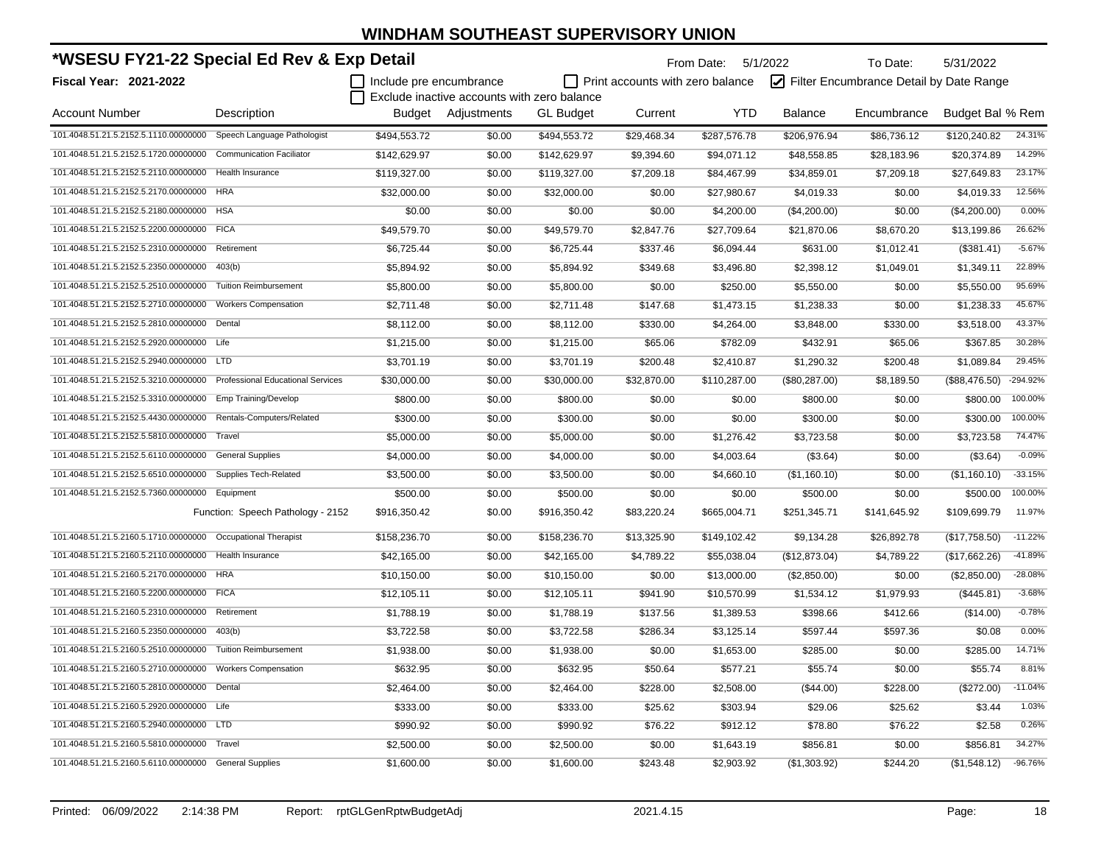| *WSESU FY21-22 Special Ed Rev & Exp Detail                 |                                          |                         |                                             |                  | From Date: 5/1/2022              |              | To Date:       | 5/31/2022                               |                  |           |
|------------------------------------------------------------|------------------------------------------|-------------------------|---------------------------------------------|------------------|----------------------------------|--------------|----------------|-----------------------------------------|------------------|-----------|
| Fiscal Year: 2021-2022                                     |                                          | Include pre encumbrance |                                             |                  | Print accounts with zero balance |              |                | Filter Encumbrance Detail by Date Range |                  |           |
|                                                            |                                          |                         | Exclude inactive accounts with zero balance |                  |                                  |              |                |                                         |                  |           |
| <b>Account Number</b>                                      | Description                              |                         | Budget Adjustments                          | <b>GL Budget</b> | Current                          | <b>YTD</b>   | <b>Balance</b> | Encumbrance                             | Budget Bal % Rem |           |
| 101.4048.51.21.5.2152.5.1110.00000000                      | Speech Language Pathologist              | \$494,553.72            | \$0.00                                      | \$494,553.72     | \$29,468.34                      | \$287,576.78 | \$206,976.94   | \$86,736.12                             | \$120,240.82     | 24.31%    |
| 101.4048.51.21.5.2152.5.1720.00000000                      | <b>Communication Faciliator</b>          | \$142,629.97            | \$0.00                                      | \$142,629.97     | \$9,394.60                       | \$94,071.12  | \$48,558.85    | \$28,183.96                             | \$20,374.89      | 14.29%    |
| 101.4048.51.21.5.2152.5.2110.00000000                      | Health Insurance                         | \$119,327.00            | \$0.00                                      | \$119,327.00     | \$7,209.18                       | \$84,467.99  | \$34,859.01    | \$7,209.18                              | \$27,649.83      | 23.17%    |
| 101.4048.51.21.5.2152.5.2170.00000000                      | <b>HRA</b>                               | \$32,000.00             | \$0.00                                      | \$32,000.00      | \$0.00                           | \$27,980.67  | \$4,019.33     | \$0.00                                  | \$4,019.33       | 12.56%    |
| 101.4048.51.21.5.2152.5.2180.00000000                      | <b>HSA</b>                               | \$0.00                  | \$0.00                                      | \$0.00           | \$0.00                           | \$4,200.00   | (\$4,200.00)   | \$0.00                                  | (\$4,200.00)     | 0.00%     |
| 101.4048.51.21.5.2152.5.2200.00000000                      | <b>FICA</b>                              | \$49,579.70             | \$0.00                                      | \$49,579.70      | \$2,847.76                       | \$27,709.64  | \$21,870.06    | \$8,670.20                              | \$13,199.86      | 26.62%    |
| 101.4048.51.21.5.2152.5.2310.00000000                      | Retirement                               | \$6,725.44              | \$0.00                                      | \$6,725.44       | \$337.46                         | \$6,094.44   | \$631.00       | \$1,012.41                              | (\$381.41)       | $-5.67%$  |
| 101.4048.51.21.5.2152.5.2350.00000000 403(b)               |                                          | \$5,894.92              | \$0.00                                      | \$5,894.92       | \$349.68                         | \$3,496.80   | \$2,398.12     | \$1,049.01                              | \$1,349.11       | 22.89%    |
| 101.4048.51.21.5.2152.5.2510.00000000                      | <b>Tuition Reimbursement</b>             | \$5,800.00              | \$0.00                                      | \$5,800.00       | \$0.00                           | \$250.00     | \$5,550.00     | \$0.00                                  | \$5,550.00       | 95.69%    |
| 101.4048.51.21.5.2152.5.2710.00000000                      | <b>Workers Compensation</b>              | \$2,711.48              | \$0.00                                      | \$2,711.48       | \$147.68                         | \$1,473.15   | \$1,238.33     | \$0.00                                  | \$1,238.33       | 45.67%    |
| 101.4048.51.21.5.2152.5.2810.00000000                      | Dental                                   | \$8,112.00              | \$0.00                                      | \$8,112.00       | \$330.00                         | \$4,264.00   | \$3,848.00     | \$330.00                                | \$3,518.00       | 43.37%    |
| 101.4048.51.21.5.2152.5.2920.00000000 Life                 |                                          | \$1,215.00              | \$0.00                                      | \$1,215.00       | \$65.06                          | \$782.09     | \$432.91       | \$65.06                                 | \$367.85         | 30.28%    |
| 101.4048.51.21.5.2152.5.2940.00000000 LTD                  |                                          | \$3,701.19              | \$0.00                                      | \$3,701.19       | \$200.48                         | \$2,410.87   | \$1,290.32     | \$200.48                                | \$1,089.84       | 29.45%    |
| 101.4048.51.21.5.2152.5.3210.00000000                      | <b>Professional Educational Services</b> | \$30,000.00             | \$0.00                                      | \$30,000.00      | \$32,870.00                      | \$110,287.00 | (\$80,287.00)  | \$8,189.50                              | (\$88,476.50)    | -294.92%  |
| 101.4048.51.21.5.2152.5.3310.00000000                      | Emp Training/Develop                     | \$800.00                | \$0.00                                      | \$800.00         | \$0.00                           | \$0.00       | \$800.00       | \$0.00                                  | \$800.00         | 100.00%   |
| 101.4048.51.21.5.2152.5.4430.00000000                      | Rentals-Computers/Related                | \$300.00                | \$0.00                                      | \$300.00         | \$0.00                           | \$0.00       | \$300.00       | \$0.00                                  | \$300.00         | 100.00%   |
| 101.4048.51.21.5.2152.5.5810.00000000                      | Travel                                   | \$5,000.00              | \$0.00                                      | \$5,000.00       | \$0.00                           | \$1,276.42   | \$3,723.58     | \$0.00                                  | \$3,723.58       | 74.47%    |
| 101.4048.51.21.5.2152.5.6110.00000000 General Supplies     |                                          | \$4,000.00              | \$0.00                                      | \$4,000.00       | \$0.00                           | \$4,003.64   | (\$3.64)       | \$0.00                                  | (\$3.64)         | $-0.09%$  |
| 101.4048.51.21.5.2152.5.6510.00000000                      | <b>Supplies Tech-Related</b>             | \$3,500.00              | \$0.00                                      | \$3,500.00       | \$0.00                           | \$4,660.10   | (\$1,160.10)   | \$0.00                                  | (\$1,160.10)     | $-33.15%$ |
| 101.4048.51.21.5.2152.5.7360.00000000                      | Equipment                                | \$500.00                | \$0.00                                      | \$500.00         | \$0.00                           | \$0.00       | \$500.00       | \$0.00                                  | \$500.00         | 100.00%   |
|                                                            | Function: Speech Pathology - 2152        | \$916,350.42            | \$0.00                                      | \$916,350.42     | \$83,220.24                      | \$665,004.71 | \$251,345.71   | \$141,645.92                            | \$109,699.79     | 11.97%    |
| 101.4048.51.21.5.2160.5.1710.00000000                      | Occupational Therapist                   | \$158,236.70            | \$0.00                                      | \$158,236.70     | \$13,325.90                      | \$149,102.42 | \$9,134.28     | \$26,892.78                             | (\$17,758.50)    | $-11.22%$ |
| 101.4048.51.21.5.2160.5.2110.00000000                      | Health Insurance                         | \$42,165.00             | \$0.00                                      | \$42,165.00      | \$4,789.22                       | \$55,038.04  | (\$12,873.04)  | \$4,789.22                              | (\$17,662.26)    | -41.89%   |
| 101.4048.51.21.5.2160.5.2170.00000000 HRA                  |                                          | \$10,150.00             | \$0.00                                      | \$10,150.00      | \$0.00                           | \$13,000.00  | (\$2,850.00)   | \$0.00                                  | (\$2,850.00)     | $-28.08%$ |
| 101.4048.51.21.5.2160.5.2200.00000000 FICA                 |                                          | \$12,105.11             | \$0.00                                      | \$12,105.11      | \$941.90                         | \$10,570.99  | \$1,534.12     | \$1,979.93                              | (\$445.81)       | $-3.68%$  |
| 101.4048.51.21.5.2160.5.2310.00000000                      | Retirement                               | \$1,788.19              | \$0.00                                      | \$1,788.19       | \$137.56                         | \$1,389.53   | \$398.66       | \$412.66                                | (\$14.00)        | $-0.78%$  |
| 101.4048.51.21.5.2160.5.2350.00000000                      | 403(b)                                   | \$3,722.58              | \$0.00                                      | \$3,722.58       | \$286.34                         | \$3,125.14   | \$597.44       | \$597.36                                | \$0.08           | 0.00%     |
| 101.4048.51.21.5.2160.5.2510.00000000                      | <b>Tuition Reimbursement</b>             | \$1,938.00              | \$0.00                                      | \$1,938.00       | \$0.00                           | \$1,653.00   | \$285.00       | \$0.00                                  | \$285.00         | 14.71%    |
| 101.4048.51.21.5.2160.5.2710.00000000 Workers Compensation |                                          | \$632.95                | \$0.00                                      | \$632.95         | \$50.64                          | \$577.21     | \$55.74        | \$0.00                                  | \$55.74          | 8.81%     |
| 101.4048.51.21.5.2160.5.2810.00000000 Dental               |                                          | \$2,464.00              | \$0.00                                      | \$2,464.00       | \$228.00                         | \$2,508.00   | (\$44.00)      | \$228.00                                | (\$272.00)       | $-11.04%$ |
| 101.4048.51.21.5.2160.5.2920.00000000 Life                 |                                          | \$333.00                | \$0.00                                      | \$333.00         | \$25.62                          | \$303.94     | \$29.06        | \$25.62                                 | \$3.44           | 1.03%     |
| 101.4048.51.21.5.2160.5.2940.00000000                      | <b>LTD</b>                               | \$990.92                | \$0.00                                      | \$990.92         | \$76.22                          | \$912.12     | \$78.80        | \$76.22                                 | \$2.58           | 0.26%     |
| 101.4048.51.21.5.2160.5.5810.00000000                      | Travel                                   | \$2,500.00              | \$0.00                                      | \$2,500.00       | \$0.00                           | \$1,643.19   | \$856.81       | \$0.00                                  | \$856.81         | 34.27%    |
| 101.4048.51.21.5.2160.5.6110.00000000 General Supplies     |                                          | \$1,600.00              | \$0.00                                      | \$1,600.00       | \$243.48                         | \$2,903.92   | (\$1,303.92)   | \$244.20                                | (\$1,548.12)     | -96.76%   |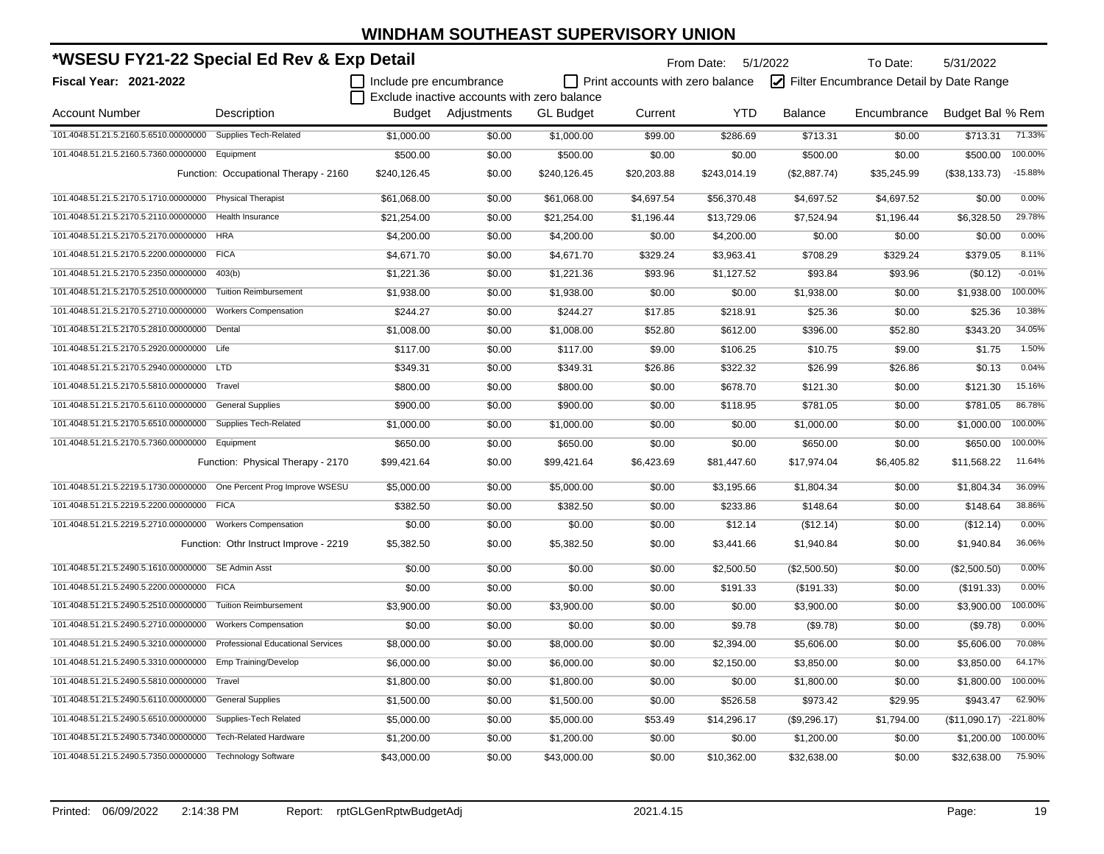| *WSESU FY21-22 Special Ed Rev & Exp Detail<br>Include pre encumbrance   |                                        |              |                                             | From Date: 5/1/2022 |                                         | To Date:     | 5/31/2022      |                                         |                  |            |
|-------------------------------------------------------------------------|----------------------------------------|--------------|---------------------------------------------|---------------------|-----------------------------------------|--------------|----------------|-----------------------------------------|------------------|------------|
| Fiscal Year: 2021-2022                                                  |                                        |              |                                             |                     | $\Box$ Print accounts with zero balance |              |                | Filter Encumbrance Detail by Date Range |                  |            |
|                                                                         |                                        |              | Exclude inactive accounts with zero balance |                     |                                         |              |                |                                         |                  |            |
| <b>Account Number</b>                                                   | Description                            |              | <b>Budget</b> Adiustments                   | <b>GL Budget</b>    | Current                                 | <b>YTD</b>   | <b>Balance</b> | Encumbrance                             | Budget Bal % Rem |            |
| 101.4048.51.21.5.2160.5.6510.00000000                                   | Supplies Tech-Related                  | \$1,000.00   | \$0.00                                      | \$1,000.00          | \$99.00                                 | \$286.69     | \$713.31       | \$0.00                                  | \$713.31         | 71.33%     |
| 101.4048.51.21.5.2160.5.7360.00000000                                   | Equipment                              | \$500.00     | \$0.00                                      | \$500.00            | \$0.00                                  | \$0.00       | \$500.00       | \$0.00                                  | \$500.00         | 100.00%    |
|                                                                         | Function: Occupational Therapy - 2160  | \$240,126.45 | \$0.00                                      | \$240,126.45        | \$20,203.88                             | \$243,014.19 | (\$2,887.74)   | \$35,245.99                             | (\$38,133.73)    | $-15.88%$  |
| 101.4048.51.21.5.2170.5.1710.00000000 Physical Therapist                |                                        | \$61,068.00  | \$0.00                                      | \$61,068.00         | \$4,697.54                              | \$56,370.48  | \$4,697.52     | \$4,697.52                              | \$0.00           | 0.00%      |
| 101.4048.51.21.5.2170.5.2110.00000000                                   | Health Insurance                       | \$21,254.00  | \$0.00                                      | \$21,254.00         | \$1,196.44                              | \$13,729.06  | \$7,524.94     | \$1,196.44                              | \$6,328.50       | 29.78%     |
| 101.4048.51.21.5.2170.5.2170.00000000 HRA                               |                                        | \$4,200.00   | \$0.00                                      | \$4,200.00          | \$0.00                                  | \$4,200.00   | \$0.00         | \$0.00                                  | \$0.00           | 0.00%      |
| 101.4048.51.21.5.2170.5.2200.00000000 FICA                              |                                        | \$4,671.70   | \$0.00                                      | \$4,671.70          | \$329.24                                | \$3,963.41   | \$708.29       | \$329.24                                | \$379.05         | 8.11%      |
| 101.4048.51.21.5.2170.5.2350.00000000                                   | 403(b)                                 | \$1,221.36   | \$0.00                                      | \$1,221.36          | \$93.96                                 | \$1,127.52   | \$93.84        | \$93.96                                 | (\$0.12)         | $-0.01%$   |
| 101.4048.51.21.5.2170.5.2510.00000000                                   | <b>Tuition Reimbursement</b>           | \$1,938.00   | \$0.00                                      | \$1,938.00          | \$0.00                                  | \$0.00       | \$1,938.00     | \$0.00                                  | \$1,938.00       | 100.00%    |
| 101.4048.51.21.5.2170.5.2710.00000000                                   | <b>Workers Compensation</b>            | \$244.27     | \$0.00                                      | \$244.27            | \$17.85                                 | \$218.91     | \$25.36        | \$0.00                                  | \$25.36          | 10.38%     |
| 101.4048.51.21.5.2170.5.2810.00000000 Dental                            |                                        | \$1,008.00   | \$0.00                                      | \$1,008.00          | \$52.80                                 | \$612.00     | \$396.00       | \$52.80                                 | \$343.20         | 34.05%     |
| 101.4048.51.21.5.2170.5.2920.00000000 Life                              |                                        | \$117.00     | \$0.00                                      | \$117.00            | \$9.00                                  | \$106.25     | \$10.75        | \$9.00                                  | \$1.75           | 1.50%      |
| 101.4048.51.21.5.2170.5.2940.00000000 LTD                               |                                        | \$349.31     | \$0.00                                      | \$349.31            | \$26.86                                 | \$322.32     | \$26.99        | \$26.86                                 | \$0.13           | 0.04%      |
| 101.4048.51.21.5.2170.5.5810.00000000 Travel                            |                                        | \$800.00     | \$0.00                                      | \$800.00            | \$0.00                                  | \$678.70     | \$121.30       | \$0.00                                  | \$121.30         | 15.16%     |
| 101.4048.51.21.5.2170.5.6110.00000000 General Supplies                  |                                        | \$900.00     | \$0.00                                      | \$900.00            | \$0.00                                  | \$118.95     | \$781.05       | \$0.00                                  | \$781.05         | 86.78%     |
| 101.4048.51.21.5.2170.5.6510.00000000 Supplies Tech-Related             |                                        | \$1,000.00   | \$0.00                                      | \$1,000.00          | \$0.00                                  | \$0.00       | \$1,000.00     | \$0.00                                  | \$1,000.00       | 100.00%    |
| 101.4048.51.21.5.2170.5.7360.00000000 Equipment                         |                                        | \$650.00     | \$0.00                                      | \$650.00            | \$0.00                                  | \$0.00       | \$650.00       | \$0.00                                  | \$650.00         | 100.00%    |
|                                                                         | Function: Physical Therapy - 2170      | \$99,421.64  | \$0.00                                      | \$99,421.64         | \$6,423.69                              | \$81,447.60  | \$17,974.04    | \$6,405.82                              | \$11,568.22      | 11.64%     |
| 101.4048.51.21.5.2219.5.1730.00000000 One Percent Prog Improve WSESU    |                                        | \$5,000.00   | \$0.00                                      | \$5,000.00          | \$0.00                                  | \$3,195.66   | \$1,804.34     | \$0.00                                  | \$1,804.34       | 36.09%     |
| 101.4048.51.21.5.2219.5.2200.00000000                                   | <b>FICA</b>                            | \$382.50     | \$0.00                                      | \$382.50            | \$0.00                                  | \$233.86     | \$148.64       | \$0.00                                  | \$148.64         | 38.86%     |
| 101.4048.51.21.5.2219.5.2710.00000000                                   | <b>Workers Compensation</b>            | \$0.00       | \$0.00                                      | \$0.00              | \$0.00                                  | \$12.14      | (\$12.14)      | \$0.00                                  | (\$12.14)        | 0.00%      |
|                                                                         | Function: Othr Instruct Improve - 2219 | \$5,382.50   | \$0.00                                      | \$5,382.50          | \$0.00                                  | \$3,441.66   | \$1,940.84     | \$0.00                                  | \$1,940.84       | 36.06%     |
| 101.4048.51.21.5.2490.5.1610.00000000 SE Admin Asst                     |                                        | \$0.00       | \$0.00                                      | \$0.00              | \$0.00                                  | \$2,500.50   | (\$2,500.50)   | \$0.00                                  | (\$2,500.50)     | 0.00%      |
| 101.4048.51.21.5.2490.5.2200.00000000 FICA                              |                                        | \$0.00       | \$0.00                                      | \$0.00              | \$0.00                                  | \$191.33     | (\$191.33)     | \$0.00                                  | (\$191.33)       | 0.00%      |
| 101.4048.51.21.5.2490.5.2510.00000000                                   | <b>Tuition Reimbursement</b>           | \$3,900.00   | \$0.00                                      | \$3,900.00          | \$0.00                                  | \$0.00       | \$3,900.00     | \$0.00                                  | \$3,900.00       | 100.00%    |
| 101.4048.51.21.5.2490.5.2710.00000000                                   | <b>Workers Compensation</b>            | \$0.00       | \$0.00                                      | \$0.00              | \$0.00                                  | \$9.78       | (\$9.78)       | \$0.00                                  | (\$9.78)         | 0.00%      |
| 101.4048.51.21.5.2490.5.3210.00000000 Professional Educational Services |                                        | \$8,000.00   | \$0.00                                      | \$8,000.00          | \$0.00                                  | \$2,394.00   | \$5,606.00     | \$0.00                                  | \$5,606.00       | 70.08%     |
| 101.4048.51.21.5.2490.5.3310.00000000 Emp Training/Develop              |                                        | \$6,000.00   | \$0.00                                      | \$6,000.00          | \$0.00                                  | \$2,150.00   | \$3,850.00     | \$0.00                                  | \$3,850.00       | 64.17%     |
| 101.4048.51.21.5.2490.5.5810.00000000                                   | Travel                                 | \$1,800.00   | \$0.00                                      | \$1,800.00          | \$0.00                                  | \$0.00       | \$1,800.00     | \$0.00                                  | \$1,800.00       | 100.00%    |
| 101.4048.51.21.5.2490.5.6110.00000000 General Supplies                  |                                        | \$1,500.00   | \$0.00                                      | \$1,500.00          | \$0.00                                  | \$526.58     | \$973.42       | \$29.95                                 | \$943.47         | 62.90%     |
| 101.4048.51.21.5.2490.5.6510.00000000 Supplies-Tech Related             |                                        | \$5,000.00   | \$0.00                                      | \$5,000.00          | \$53.49                                 | \$14,296.17  | (\$9,296.17)   | \$1,794.00                              | (\$11,090.17)    | $-221.80%$ |
| 101.4048.51.21.5.2490.5.7340.00000000 Tech-Related Hardware             |                                        | \$1,200.00   | \$0.00                                      | \$1,200.00          | \$0.00                                  | \$0.00       | \$1,200.00     | \$0.00                                  | \$1,200.00       | 100.00%    |
| 101.4048.51.21.5.2490.5.7350.00000000 Technology Software               |                                        | \$43,000.00  | \$0.00                                      | \$43,000.00         | \$0.00                                  | \$10,362.00  | \$32,638.00    | \$0.00                                  | \$32,638.00      | 75.90%     |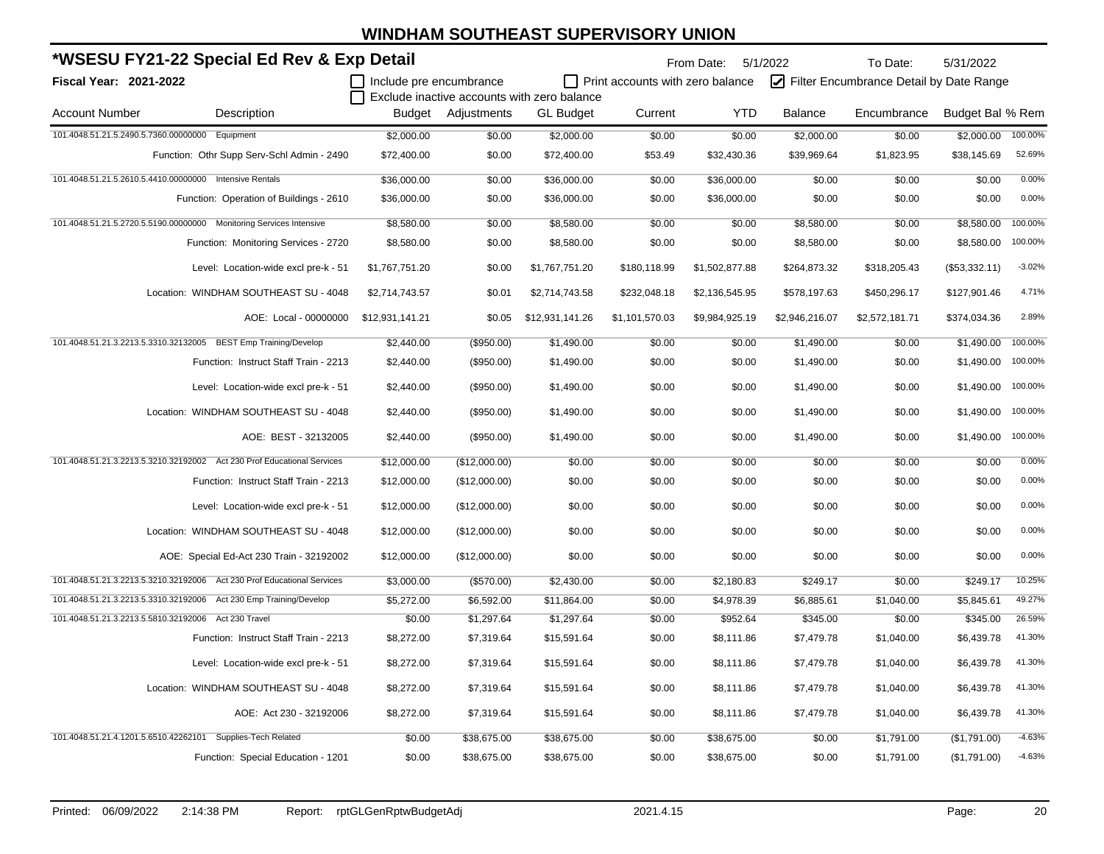|                               | *WSESU FY21-22 Special Ed Rev & Exp Detail                              |                         |               |                                             |                                         | From Date:     | 5/1/2022       | To Date:                                | 5/31/2022        |          |
|-------------------------------|-------------------------------------------------------------------------|-------------------------|---------------|---------------------------------------------|-----------------------------------------|----------------|----------------|-----------------------------------------|------------------|----------|
| <b>Fiscal Year: 2021-2022</b> |                                                                         | Include pre encumbrance |               |                                             | $\Box$ Print accounts with zero balance |                |                | Filter Encumbrance Detail by Date Range |                  |          |
|                               |                                                                         |                         |               | Exclude inactive accounts with zero balance |                                         |                |                |                                         |                  |          |
| <b>Account Number</b>         | Description                                                             | Budget                  | Adjustments   | <b>GL Budget</b>                            | Current                                 | <b>YTD</b>     | <b>Balance</b> | Encumbrance                             | Budget Bal % Rem |          |
|                               | 101.4048.51.21.5.2490.5.7360.00000000 Equipment                         | \$2,000.00              | \$0.00        | \$2,000.00                                  | \$0.00                                  | \$0.00         | \$2,000.00     | \$0.00                                  | \$2,000.00       | 100.00%  |
|                               | Function: Othr Supp Serv-Schl Admin - 2490                              | \$72,400.00             | \$0.00        | \$72,400.00                                 | \$53.49                                 | \$32,430.36    | \$39,969.64    | \$1,823.95                              | \$38,145.69      | 52.69%   |
|                               | 101.4048.51.21.5.2610.5.4410.00000000 Intensive Rentals                 | \$36,000.00             | \$0.00        | \$36,000.00                                 | \$0.00                                  | \$36,000.00    | \$0.00         | \$0.00                                  | \$0.00           | 0.00%    |
|                               | Function: Operation of Buildings - 2610                                 | \$36,000.00             | \$0.00        | \$36,000.00                                 | \$0.00                                  | \$36,000.00    | \$0.00         | \$0.00                                  | \$0.00           | 0.00%    |
|                               | 101.4048.51.21.5.2720.5.5190.00000000 Monitoring Services Intensive     | \$8,580.00              | \$0.00        | \$8,580.00                                  | \$0.00                                  | \$0.00         | \$8,580.00     | \$0.00                                  | \$8,580.00       | 100.00%  |
|                               | Function: Monitoring Services - 2720                                    | \$8,580.00              | \$0.00        | \$8,580.00                                  | \$0.00                                  | \$0.00         | \$8,580.00     | \$0.00                                  | \$8,580.00       | 100.00%  |
|                               | Level: Location-wide excl pre-k - 51                                    | \$1,767,751.20          | \$0.00        | \$1,767,751.20                              | \$180,118.99                            | \$1,502,877.88 | \$264,873.32   | \$318,205.43                            | (\$53,332.11)    | $-3.02%$ |
|                               | Location: WINDHAM SOUTHEAST SU - 4048                                   | \$2,714,743.57          | \$0.01        | \$2,714,743.58                              | \$232,048.18                            | \$2,136,545.95 | \$578,197.63   | \$450,296.17                            | \$127,901.46     | 4.71%    |
|                               | AOE: Local - 00000000                                                   | \$12,931,141.21         | \$0.05        | \$12,931,141.26                             | \$1,101,570.03                          | \$9,984,925.19 | \$2,946,216.07 | \$2,572,181.71                          | \$374,034.36     | 2.89%    |
|                               | 101.4048.51.21.3.2213.5.3310.32132005 BEST Emp Training/Develop         | \$2,440.00              | (\$950.00)    | \$1,490.00                                  | \$0.00                                  | \$0.00         | \$1,490.00     | \$0.00                                  | \$1,490.00       | 100.00%  |
|                               | Function: Instruct Staff Train - 2213                                   | \$2,440.00              | (\$950.00)    | \$1,490.00                                  | \$0.00                                  | \$0.00         | \$1,490.00     | \$0.00                                  | \$1,490.00       | 100.00%  |
|                               | Level: Location-wide excl pre-k - 51                                    | \$2,440.00              | $(\$950.00)$  | \$1,490.00                                  | \$0.00                                  | \$0.00         | \$1,490.00     | \$0.00                                  | \$1,490.00       | 100.00%  |
|                               | Location: WINDHAM SOUTHEAST SU - 4048                                   | \$2,440.00              | (\$950.00)    | \$1,490.00                                  | \$0.00                                  | \$0.00         | \$1,490.00     | \$0.00                                  | \$1,490.00       | 100.00%  |
|                               | AOE: BEST - 32132005                                                    | \$2,440.00              | (\$950.00)    | \$1,490.00                                  | \$0.00                                  | \$0.00         | \$1,490.00     | \$0.00                                  | \$1,490.00       | 100.00%  |
|                               | 101.4048.51.21.3.2213.5.3210.32192002 Act 230 Prof Educational Services | \$12,000.00             | (\$12,000.00) | \$0.00                                      | \$0.00                                  | \$0.00         | \$0.00         | \$0.00                                  | \$0.00           | 0.00%    |
|                               | Function: Instruct Staff Train - 2213                                   | \$12,000.00             | (\$12,000.00) | \$0.00                                      | \$0.00                                  | \$0.00         | \$0.00         | \$0.00                                  | \$0.00           | 0.00%    |
|                               | Level: Location-wide excl pre-k - 51                                    | \$12,000.00             | (\$12,000.00) | \$0.00                                      | \$0.00                                  | \$0.00         | \$0.00         | \$0.00                                  | \$0.00           | 0.00%    |
|                               | Location: WINDHAM SOUTHEAST SU - 4048                                   | \$12,000.00             | (\$12,000.00) | \$0.00                                      | \$0.00                                  | \$0.00         | \$0.00         | \$0.00                                  | \$0.00           | 0.00%    |
|                               | AOE: Special Ed-Act 230 Train - 32192002                                | \$12,000.00             | (\$12,000.00) | \$0.00                                      | \$0.00                                  | \$0.00         | \$0.00         | \$0.00                                  | \$0.00           | 0.00%    |
|                               | 101.4048.51.21.3.2213.5.3210.32192006 Act 230 Prof Educational Services | \$3,000.00              | (\$570.00)    | \$2,430.00                                  | \$0.00                                  | \$2,180.83     | \$249.17       | \$0.00                                  | \$249.17         | 10.25%   |
|                               | 101.4048.51.21.3.2213.5.3310.32192006 Act 230 Emp Training/Develop      | \$5,272.00              | \$6,592.00    | \$11,864.00                                 | \$0.00                                  | \$4,978.39     | \$6,885.61     | \$1,040.00                              | \$5,845.61       | 49.27%   |
|                               | 101.4048.51.21.3.2213.5.5810.32192006 Act 230 Travel                    | \$0.00                  | \$1,297.64    | \$1,297.64                                  | \$0.00                                  | \$952.64       | \$345.00       | \$0.00                                  | \$345.00         | 26.59%   |
|                               | Function: Instruct Staff Train - 2213                                   | \$8,272.00              | \$7,319.64    | \$15,591.64                                 | \$0.00                                  | \$8,111.86     | \$7,479.78     | \$1,040.00                              | \$6,439.78       | 41.30%   |
|                               | Level: Location-wide excl pre-k - 51                                    | \$8,272.00              | \$7,319.64    | \$15,591.64                                 | \$0.00                                  | \$8,111.86     | \$7,479.78     | \$1,040.00                              | \$6,439.78       | 41.30%   |
|                               | Location: WINDHAM SOUTHEAST SU - 4048                                   | \$8,272.00              | \$7,319.64    | \$15,591.64                                 | \$0.00                                  | \$8,111.86     | \$7,479.78     | \$1,040.00                              | \$6,439.78       | 41.30%   |
|                               | AOE: Act 230 - 32192006                                                 | \$8,272.00              | \$7,319.64    | \$15,591.64                                 | \$0.00                                  | \$8,111.86     | \$7,479.78     | \$1,040.00                              | \$6,439.78       | 41.30%   |
|                               | 101.4048.51.21.4.1201.5.6510.42262101 Supplies-Tech Related             | \$0.00                  | \$38,675.00   | \$38,675.00                                 | \$0.00                                  | \$38,675.00    | \$0.00         | \$1,791.00                              | (\$1,791.00)     | $-4.63%$ |
|                               | Function: Special Education - 1201                                      | \$0.00                  | \$38,675.00   | \$38,675.00                                 | \$0.00                                  | \$38,675.00    | \$0.00         | \$1,791.00                              | (\$1,791.00)     | $-4.63%$ |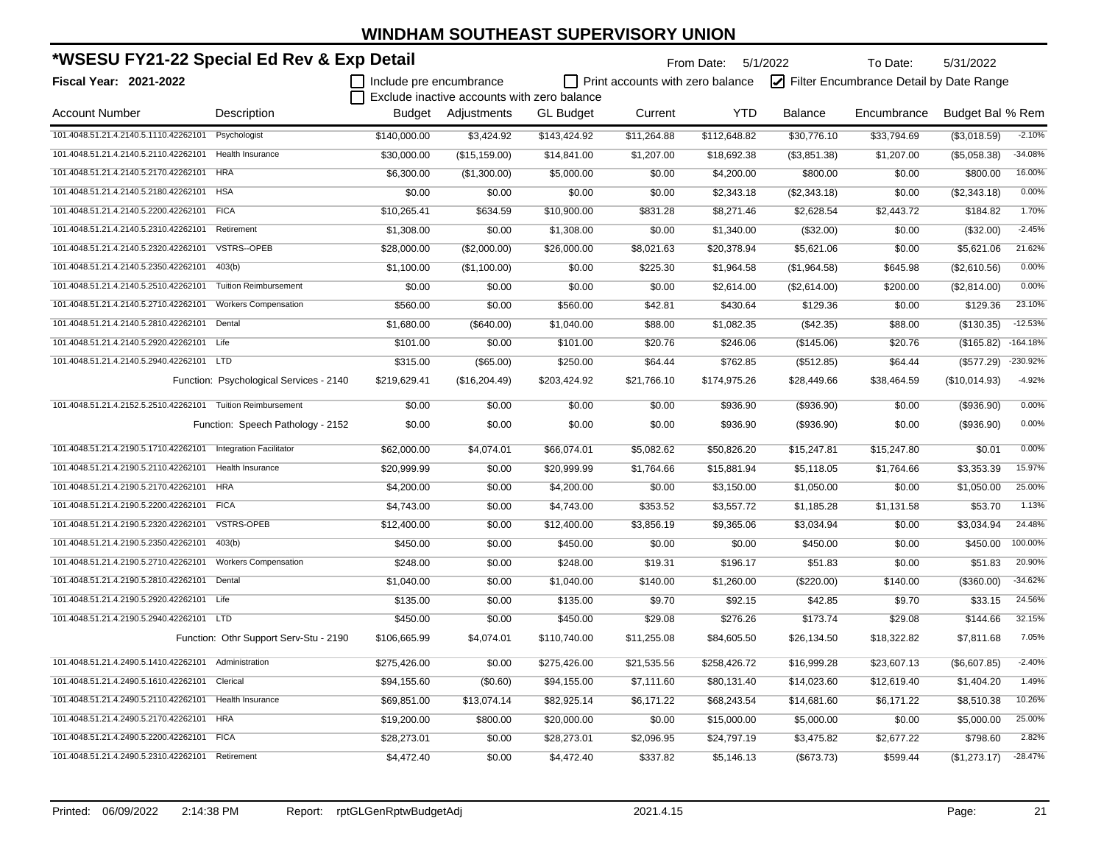| *WSESU FY21-22 Special Ed Rev & Exp Detail |                                         |                         |                                             |                  |                                         | From Date: 5/1/2022 |                | To Date:                                | 5/31/2022        |            |
|--------------------------------------------|-----------------------------------------|-------------------------|---------------------------------------------|------------------|-----------------------------------------|---------------------|----------------|-----------------------------------------|------------------|------------|
| <b>Fiscal Year: 2021-2022</b>              |                                         | Include pre encumbrance |                                             |                  | $\Box$ Print accounts with zero balance |                     |                | Filter Encumbrance Detail by Date Range |                  |            |
|                                            |                                         |                         | Exclude inactive accounts with zero balance |                  |                                         |                     |                |                                         |                  |            |
| <b>Account Number</b>                      | Description                             | Budget                  | Adjustments                                 | <b>GL Budget</b> | Current                                 | <b>YTD</b>          | <b>Balance</b> | Encumbrance                             | Budget Bal % Rem |            |
| 101.4048.51.21.4.2140.5.1110.42262101      | Psychologist                            | \$140,000.00            | \$3,424.92                                  | \$143,424.92     | \$11,264.88                             | \$112,648.82        | \$30,776.10    | \$33,794.69                             | (\$3,018.59)     | $-2.10%$   |
| 101.4048.51.21.4.2140.5.2110.42262101      | Health Insurance                        | \$30,000.00             | (\$15, 159.00)                              | \$14,841.00      | \$1,207.00                              | \$18,692.38         | (\$3,851.38)   | \$1,207.00                              | (\$5,058.38)     | $-34.08%$  |
| 101.4048.51.21.4.2140.5.2170.42262101      | <b>HRA</b>                              | \$6,300.00              | (\$1,300.00)                                | \$5,000.00       | \$0.00                                  | \$4,200.00          | \$800.00       | \$0.00                                  | \$800.00         | 16.00%     |
| 101.4048.51.21.4.2140.5.2180.42262101      | <b>HSA</b>                              | \$0.00                  | \$0.00                                      | \$0.00           | \$0.00                                  | \$2,343.18          | (\$2,343.18)   | \$0.00                                  | (\$2,343.18)     | 0.00%      |
| 101.4048.51.21.4.2140.5.2200.42262101      | <b>FICA</b>                             | \$10,265.41             | \$634.59                                    | \$10,900.00      | \$831.28                                | \$8,271.46          | \$2,628.54     | \$2,443.72                              | \$184.82         | 1.70%      |
| 101.4048.51.21.4.2140.5.2310.42262101      | Retirement                              | \$1,308.00              | \$0.00                                      | \$1,308.00       | \$0.00                                  | \$1,340.00          | (\$32.00)      | \$0.00                                  | (\$32.00)        | $-2.45%$   |
| 101.4048.51.21.4.2140.5.2320.42262101      | <b>VSTRS--OPEB</b>                      | \$28,000.00             | (\$2,000.00)                                | \$26,000.00      | \$8,021.63                              | \$20,378.94         | \$5,621.06     | \$0.00                                  | \$5,621.06       | 21.62%     |
| 101.4048.51.21.4.2140.5.2350.42262101      | 403(b)                                  | \$1,100.00              | (\$1,100.00)                                | \$0.00           | \$225.30                                | \$1,964.58          | (\$1,964.58)   | \$645.98                                | (\$2,610.56)     | 0.00%      |
| 101.4048.51.21.4.2140.5.2510.42262101      | <b>Tuition Reimbursement</b>            | \$0.00                  | \$0.00                                      | \$0.00           | \$0.00                                  | \$2,614.00          | (\$2,614.00)   | \$200.00                                | (\$2,814.00)     | 0.00%      |
| 101.4048.51.21.4.2140.5.2710.42262101      | <b>Workers Compensation</b>             | \$560.00                | \$0.00                                      | \$560.00         | \$42.81                                 | \$430.64            | \$129.36       | \$0.00                                  | \$129.36         | 23.10%     |
| 101.4048.51.21.4.2140.5.2810.42262101      | Dental                                  | \$1,680.00              | (\$640.00)                                  | \$1,040.00       | \$88.00                                 | \$1,082.35          | (\$42.35)      | \$88.00                                 | (\$130.35)       | $-12.53%$  |
| 101.4048.51.21.4.2140.5.2920.42262101      | Life                                    | \$101.00                | \$0.00                                      | \$101.00         | \$20.76                                 | \$246.06            | (\$145.06)     | \$20.76                                 | (\$165.82)       | $-164.18%$ |
| 101.4048.51.21.4.2140.5.2940.42262101      | LTD <sub></sub>                         | \$315.00                | (\$65.00)                                   | \$250.00         | \$64.44                                 | \$762.85            | (\$512.85)     | \$64.44                                 | (\$577.29)       | $-230.92%$ |
|                                            | Function: Psychological Services - 2140 | \$219,629.41            | (\$16,204.49)                               | \$203,424.92     | \$21,766.10                             | \$174,975.26        | \$28,449.66    | \$38,464.59                             | (\$10,014.93)    | $-4.92%$   |
| 101.4048.51.21.4.2152.5.2510.42262101      | <b>Tuition Reimbursement</b>            | \$0.00                  | \$0.00                                      | \$0.00           | \$0.00                                  | \$936.90            | (\$936.90)     | \$0.00                                  | ( \$936.90)      | 0.00%      |
|                                            | Function: Speech Pathology - 2152       | \$0.00                  | \$0.00                                      | \$0.00           | \$0.00                                  | \$936.90            | (\$936.90)     | \$0.00                                  | (\$936.90)       | 0.00%      |
| 101.4048.51.21.4.2190.5.1710.42262101      | <b>Integration Facilitator</b>          | \$62,000.00             | \$4,074.01                                  | \$66,074.01      | \$5,082.62                              | \$50,826.20         | \$15,247.81    | \$15,247.80                             | \$0.01           | 0.00%      |
| 101.4048.51.21.4.2190.5.2110.42262101      | <b>Health Insurance</b>                 | \$20,999.99             | \$0.00                                      | \$20,999.99      | \$1,764.66                              | \$15,881.94         | \$5,118.05     | \$1,764.66                              | \$3,353.39       | 15.97%     |
| 101.4048.51.21.4.2190.5.2170.42262101      | <b>HRA</b>                              | \$4,200.00              | \$0.00                                      | \$4,200.00       | \$0.00                                  | \$3,150.00          | \$1,050.00     | \$0.00                                  | \$1,050.00       | 25.00%     |
| 101.4048.51.21.4.2190.5.2200.42262101      | <b>FICA</b>                             | \$4,743.00              | \$0.00                                      | \$4,743.00       | \$353.52                                | \$3,557.72          | \$1,185.28     | \$1,131.58                              | \$53.70          | 1.13%      |
| 101.4048.51.21.4.2190.5.2320.42262101      | <b>VSTRS-OPEB</b>                       | \$12,400.00             | \$0.00                                      | \$12,400.00      | \$3,856.19                              | \$9,365.06          | \$3,034.94     | \$0.00                                  | \$3,034.94       | 24.48%     |
| 101.4048.51.21.4.2190.5.2350.42262101      | 403(b)                                  | \$450.00                | \$0.00                                      | \$450.00         | \$0.00                                  | \$0.00              | \$450.00       | \$0.00                                  | \$450.00         | 100.00%    |
| 101.4048.51.21.4.2190.5.2710.42262101      | <b>Workers Compensation</b>             | \$248.00                | \$0.00                                      | \$248.00         | \$19.31                                 | \$196.17            | \$51.83        | \$0.00                                  | \$51.83          | 20.90%     |
| 101.4048.51.21.4.2190.5.2810.42262101      | Dental                                  | \$1,040.00              | \$0.00                                      | \$1,040.00       | \$140.00                                | \$1,260.00          | (\$220.00)     | \$140.00                                | (\$360.00)       | $-34.62%$  |
| 101.4048.51.21.4.2190.5.2920.42262101      | Life                                    | \$135.00                | \$0.00                                      | \$135.00         | \$9.70                                  | \$92.15             | \$42.85        | \$9.70                                  | \$33.15          | 24.56%     |
| 101.4048.51.21.4.2190.5.2940.42262101 LTD  |                                         | \$450.00                | \$0.00                                      | \$450.00         | \$29.08                                 | \$276.26            | \$173.74       | \$29.08                                 | \$144.66         | 32.15%     |
|                                            | Function: Othr Support Serv-Stu - 2190  | \$106,665.99            | \$4,074.01                                  | \$110,740.00     | \$11,255.08                             | \$84,605.50         | \$26,134.50    | \$18,322.82                             | \$7,811.68       | 7.05%      |
| 101.4048.51.21.4.2490.5.1410.42262101      | Administration                          | \$275,426.00            | \$0.00                                      | \$275,426.00     | \$21,535.56                             | \$258,426.72        | \$16,999.28    | \$23,607.13                             | (\$6,607.85)     | $-2.40%$   |
| 101.4048.51.21.4.2490.5.1610.42262101      | Clerical                                | \$94,155.60             | (\$0.60)                                    | \$94,155.00      | \$7,111.60                              | \$80,131.40         | \$14,023.60    | \$12,619.40                             | \$1,404.20       | 1.49%      |
| 101.4048.51.21.4.2490.5.2110.42262101      | Health Insurance                        | \$69,851.00             | \$13,074.14                                 | \$82,925.14      | \$6,171.22                              | \$68,243.54         | \$14,681.60    | \$6,171.22                              | \$8,510.38       | 10.26%     |
| 101.4048.51.21.4.2490.5.2170.42262101      | <b>HRA</b>                              | \$19,200.00             | \$800.00                                    | \$20,000.00      | \$0.00                                  | \$15,000.00         | \$5,000.00     | \$0.00                                  | \$5,000.00       | 25.00%     |
| 101.4048.51.21.4.2490.5.2200.42262101      | <b>FICA</b>                             | \$28,273.01             | \$0.00                                      | \$28,273.01      | \$2,096.95                              | \$24,797.19         | \$3,475.82     | \$2,677.22                              | \$798.60         | 2.82%      |
| 101.4048.51.21.4.2490.5.2310.42262101      | Retirement                              | \$4,472.40              | \$0.00                                      | \$4,472.40       | \$337.82                                | \$5,146.13          | (\$673.73)     | \$599.44                                | (\$1,273.17)     | $-28.47%$  |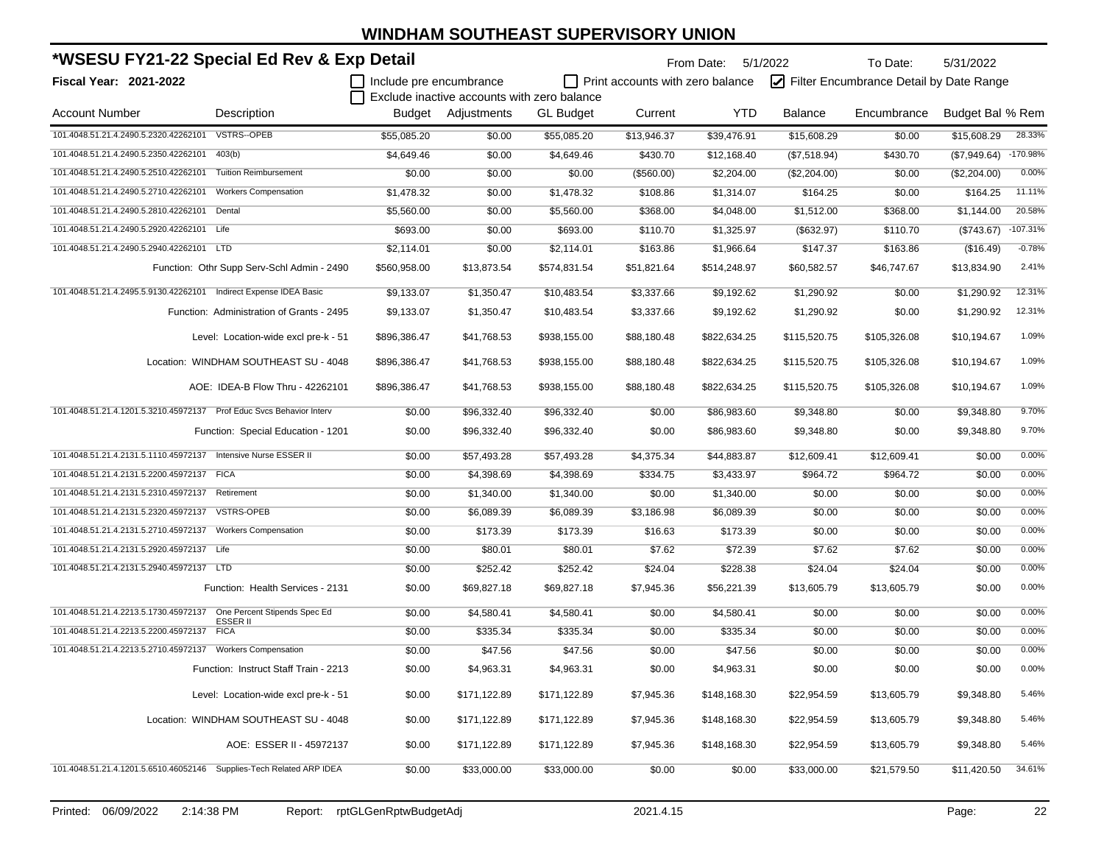| *WSESU FY21-22 Special Ed Rev & Exp Detail                              |                                            |                         |                                             |                  |                                  | From Date:   | 5/1/2022       | To Date:                                | 5/31/2022        |            |
|-------------------------------------------------------------------------|--------------------------------------------|-------------------------|---------------------------------------------|------------------|----------------------------------|--------------|----------------|-----------------------------------------|------------------|------------|
| Fiscal Year: 2021-2022                                                  |                                            | Include pre encumbrance |                                             |                  | Print accounts with zero balance |              |                | Filter Encumbrance Detail by Date Range |                  |            |
|                                                                         |                                            |                         | Exclude inactive accounts with zero balance |                  |                                  |              |                |                                         |                  |            |
| <b>Account Number</b>                                                   | Description                                |                         | Budget Adjustments                          | <b>GL Budget</b> | Current                          | <b>YTD</b>   | <b>Balance</b> | Encumbrance                             | Budget Bal % Rem |            |
| 101.4048.51.21.4.2490.5.2320.42262101                                   | <b>VSTRS--OPEB</b>                         | \$55,085.20             | \$0.00                                      | \$55,085.20      | \$13,946.37                      | \$39,476.91  | \$15,608.29    | \$0.00                                  | \$15,608.29      | 28.33%     |
| 101.4048.51.21.4.2490.5.2350.42262101                                   | 403(b)                                     | \$4,649.46              | \$0.00                                      | \$4,649.46       | \$430.70                         | \$12,168.40  | (\$7,518.94)   | \$430.70                                | (\$7,949.64)     | $-170.98%$ |
| 101.4048.51.21.4.2490.5.2510.42262101                                   | <b>Tuition Reimbursement</b>               | \$0.00                  | \$0.00                                      | \$0.00           | (\$560.00)                       | \$2,204.00   | (\$2,204.00)   | \$0.00                                  | (\$2,204.00)     | 0.00%      |
| 101.4048.51.21.4.2490.5.2710.42262101                                   | <b>Workers Compensation</b>                | \$1,478.32              | \$0.00                                      | \$1,478.32       | \$108.86                         | \$1,314.07   | \$164.25       | \$0.00                                  | \$164.25         | 11.11%     |
| 101.4048.51.21.4.2490.5.2810.42262101                                   | Dental                                     | \$5,560.00              | \$0.00                                      | \$5,560.00       | \$368.00                         | \$4,048.00   | \$1,512.00     | \$368.00                                | \$1,144.00       | 20.58%     |
| 101.4048.51.21.4.2490.5.2920.42262101 Life                              |                                            | \$693.00                | \$0.00                                      | \$693.00         | \$110.70                         | \$1,325.97   | (\$632.97)     | \$110.70                                | (\$743.67)       | $-107.31%$ |
| 101.4048.51.21.4.2490.5.2940.42262101 LTD                               |                                            | \$2,114.01              | \$0.00                                      | \$2,114.01       | \$163.86                         | \$1,966.64   | \$147.37       | \$163.86                                | (\$16.49)        | $-0.78%$   |
|                                                                         | Function: Othr Supp Serv-Schl Admin - 2490 | \$560,958.00            | \$13,873.54                                 | \$574,831.54     | \$51,821.64                      | \$514,248.97 | \$60,582.57    | \$46,747.67                             | \$13,834.90      | 2.41%      |
| 101.4048.51.21.4.2495.5.9130.42262101    Indirect Expense IDEA Basic    |                                            | \$9,133.07              | \$1,350.47                                  | \$10,483.54      | \$3,337.66                       | \$9,192.62   | \$1,290.92     | \$0.00                                  | \$1,290.92       | 12.31%     |
|                                                                         | Function: Administration of Grants - 2495  | \$9,133.07              | \$1,350.47                                  | \$10,483.54      | \$3,337.66                       | \$9,192.62   | \$1,290.92     | \$0.00                                  | \$1,290.92       | 12.31%     |
|                                                                         | Level: Location-wide excl pre-k - 51       | \$896,386.47            | \$41,768.53                                 | \$938,155.00     | \$88,180.48                      | \$822,634.25 | \$115,520.75   | \$105,326.08                            | \$10,194.67      | 1.09%      |
|                                                                         | Location: WINDHAM SOUTHEAST SU - 4048      | \$896,386.47            | \$41,768.53                                 | \$938,155.00     | \$88,180.48                      | \$822,634.25 | \$115,520.75   | \$105,326.08                            | \$10.194.67      | 1.09%      |
|                                                                         | AOE: IDEA-B Flow Thru - 42262101           | \$896,386.47            | \$41,768.53                                 | \$938,155.00     | \$88,180.48                      | \$822,634.25 | \$115,520.75   | \$105,326.08                            | \$10,194.67      | 1.09%      |
| 101.4048.51.21.4.1201.5.3210.45972137    Prof Educ Svcs Behavior Interv |                                            | \$0.00                  | \$96,332.40                                 | \$96,332.40      | \$0.00                           | \$86,983.60  | \$9,348.80     | \$0.00                                  | \$9,348.80       | 9.70%      |
|                                                                         | Function: Special Education - 1201         | \$0.00                  | \$96,332.40                                 | \$96,332.40      | \$0.00                           | \$86,983.60  | \$9,348.80     | \$0.00                                  | \$9,348.80       | 9.70%      |
| 101.4048.51.21.4.2131.5.1110.45972137 Intensive Nurse ESSER II          |                                            | \$0.00                  | \$57,493.28                                 | \$57,493.28      | \$4,375.34                       | \$44,883.87  | \$12,609.41    | \$12,609.41                             | \$0.00           | 0.00%      |
| 101.4048.51.21.4.2131.5.2200.45972137 FICA                              |                                            | \$0.00                  | \$4,398.69                                  | \$4,398.69       | \$334.75                         | \$3,433.97   | \$964.72       | \$964.72                                | \$0.00           | 0.00%      |
| 101.4048.51.21.4.2131.5.2310.45972137                                   | Retirement                                 | \$0.00                  | \$1,340.00                                  | \$1,340.00       | \$0.00                           | \$1,340.00   | \$0.00         | \$0.00                                  | \$0.00           | 0.00%      |
| 101.4048.51.21.4.2131.5.2320.45972137                                   | <b>VSTRS-OPEB</b>                          | \$0.00                  | \$6,089.39                                  | \$6,089.39       | \$3,186.98                       | \$6,089.39   | \$0.00         | \$0.00                                  | \$0.00           | 0.00%      |
| 101.4048.51.21.4.2131.5.2710.45972137 Workers Compensation              |                                            | \$0.00                  | \$173.39                                    | \$173.39         | \$16.63                          | \$173.39     | \$0.00         | \$0.00                                  | \$0.00           | 0.00%      |
| 101.4048.51.21.4.2131.5.2920.45972137 Life                              |                                            | \$0.00                  | \$80.01                                     | \$80.01          | \$7.62                           | \$72.39      | \$7.62         | \$7.62                                  | \$0.00           | 0.00%      |
| 101.4048.51.21.4.2131.5.2940.45972137 LTD                               |                                            | \$0.00                  | \$252.42                                    | \$252.42         | \$24.04                          | \$228.38     | \$24.04        | \$24.04                                 | \$0.00           | 0.00%      |
|                                                                         | Function: Health Services - 2131           | \$0.00                  | \$69,827.18                                 | \$69,827.18      | \$7,945.36                       | \$56,221.39  | \$13,605.79    | \$13,605.79                             | \$0.00           | 0.00%      |
| 101.4048.51.21.4.2213.5.1730.45972137                                   | One Percent Stipends Spec Ed<br>ESSER II   | \$0.00                  | \$4,580.41                                  | \$4,580.41       | \$0.00                           | \$4,580.41   | \$0.00         | \$0.00                                  | \$0.00           | 0.00%      |
| 101.4048.51.21.4.2213.5.2200.45972137                                   | <b>FICA</b>                                | \$0.00                  | \$335.34                                    | \$335.34         | \$0.00                           | \$335.34     | \$0.00         | \$0.00                                  | \$0.00           | 0.00%      |
| 101.4048.51.21.4.2213.5.2710.45972137                                   | <b>Workers Compensation</b>                | \$0.00                  | \$47.56                                     | \$47.56          | \$0.00                           | \$47.56      | \$0.00         | \$0.00                                  | \$0.00           | 0.00%      |
|                                                                         | Function: Instruct Staff Train - 2213      | \$0.00                  | \$4,963.31                                  | \$4,963.31       | \$0.00                           | \$4,963.31   | \$0.00         | \$0.00                                  | \$0.00           | 0.00%      |
|                                                                         | Level: Location-wide excl pre-k - 51       | \$0.00                  | \$171,122.89                                | \$171,122.89     | \$7,945.36                       | \$148,168.30 | \$22,954.59    | \$13,605.79                             | \$9,348.80       | 5.46%      |
|                                                                         | Location: WINDHAM SOUTHEAST SU - 4048      | \$0.00                  | \$171,122.89                                | \$171,122.89     | \$7,945.36                       | \$148,168.30 | \$22,954.59    | \$13,605.79                             | \$9,348.80       | 5.46%      |
|                                                                         | AOE: ESSER II - 45972137                   | \$0.00                  | \$171,122.89                                | \$171,122.89     | \$7,945.36                       | \$148,168.30 | \$22,954.59    | \$13,605.79                             | \$9,348.80       | 5.46%      |
| 101.4048.51.21.4.1201.5.6510.46052146 Supplies-Tech Related ARP IDEA    |                                            | \$0.00                  | \$33,000.00                                 | \$33,000.00      | \$0.00                           | \$0.00       | \$33,000.00    | \$21,579.50                             | \$11,420.50      | 34.61%     |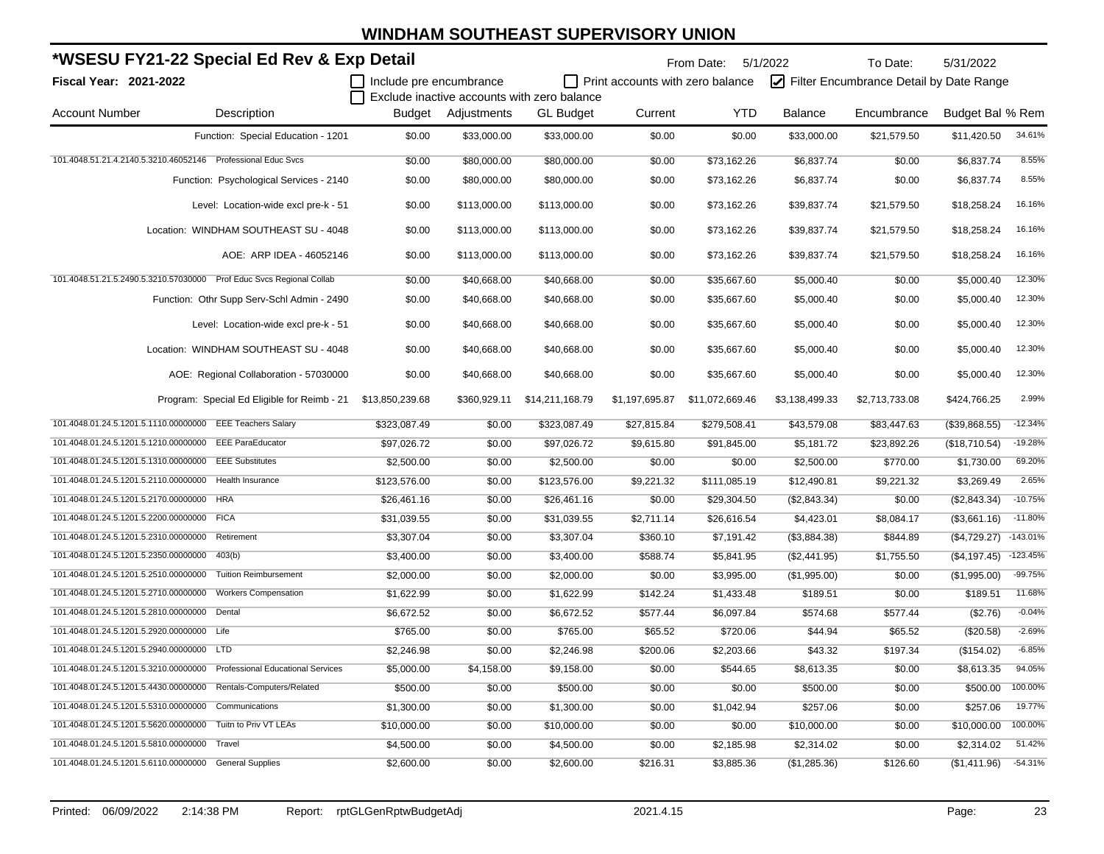|                                       | *WSESU FY21-22 Special Ed Rev & Exp Detail                              |                         |              |                                             |                                         | From Date: 5/1/2022 |                | To Date:                                | 5/31/2022        |            |
|---------------------------------------|-------------------------------------------------------------------------|-------------------------|--------------|---------------------------------------------|-----------------------------------------|---------------------|----------------|-----------------------------------------|------------------|------------|
| Fiscal Year: 2021-2022                |                                                                         | Include pre encumbrance |              |                                             | $\Box$ Print accounts with zero balance |                     |                | Filter Encumbrance Detail by Date Range |                  |            |
|                                       |                                                                         |                         |              | Exclude inactive accounts with zero balance |                                         |                     |                |                                         |                  |            |
| <b>Account Number</b>                 | Description                                                             | Budget                  | Adjustments  | <b>GL</b> Budget                            | Current                                 | <b>YTD</b>          | <b>Balance</b> | Encumbrance                             | Budget Bal % Rem |            |
|                                       | Function: Special Education - 1201                                      | \$0.00                  | \$33.000.00  | \$33.000.00                                 | \$0.00                                  | \$0.00              | \$33,000.00    | \$21,579.50                             | \$11.420.50      | 34.61%     |
|                                       | 101.4048.51.21.4.2140.5.3210.46052146 Professional Educ Svcs            | \$0.00                  | \$80,000.00  | \$80,000.00                                 | \$0.00                                  | \$73,162.26         | \$6,837.74     | \$0.00                                  | \$6,837.74       | 8.55%      |
|                                       | Function: Psychological Services - 2140                                 | \$0.00                  | \$80,000.00  | \$80,000.00                                 | \$0.00                                  | \$73,162.26         | \$6,837.74     | \$0.00                                  | \$6,837.74       | 8.55%      |
|                                       | Level: Location-wide excl pre-k - 51                                    | \$0.00                  | \$113,000.00 | \$113,000.00                                | \$0.00                                  | \$73,162.26         | \$39,837.74    | \$21,579.50                             | \$18,258.24      | 16.16%     |
|                                       | Location: WINDHAM SOUTHEAST SU - 4048                                   | \$0.00                  | \$113,000.00 | \$113,000.00                                | \$0.00                                  | \$73,162.26         | \$39,837.74    | \$21,579.50                             | \$18,258.24      | 16.16%     |
|                                       | AOE: ARP IDEA - 46052146                                                | \$0.00                  | \$113,000.00 | \$113,000.00                                | \$0.00                                  | \$73,162.26         | \$39,837.74    | \$21,579.50                             | \$18,258.24      | 16.16%     |
|                                       | 101.4048.51.21.5.2490.5.3210.57030000 Prof Educ Svcs Regional Collab    | \$0.00                  | \$40,668.00  | \$40,668.00                                 | \$0.00                                  | \$35,667.60         | \$5,000.40     | \$0.00                                  | \$5,000.40       | 12.30%     |
|                                       | Function: Othr Supp Serv-Schl Admin - 2490                              | \$0.00                  | \$40,668.00  | \$40,668.00                                 | \$0.00                                  | \$35,667.60         | \$5,000.40     | \$0.00                                  | \$5,000.40       | 12.30%     |
|                                       | Level: Location-wide excl pre-k - 51                                    | \$0.00                  | \$40,668.00  | \$40,668.00                                 | \$0.00                                  | \$35,667.60         | \$5,000.40     | \$0.00                                  | \$5,000.40       | 12.30%     |
|                                       | Location: WINDHAM SOUTHEAST SU - 4048                                   | \$0.00                  | \$40,668.00  | \$40,668.00                                 | \$0.00                                  | \$35,667.60         | \$5,000.40     | \$0.00                                  | \$5,000.40       | 12.30%     |
|                                       | AOE: Regional Collaboration - 57030000                                  | \$0.00                  | \$40,668.00  | \$40,668.00                                 | \$0.00                                  | \$35,667.60         | \$5,000.40     | \$0.00                                  | \$5,000.40       | 12.30%     |
|                                       | Program: Special Ed Eligible for Reimb - 21                             | \$13,850,239.68         | \$360,929.11 | \$14,211,168.79                             | \$1,197,695.87                          | \$11,072,669.46     | \$3,138,499.33 | \$2,713,733.08                          | \$424.766.25     | 2.99%      |
|                                       | 101.4048.01.24.5.1201.5.1110.00000000 EEE Teachers Salary               | \$323,087.49            | \$0.00       | \$323,087.49                                | \$27,815.84                             | \$279,508.41        | \$43,579.08    | \$83,447.63                             | (\$39,868.55)    | $-12.34%$  |
| 101.4048.01.24.5.1201.5.1210.00000000 | <b>EEE ParaEducator</b>                                                 | \$97,026.72             | \$0.00       | \$97,026.72                                 | \$9,615.80                              | \$91,845.00         | \$5,181.72     | \$23,892.26                             | (\$18,710.54)    | $-19.28%$  |
| 101.4048.01.24.5.1201.5.1310.00000000 | <b>EEE Substitutes</b>                                                  | \$2,500.00              | \$0.00       | \$2,500.00                                  | \$0.00                                  | \$0.00              | \$2,500.00     | \$770.00                                | \$1,730.00       | 69.20%     |
| 101.4048.01.24.5.1201.5.2110.00000000 | Health Insurance                                                        | \$123,576.00            | \$0.00       | \$123,576.00                                | \$9,221.32                              | \$111,085.19        | \$12,490.81    | \$9,221.32                              | \$3,269.49       | 2.65%      |
|                                       | 101.4048.01.24.5.1201.5.2170.00000000 HRA                               | \$26,461.16             | \$0.00       | \$26,461.16                                 | \$0.00                                  | \$29,304.50         | (\$2,843.34)   | \$0.00                                  | (\$2,843.34)     | $-10.75%$  |
|                                       | 101.4048.01.24.5.1201.5.2200.00000000 FICA                              | \$31,039.55             | \$0.00       | \$31,039.55                                 | \$2,711.14                              | \$26,616.54         | \$4,423.01     | \$8,084.17                              | (\$3,661.16)     | $-11.80%$  |
| 101.4048.01.24.5.1201.5.2310.00000000 | Retirement                                                              | \$3,307.04              | \$0.00       | \$3,307.04                                  | \$360.10                                | \$7,191.42          | (\$3,884.38)   | \$844.89                                | (\$4,729.27)     | $-143.01%$ |
| 101.4048.01.24.5.1201.5.2350.00000000 | 403(b)                                                                  | \$3,400.00              | \$0.00       | \$3,400.00                                  | \$588.74                                | \$5,841.95          | (\$2,441.95)   | \$1,755.50                              | (\$4,197.45)     | $-123.45%$ |
| 101.4048.01.24.5.1201.5.2510.00000000 | <b>Tuition Reimbursement</b>                                            | \$2,000.00              | \$0.00       | \$2,000.00                                  | \$0.00                                  | \$3,995.00          | (\$1,995.00)   | \$0.00                                  | (\$1,995.00)     | $-99.75%$  |
| 101.4048.01.24.5.1201.5.2710.00000000 | <b>Workers Compensation</b>                                             | \$1,622.99              | \$0.00       | \$1,622.99                                  | \$142.24                                | \$1,433.48          | \$189.51       | \$0.00                                  | \$189.51         | 11.68%     |
| 101.4048.01.24.5.1201.5.2810.00000000 | Dental                                                                  | \$6,672.52              | \$0.00       | \$6,672.52                                  | \$577.44                                | \$6,097.84          | \$574.68       | \$577.44                                | (\$2.76)         | $-0.04%$   |
|                                       | 101.4048.01.24.5.1201.5.2920.00000000 Life                              | \$765.00                | \$0.00       | \$765.00                                    | \$65.52                                 | \$720.06            | \$44.94        | \$65.52                                 | (\$20.58)        | $-2.69%$   |
|                                       | 101.4048.01.24.5.1201.5.2940.00000000 LTD                               | \$2,246.98              | \$0.00       | \$2,246.98                                  | \$200.06                                | \$2,203.66          | \$43.32        | \$197.34                                | (\$154.02)       | $-6.85%$   |
|                                       | 101.4048.01.24.5.1201.5.3210.00000000 Professional Educational Services | \$5,000.00              | \$4,158.00   | \$9,158.00                                  | \$0.00                                  | \$544.65            | \$8,613.35     | \$0.00                                  | \$8,613.35       | 94.05%     |
|                                       | 101.4048.01.24.5.1201.5.4430.00000000 Rentals-Computers/Related         | \$500.00                | \$0.00       | \$500.00                                    | \$0.00                                  | \$0.00              | \$500.00       | \$0.00                                  | \$500.00         | 100.00%    |
|                                       | 101.4048.01.24.5.1201.5.5310.00000000 Communications                    | \$1,300.00              | \$0.00       | \$1,300.00                                  | \$0.00                                  | \$1,042.94          | \$257.06       | \$0.00                                  | \$257.06         | 19.77%     |
|                                       | 101.4048.01.24.5.1201.5.5620.00000000 Tuitn to Priv VT LEAs             | \$10,000.00             | \$0.00       | \$10,000.00                                 | \$0.00                                  | \$0.00              | \$10,000.00    | \$0.00                                  | \$10,000.00      | 100.00%    |
| 101.4048.01.24.5.1201.5.5810.00000000 | Travel                                                                  | \$4,500.00              | \$0.00       | \$4,500.00                                  | \$0.00                                  | \$2,185.98          | \$2,314.02     | \$0.00                                  | \$2,314.02       | 51.42%     |
|                                       | 101.4048.01.24.5.1201.5.6110.00000000 General Supplies                  | \$2,600.00              | \$0.00       | \$2,600.00                                  | \$216.31                                | \$3,885.36          | (\$1,285.36)   | \$126.60                                | (\$1,411.96)     | $-54.31%$  |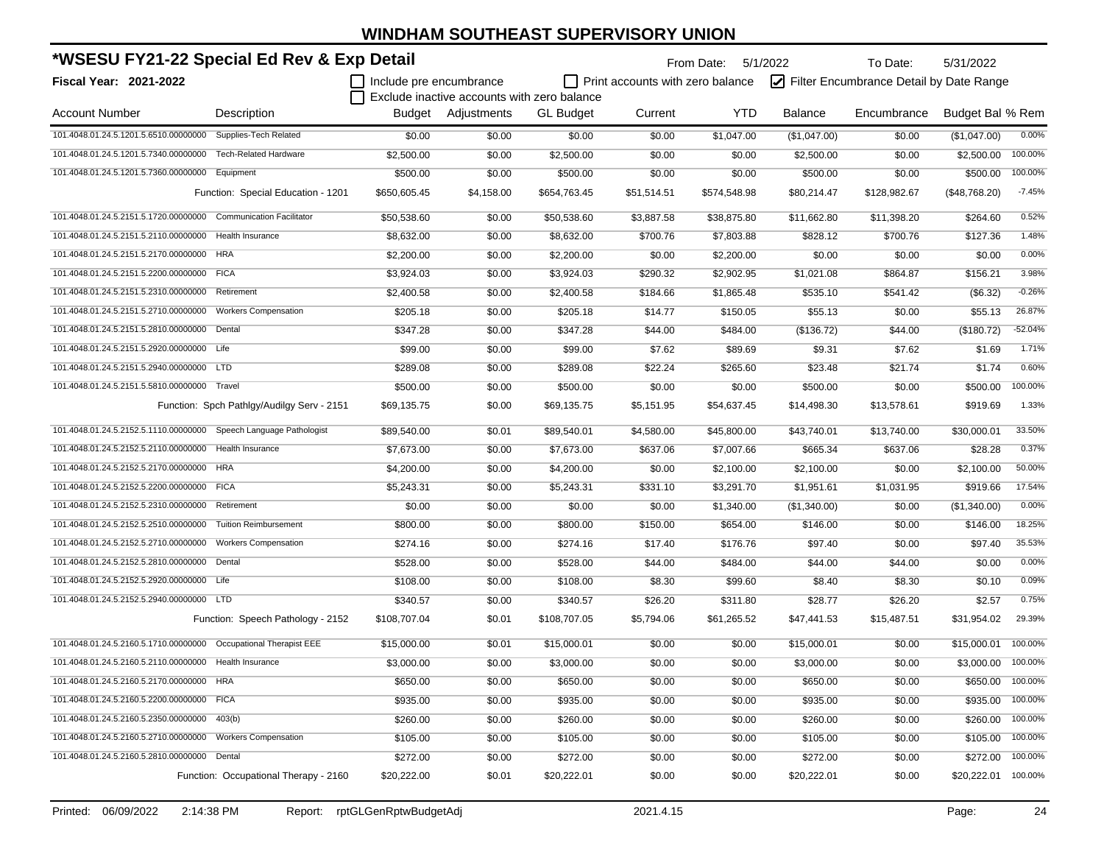| *WSESU FY21-22 Special Ed Rev & Exp Detail<br>    Include pre encumbrance |                                            |              |                                             |                  |                                         | From Date:   | 5/1/2022     | To Date:                                | 5/31/2022           |           |
|---------------------------------------------------------------------------|--------------------------------------------|--------------|---------------------------------------------|------------------|-----------------------------------------|--------------|--------------|-----------------------------------------|---------------------|-----------|
| Fiscal Year: 2021-2022                                                    |                                            |              |                                             |                  | $\Box$ Print accounts with zero balance |              |              | Filter Encumbrance Detail by Date Range |                     |           |
|                                                                           |                                            |              | Exclude inactive accounts with zero balance |                  |                                         |              |              |                                         |                     |           |
| <b>Account Number</b>                                                     | Description                                |              | Budget Adjustments                          | <b>GL Budget</b> | Current                                 | YTD.         | Balance      | Encumbrance                             | Budget Bal % Rem    |           |
| 101.4048.01.24.5.1201.5.6510.00000000 Supplies-Tech Related               |                                            | \$0.00       | \$0.00                                      | \$0.00           | \$0.00                                  | \$1,047.00   | (\$1,047.00) | \$0.00                                  | (\$1,047.00)        | 0.00%     |
| 101.4048.01.24.5.1201.5.7340.00000000 Tech-Related Hardware               |                                            | \$2,500.00   | \$0.00                                      | \$2,500.00       | \$0.00                                  | \$0.00       | \$2,500.00   | \$0.00                                  | \$2,500.00          | 100.00%   |
| 101.4048.01.24.5.1201.5.7360.00000000 Equipment                           |                                            | \$500.00     | \$0.00                                      | \$500.00         | \$0.00                                  | \$0.00       | \$500.00     | \$0.00                                  | \$500.00            | 100.00%   |
|                                                                           | Function: Special Education - 1201         | \$650,605.45 | \$4,158.00                                  | \$654,763.45     | \$51,514.51                             | \$574,548.98 | \$80,214.47  | \$128,982.67                            | (\$48,768.20)       | $-7.45%$  |
| 101.4048.01.24.5.2151.5.1720.00000000 Communication Facilitator           |                                            | \$50,538.60  | \$0.00                                      | \$50,538.60      | \$3,887.58                              | \$38,875.80  | \$11,662.80  | \$11,398.20                             | \$264.60            | 0.52%     |
| 101.4048.01.24.5.2151.5.2110.00000000 Health Insurance                    |                                            | \$8,632.00   | \$0.00                                      | \$8,632.00       | \$700.76                                | \$7,803.88   | \$828.12     | \$700.76                                | \$127.36            | 1.48%     |
| 101.4048.01.24.5.2151.5.2170.00000000 HRA                                 |                                            | \$2,200.00   | \$0.00                                      | \$2,200.00       | \$0.00                                  | \$2,200.00   | \$0.00       | \$0.00                                  | \$0.00              | 0.00%     |
| 101.4048.01.24.5.2151.5.2200.00000000 FICA                                |                                            | \$3,924.03   | \$0.00                                      | \$3,924.03       | \$290.32                                | \$2,902.95   | \$1,021.08   | \$864.87                                | \$156.21            | 3.98%     |
| 101.4048.01.24.5.2151.5.2310.00000000                                     | Retirement                                 | \$2,400.58   | \$0.00                                      | \$2,400.58       | \$184.66                                | \$1,865.48   | \$535.10     | \$541.42                                | (\$6.32)            | $-0.26%$  |
| 101.4048.01.24.5.2151.5.2710.00000000                                     | <b>Workers Compensation</b>                | \$205.18     | \$0.00                                      | \$205.18         | \$14.77                                 | \$150.05     | \$55.13      | \$0.00                                  | \$55.13             | 26.87%    |
| 101.4048.01.24.5.2151.5.2810.00000000 Dental                              |                                            | \$347.28     | \$0.00                                      | \$347.28         | \$44.00                                 | \$484.00     | (\$136.72)   | \$44.00                                 | (\$180.72)          | $-52.04%$ |
| 101.4048.01.24.5.2151.5.2920.00000000 Life                                |                                            | \$99.00      | \$0.00                                      | \$99.00          | \$7.62                                  | \$89.69      | \$9.31       | \$7.62                                  | \$1.69              | 1.71%     |
| 101.4048.01.24.5.2151.5.2940.00000000 LTD                                 |                                            | \$289.08     | \$0.00                                      | \$289.08         | \$22.24                                 | \$265.60     | \$23.48      | \$21.74                                 | \$1.74              | 0.60%     |
| 101.4048.01.24.5.2151.5.5810.00000000 Travel                              |                                            | \$500.00     | \$0.00                                      | \$500.00         | \$0.00                                  | \$0.00       | \$500.00     | \$0.00                                  | \$500.00            | 100.00%   |
|                                                                           | Function: Spch Pathlgy/Audilgy Serv - 2151 | \$69,135.75  | \$0.00                                      | \$69,135.75      | \$5,151.95                              | \$54,637.45  | \$14,498.30  | \$13,578.61                             | \$919.69            | 1.33%     |
| 101.4048.01.24.5.2152.5.1110.00000000 Speech Language Pathologist         |                                            | \$89,540.00  | \$0.01                                      | \$89,540.01      | \$4,580.00                              | \$45,800.00  | \$43,740.01  | \$13,740.00                             | \$30,000.01         | 33.50%    |
| 101.4048.01.24.5.2152.5.2110.00000000 Health Insurance                    |                                            | \$7,673.00   | \$0.00                                      | \$7,673.00       | \$637.06                                | \$7,007.66   | \$665.34     | \$637.06                                | \$28.28             | 0.37%     |
| 101.4048.01.24.5.2152.5.2170.00000000 HRA                                 |                                            | \$4,200.00   | \$0.00                                      | \$4,200.00       | \$0.00                                  | \$2,100.00   | \$2,100.00   | \$0.00                                  | \$2,100.00          | 50.00%    |
| 101.4048.01.24.5.2152.5.2200.00000000 FICA                                |                                            | \$5,243.31   | \$0.00                                      | \$5,243.31       | \$331.10                                | \$3,291.70   | \$1,951.61   | \$1,031.95                              | \$919.66            | 17.54%    |
| 101.4048.01.24.5.2152.5.2310.00000000 Retirement                          |                                            | \$0.00       | \$0.00                                      | \$0.00           | \$0.00                                  | \$1,340.00   | (\$1,340.00) | \$0.00                                  | (\$1,340.00)        | 0.00%     |
| 101.4048.01.24.5.2152.5.2510.00000000                                     | <b>Tuition Reimbursement</b>               | \$800.00     | \$0.00                                      | \$800.00         | \$150.00                                | \$654.00     | \$146.00     | \$0.00                                  | \$146.00            | 18.25%    |
| 101.4048.01.24.5.2152.5.2710.00000000                                     | <b>Workers Compensation</b>                | \$274.16     | \$0.00                                      | \$274.16         | \$17.40                                 | \$176.76     | \$97.40      | \$0.00                                  | \$97.40             | 35.53%    |
| 101.4048.01.24.5.2152.5.2810.00000000 Dental                              |                                            | \$528.00     | \$0.00                                      | \$528.00         | \$44.00                                 | \$484.00     | \$44.00      | \$44.00                                 | \$0.00              | 0.00%     |
| 101.4048.01.24.5.2152.5.2920.00000000 Life                                |                                            | \$108.00     | \$0.00                                      | \$108.00         | \$8.30                                  | \$99.60      | \$8.40       | \$8.30                                  | \$0.10              | 0.09%     |
| 101.4048.01.24.5.2152.5.2940.00000000 LTD                                 |                                            | \$340.57     | \$0.00                                      | \$340.57         | \$26.20                                 | \$311.80     | \$28.77      | \$26.20                                 | \$2.57              | 0.75%     |
|                                                                           | Function: Speech Pathology - 2152          | \$108,707.04 | \$0.01                                      | \$108,707.05     | \$5,794.06                              | \$61,265.52  | \$47,441.53  | \$15,487.51                             | \$31,954.02         | 29.39%    |
| 101.4048.01.24.5.2160.5.1710.00000000 Occupational Therapist EEE          |                                            | \$15,000.00  | \$0.01                                      | \$15,000.01      | \$0.00                                  | \$0.00       | \$15,000.01  | \$0.00                                  | \$15,000.01         | 100.00%   |
| 101.4048.01.24.5.2160.5.2110.00000000 Health Insurance                    |                                            | \$3,000.00   | \$0.00                                      | \$3,000.00       | \$0.00                                  | \$0.00       | \$3,000.00   | \$0.00                                  | \$3,000.00          | 100.00%   |
| 101.4048.01.24.5.2160.5.2170.00000000 HRA                                 |                                            | \$650.00     | \$0.00                                      | \$650.00         | \$0.00                                  | \$0.00       | \$650.00     | \$0.00                                  | \$650.00            | 100.00%   |
| 101.4048.01.24.5.2160.5.2200.00000000 FICA                                |                                            | \$935.00     | \$0.00                                      | \$935.00         | \$0.00                                  | \$0.00       | \$935.00     | \$0.00                                  | \$935.00            | 100.00%   |
| 101.4048.01.24.5.2160.5.2350.00000000                                     | 403(b)                                     | \$260.00     | \$0.00                                      | \$260.00         | \$0.00                                  | \$0.00       | \$260.00     | \$0.00                                  | \$260.00            | 100.00%   |
| 101.4048.01.24.5.2160.5.2710.00000000 Workers Compensation                |                                            | \$105.00     | \$0.00                                      | \$105.00         | \$0.00                                  | \$0.00       | \$105.00     | \$0.00                                  | \$105.00            | 100.00%   |
| 101.4048.01.24.5.2160.5.2810.00000000 Dental                              |                                            | \$272.00     | \$0.00                                      | \$272.00         | \$0.00                                  | \$0.00       | \$272.00     | \$0.00                                  | \$272.00            | 100.00%   |
|                                                                           | Function: Occupational Therapy - 2160      | \$20,222.00  | \$0.01                                      | \$20,222.01      | \$0.00                                  | \$0.00       | \$20,222.01  | \$0.00                                  | \$20,222.01 100.00% |           |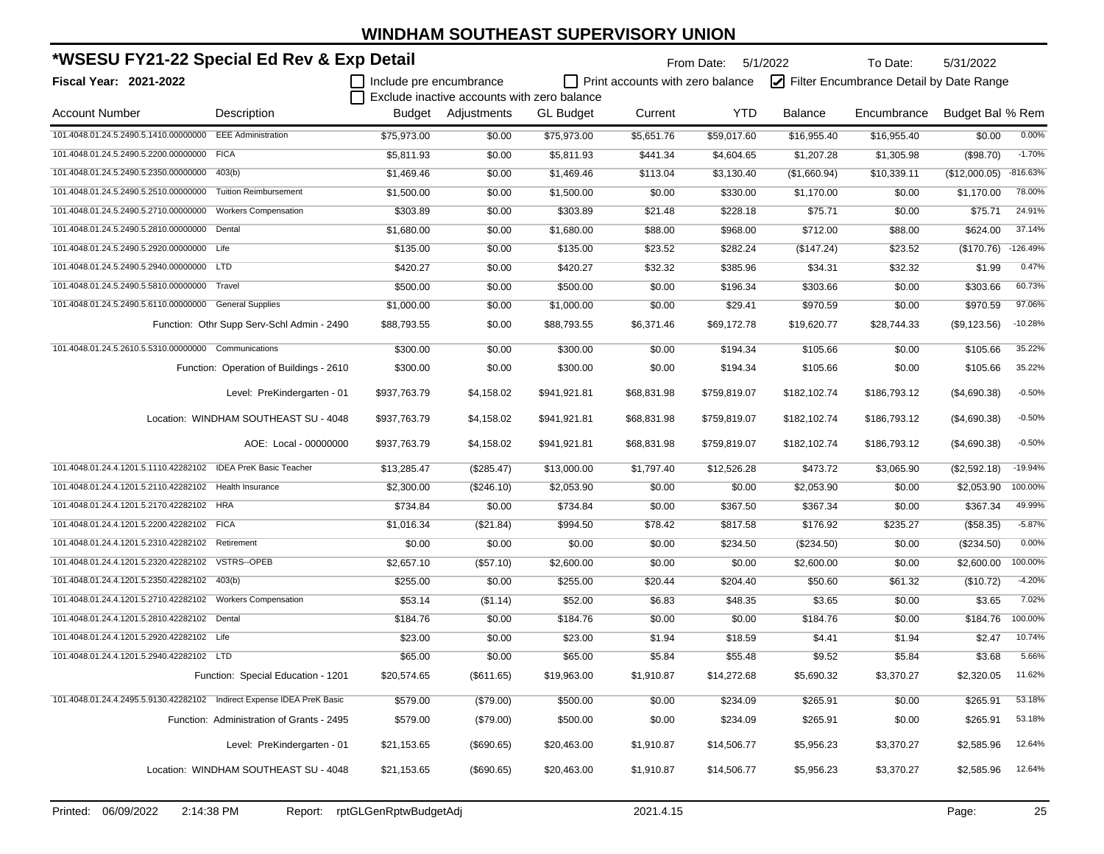| *WSESU FY21-22 Special Ed Rev & Exp Detail                             |                                            |                                |                                             | From Date: 5/1/2022<br>To Date:<br>5/31/2022 |                                         |              |                |                                         |                  |            |  |
|------------------------------------------------------------------------|--------------------------------------------|--------------------------------|---------------------------------------------|----------------------------------------------|-----------------------------------------|--------------|----------------|-----------------------------------------|------------------|------------|--|
| Fiscal Year: 2021-2022                                                 |                                            | $\Box$ Include pre encumbrance | Exclude inactive accounts with zero balance |                                              | $\Box$ Print accounts with zero balance |              |                | Filter Encumbrance Detail by Date Range |                  |            |  |
| <b>Account Number</b>                                                  | Description                                |                                | Budget Adjustments                          | <b>GL Budget</b>                             | Current                                 | YTD          | <b>Balance</b> | Encumbrance                             | Budget Bal % Rem |            |  |
| 101.4048.01.24.5.2490.5.1410.00000000 EEE Administration               |                                            | \$75,973.00                    | \$0.00                                      | \$75,973.00                                  | \$5,651.76                              | \$59,017.60  | \$16,955.40    | \$16,955.40                             | \$0.00           | 0.00%      |  |
| 101.4048.01.24.5.2490.5.2200.00000000 FICA                             |                                            | \$5,811.93                     | \$0.00                                      | \$5,811.93                                   | \$441.34                                | \$4,604.65   | \$1,207.28     | \$1,305.98                              | (\$98.70)        | $-1.70%$   |  |
| 101.4048.01.24.5.2490.5.2350.00000000 403(b)                           |                                            | \$1,469.46                     | \$0.00                                      | \$1,469.46                                   | \$113.04                                | \$3,130.40   | (\$1,660.94)   | \$10,339.11                             | (\$12,000.05)    | $-816.63%$ |  |
| 101.4048.01.24.5.2490.5.2510.00000000                                  | <b>Tuition Reimbursement</b>               | \$1,500.00                     | \$0.00                                      | \$1,500.00                                   | \$0.00                                  | \$330.00     | \$1,170.00     | \$0.00                                  | \$1,170.00       | 78.00%     |  |
| 101.4048.01.24.5.2490.5.2710.00000000                                  | <b>Workers Compensation</b>                | \$303.89                       | \$0.00                                      | \$303.89                                     | \$21.48                                 | \$228.18     | \$75.71        | \$0.00                                  | \$75.71          | 24.91%     |  |
| 101.4048.01.24.5.2490.5.2810.00000000 Dental                           |                                            | \$1,680.00                     | \$0.00                                      | \$1,680.00                                   | \$88.00                                 | \$968.00     | \$712.00       | \$88.00                                 | \$624.00         | 37.14%     |  |
| 101.4048.01.24.5.2490.5.2920.00000000 Life                             |                                            | \$135.00                       | \$0.00                                      | \$135.00                                     | \$23.52                                 | \$282.24     | (\$147.24)     | \$23.52                                 | (\$170.76)       | $-126.49%$ |  |
| 101.4048.01.24.5.2490.5.2940.00000000 LTD                              |                                            | \$420.27                       | \$0.00                                      | \$420.27                                     | \$32.32                                 | \$385.96     | \$34.31        | \$32.32                                 | \$1.99           | 0.47%      |  |
| 101.4048.01.24.5.2490.5.5810.00000000 Travel                           |                                            | \$500.00                       | \$0.00                                      | \$500.00                                     | \$0.00                                  | \$196.34     | \$303.66       | \$0.00                                  | \$303.66         | 60.73%     |  |
| 101.4048.01.24.5.2490.5.6110.00000000 General Supplies                 |                                            | \$1,000.00                     | \$0.00                                      | \$1,000.00                                   | \$0.00                                  | \$29.41      | \$970.59       | \$0.00                                  | \$970.59         | 97.06%     |  |
|                                                                        | Function: Othr Supp Serv-Schl Admin - 2490 | \$88,793.55                    | \$0.00                                      | \$88,793.55                                  | \$6,371.46                              | \$69,172.78  | \$19,620.77    | \$28,744.33                             | (\$9,123.56)     | $-10.28%$  |  |
| 101.4048.01.24.5.2610.5.5310.00000000 Communications                   |                                            | \$300.00                       | \$0.00                                      | \$300.00                                     | \$0.00                                  | \$194.34     | \$105.66       | \$0.00                                  | \$105.66         | 35.22%     |  |
|                                                                        | Function: Operation of Buildings - 2610    | \$300.00                       | \$0.00                                      | \$300.00                                     | \$0.00                                  | \$194.34     | \$105.66       | \$0.00                                  | \$105.66         | 35.22%     |  |
|                                                                        | Level: PreKindergarten - 01                | \$937,763.79                   | \$4,158.02                                  | \$941,921.81                                 | \$68,831.98                             | \$759,819.07 | \$182,102.74   | \$186,793.12                            | (\$4,690.38)     | $-0.50%$   |  |
|                                                                        | Location: WINDHAM SOUTHEAST SU - 4048      | \$937,763.79                   | \$4,158.02                                  | \$941,921.81                                 | \$68,831.98                             | \$759,819.07 | \$182,102.74   | \$186,793.12                            | (\$4,690.38)     | $-0.50%$   |  |
|                                                                        | AOE: Local - 00000000                      | \$937,763.79                   | \$4,158.02                                  | \$941,921.81                                 | \$68,831.98                             | \$759,819.07 | \$182,102.74   | \$186,793.12                            | (\$4,690.38)     | $-0.50%$   |  |
| 101.4048.01.24.4.1201.5.1110.42282102 IDEA PreK Basic Teacher          |                                            | \$13,285.47                    | (\$285.47)                                  | \$13,000.00                                  | \$1,797.40                              | \$12,526.28  | \$473.72       | \$3,065.90                              | (\$2,592.18)     | $-19.94%$  |  |
| 101.4048.01.24.4.1201.5.2110.42282102 Health Insurance                 |                                            | \$2,300.00                     | (\$246.10)                                  | \$2,053.90                                   | \$0.00                                  | \$0.00       | \$2,053.90     | \$0.00                                  | \$2,053.90       | 100.00%    |  |
| 101.4048.01.24.4.1201.5.2170.42282102 HRA                              |                                            | \$734.84                       | \$0.00                                      | \$734.84                                     | \$0.00                                  | \$367.50     | \$367.34       | \$0.00                                  | \$367.34         | 49.99%     |  |
| 101.4048.01.24.4.1201.5.2200.42282102 FICA                             |                                            | \$1,016.34                     | (\$21.84)                                   | \$994.50                                     | \$78.42                                 | \$817.58     | \$176.92       | \$235.27                                | (\$58.35)        | $-5.87%$   |  |
| 101.4048.01.24.4.1201.5.2310.42282102 Retirement                       |                                            | \$0.00                         | \$0.00                                      | \$0.00                                       | \$0.00                                  | \$234.50     | $(\$234.50)$   | \$0.00                                  | $(\$234.50)$     | 0.00%      |  |
| 101.4048.01.24.4.1201.5.2320.42282102 VSTRS--OPEB                      |                                            | \$2,657.10                     | (\$57.10)                                   | \$2,600.00                                   | \$0.00                                  | \$0.00       | \$2,600.00     | \$0.00                                  | \$2,600.00       | 100.00%    |  |
| 101.4048.01.24.4.1201.5.2350.42282102 403(b)                           |                                            | \$255.00                       | \$0.00                                      | \$255.00                                     | \$20.44                                 | \$204.40     | \$50.60        | \$61.32                                 | (\$10.72)        | $-4.20%$   |  |
|                                                                        |                                            | \$53.14                        | (\$1.14)                                    | \$52.00                                      | \$6.83                                  | \$48.35      | \$3.65         | \$0.00                                  | \$3.65           | 7.02%      |  |
| 101.4048.01.24.4.1201.5.2810.42282102 Dental                           |                                            | \$184.76                       | \$0.00                                      | \$184.76                                     | \$0.00                                  | \$0.00       | \$184.76       | \$0.00                                  | \$184.76         | 100.00%    |  |
| 101.4048.01.24.4.1201.5.2920.42282102 Life                             |                                            | \$23.00                        | \$0.00                                      | \$23.00                                      | \$1.94                                  | \$18.59      | \$4.41         | \$1.94                                  | \$2.47           | 10.74%     |  |
| 101.4048.01.24.4.1201.5.2940.42282102 LTD                              |                                            | \$65.00                        | \$0.00                                      | \$65.00                                      | \$5.84                                  | \$55.48      | \$9.52         | \$5.84                                  | \$3.68           | 5.66%      |  |
|                                                                        | Function: Special Education - 1201         | \$20,574.65                    | (\$611.65)                                  | \$19,963.00                                  | \$1,910.87                              | \$14,272.68  | \$5,690.32     | \$3,370.27                              | \$2,320.05       | 11.62%     |  |
| 101.4048.01.24.4.2495.5.9130.42282102 Indirect Expense IDEA PreK Basic |                                            | \$579.00                       | $(\$79.00)$                                 | \$500.00                                     | \$0.00                                  | \$234.09     | \$265.91       | \$0.00                                  | \$265.91         | 53.18%     |  |
|                                                                        | Function: Administration of Grants - 2495  | \$579.00                       | (\$79.00)                                   | \$500.00                                     | \$0.00                                  | \$234.09     | \$265.91       | \$0.00                                  | \$265.91         | 53.18%     |  |
|                                                                        | Level: PreKindergarten - 01                | \$21,153.65                    | $(\$690.65)$                                | \$20,463.00                                  | \$1,910.87                              | \$14,506.77  | \$5,956.23     | \$3,370.27                              | \$2,585.96       | 12.64%     |  |
|                                                                        | Location: WINDHAM SOUTHEAST SU - 4048      | \$21,153.65                    | (\$690.65)                                  | \$20,463.00                                  | \$1,910.87                              | \$14,506.77  | \$5,956.23     | \$3,370.27                              | \$2,585.96       | 12.64%     |  |